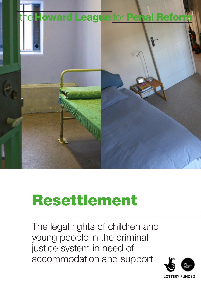

# Resettlement

The legal rights of children and young people in the criminal justice system in need of accommodation and support

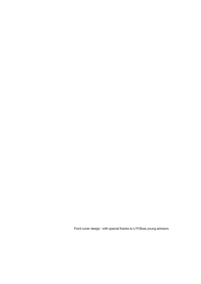Front cover design : with special thanks to U R Boss young advisors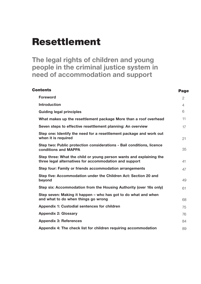# Resettlement

**The legal rights of children and young people in the criminal justice system in need of accommodation and support**

| <b>Contents</b>                                                                                                               | <b>Page</b>    |
|-------------------------------------------------------------------------------------------------------------------------------|----------------|
| <b>Foreword</b>                                                                                                               | $\overline{2}$ |
| <b>Introduction</b>                                                                                                           | $\overline{4}$ |
| <b>Guiding legal principles</b>                                                                                               | 6              |
| What makes up the resettlement package More than a roof overhead                                                              | 11             |
| Seven steps to effective resettlement planning: An overview                                                                   | 17             |
| Step one: Identify the need for a resettlement package and work out<br>when it is required                                    | 21             |
| Step two: Public protection considerations - Bail conditions, licence<br>conditions and MAPPA                                 | 35             |
| Step three: What the child or young person wants and explaining the<br>three legal alternatives for accommodation and support | 41             |
| Step four: Family or friends accommodation arrangements                                                                       | 47             |
| Step five: Accommodation under the Children Act: Section 20 and<br>beyond                                                     | 49             |
| Step six: Accommodation from the Housing Authority (over 16s only)                                                            | 61             |
| Step seven: Making it happen – who has got to do what and when<br>and what to do when things go wrong                         | 68             |
| Appendix 1: Custodial sentences for children                                                                                  | 75             |
| <b>Appendix 2: Glossary</b>                                                                                                   | 76             |
| <b>Appendix 3: References</b>                                                                                                 | 84             |
| Appendix 4: The check list for children requiring accommodation                                                               | 89             |
|                                                                                                                               |                |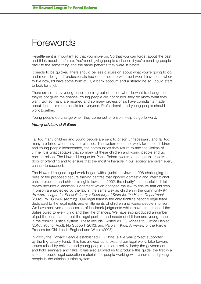# <span id="page-3-0"></span>Forewords

Resettlement is important so that you move on. So that you can forget about the past and think about the future. You're not giving people a chance if you're sending people back to the same thing and the same patterns they were in before.

It needs to be quicker. There should be less discussion about what you're going to do and more doing it. If professionals had done their job with me I would have somewhere to live now, I'd have some form of ID, a bank account and a steady life so I could start to look for a job.

There are so many young people coming out of prison who do want to change but they're not given the chance. Young people are not stupid; they do know what they want. But so many are recalled and so many professionals have complaints made about them, it's more hassle for everyone. Professionals and young people should work together.

Young people do change when they come out of prison. Help us go forward.

#### *Young advisor, U R Boss*

Far too many children and young people are sent to prison unnecessarily and far too many are failed when they are released. The system does not work for those children and young people incarcerated, the communities they return to and the victims of crime. It is unacceptable that so many of these children and young people end up back in prison. The Howard League for Penal Reform works to change this revolving door of offending and to ensure that the most vulnerable in our society are given every chance to succeed.

The Howard League's legal work began with a judicial review in 1996 challenging the rules of the proposed secure training centres that ignored domestic and international child protection and children's rights lawas. In 2002, the charity's successful judicial review secured a landmark judgement which changed the law to ensure that children in prison are protected by the law in the same way as children in the community (*R (Howard League for Penal Reform) v Secretary of State for the Home Department*  [2002] EWHC 2497 (Admin)). Our legal team is the only frontline national legal team dedicated to the legal rights and entitlements of children and young people in prison. We have achieved a succession of landmark judgments which have strengthened the duties owed to every child and their life chances. We have also produced a number of publications that set out the legal position and needs of children and young people in the criminal justice system. These include Twisted (2011), Access to Justice Denied (2010), Young, Adult, No Support (2010), and Parole 4 Kids: A Review of the Parole Process for Children in England and Wales (2008).

In 2009, the Howard League established U R Boss, a five year project supported by the Big Lottery Fund. This has allowed us to expand our legal work, take forward issues raised by children and young people to inform policy, lobby the government and hold seminars and talks. It has also allowed us to produce this guide, the first in a series of public legal education materials for people working with children and young people in the criminal justice system.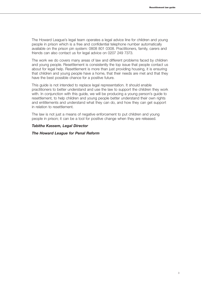The Howard League's legal team operates a legal advice line for children and young people in prison which is a free and confidential telephone number automatically available on the prison pin system: 0808 801 0308. Practitioners, family, carers and friends can also contact us for legal advice on 0207 249 7373.

The work we do covers many areas of law and different problems faced by children and young people. Resettlement is consistently the top issue that people contact us about for legal help. Resettlement is more than just providing housing, it is ensuring that children and young people have a home, that their needs are met and that they have the best possible chance for a positive future.

This guide is not intended to replace legal representation. It should enable practitioners to better understand and use the law to support the children they work with. In conjunction with this guide, we will be producing a young person's guide to resettlement, to help children and young people better understand their own rights and entitlements and understand what they can do, and how they can get support in relation to resettlement.

The law is not just a means of negative enforcement to put children and young people in prison; it can be a tool for positive change when they are released.

#### *Tabitha Kassem, Legal Director*

#### *The Howard League for Penal Reform*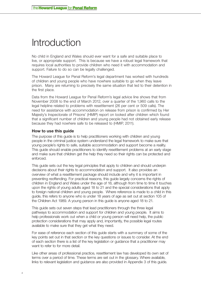# <span id="page-5-0"></span>**Introduction**

No child in England and Wales should ever want for a safe and suitable place to live, or appropriate support. This is because we have a robust legal framework that requires local authorities to provide children who need it with accommodation and support. Failure to do so can be legally challenged.

The Howard League for Penal Reform's legal department has worked with hundreds of children and young people who have nowhere suitable to go when they leave prison. Many are returning to precisely the same situation that led to their detention in the first place.

Data from the Howard League for Penal Reform's legal advice line shows that from November 2008 to the end of March 2012, over a quarter of the 1,960 calls to the legal helpline related to problems with resettlement (26 per cent or 509 calls). The need for assistance with accommodation on release from prison is confirmed by Her Majesty's Inspectorate of Prisons' (HMIP) report on looked after children which found that a significant number of children and young people had not obtained early release because they had nowhere safe to be released to (HMIP, 2011).

### **How to use this guide**

The purpose of this guide is to help practitioners working with children and young people in the criminal justice system understand the legal framework to make sure that young people's rights to safe, suitable accommodation and support become a reality. This guide should enable practitioners to identify resettlement problems at an early stage and make sure that children get the help they need so their rights can be protected and enforced.

This guide sets out the key legal principles that apply to children and should underpin decisions about their rights to accommodation and support. It also provides an overview of what a resettlement package should include and why it is important in preventing reoffending. For practical reasons, this guide largely concerns the rights of children in England and Wales under the age of 18, although from time to time it touches upon the rights of young adults aged 18 to 21 and the special considerations that apply to foreign national children and young people. Where reference is made to a child in this guide, this refers to anyone who is under 18 years of age as set out at section 105 of the Children Act 1989. A young person in this guide is anyone aged 18 to 21.

This guide sets out seven steps that lead practitioners through the three legal pathways to accommodation and support for children and young people. It aims to help professionals work out when a child or young person will need help, the public protection considerations that may apply and, importantly, the possible legal routes available to make sure that they get what they need.

For ease of reference each section of this guide starts with a summary of some of the key points set out in that section or the key questions or issues to consider. At the end of each section there is a list of the key legislation or guidance that a practitioner may want to refer to for more detail.

Like other areas of professional practice, resettlement law has developed its own set of terms over a period of time. These terms are set out in the glossary. Where available, links to relevant legislation and guidance are also provided in Appendix 3 of this guide.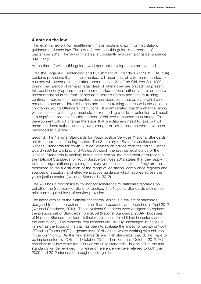#### **A note on the law**

The legal framework for resettlement in this guide is drawn from legislation, guidance and case law. The law referred to in this guide is correct as of September 2012. The law in this area is constantly evolving, alongside guidance and policy.

At the time of writing this guide, two important developments are planned.

First, the Legal Aid, Sentencing and Punishment of Offenders Act 2012 (LASPOA) contains provisions that, if implemented, will mean that all children remanded to custody will become 'looked after' under section 20 of the Children Act 1989 during their period of remand regardless of where they are placed. At present this position only applies to children remanded to local authority care, or secure accommodation in the form of secure children's homes and secure training centres. Therefore, if implemented, the considerations that apply to children on remand in secure children's homes and secure training centres will also apply to children in Young Offenders' Institutions. It is anticipated that this change, along with variations to the legal threshold for remanding a child to detention, will result in a significant reduction in the number of children remanded to custody. This development will not change the steps that practitioners need to take but will mean that local authorities may owe stronger duties to children who have been remanded to custody.

Second, The National Standards for Youth Justice Services (National Standards) are in the process of being revised. The Secretary of State for Justice sets National Standards for Youth Justice Services on advice from the Youth Justice Board (YJB) for England and Wales. Although the precise legal status of the National Standards is unclear, in the latest edition, the statement of purpose in the National Standards for Youth Justice Services 2012 states that they apply to those organisations providing statutory youth justice services. They are also described as 'as a distillation of the range of legislation, compliance regimes and sources of statutory and effective practice guidance which applies across the youth justice sector' (National Standards, 2012).

The YJB has a responsibility to monitor adherence to National Standards on behalf of the Secretary of State for Justice. The National Standards define the minimum required level of service provision.

The latest version of the National Standards, which is a trial set of standards designed to focus on outcomes rather than processes, was published in April 2012 (National Standards, 2012). These National Standards were designed to replace the previous set of Standards from 2009 (National Standards, 2009). Both sets of National Standards include distinct requirements for children in custody and in the community. The custodial requirements are virtually unchanged in the 2012 version as the focus of the trial has been to evaluate the impact of providing Youth Offending Teams (YOTs) a greater level of discretion where working with children in the community. As the new standards are 'trial' standards, they do not have to be implemented by YOTs until October 2012. Therefore, until October 2012, YOTs can elect to follow either the 2009 or the 2012 standards. In April 2013, the trial standards will be reviewed. For ease of reference we have referred to both the 2009 and 2012 standards throughout this guide.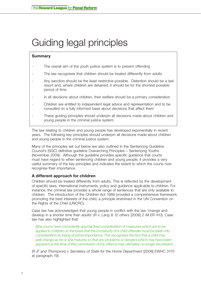# <span id="page-7-0"></span>Guiding legal principles

# **Summary**

- The overall aim of the youth justice system is to prevent offending
- The law recognises that children should be treated differently from adults
- Any sanction should be the least restrictive possible. Detention should be a last resort and, where children are detained, it should be for the shortest possible period of time
- In all decisions about children, their welfare should be a primary consideration
- Children are entitled to independent legal advice and representation and to be consulted on a fully informed basis about decisions that affect them
- These guiding principles should underpin all decisions made about children and young people in the criminal justice system.

The law relating to children and young people has developed exponentially in recent years. The following key principles should underpin all decisions made about children and young people in the criminal justice system.

Many of the principles set out below are also outlined in the Sentencing Guideline Council's (SGC) definitive guideline Overarching Principles – Sentencing Youths (November 2009). Although the guideline provides specific guidance that courts must have regard to when sentencing children and young people, it provides a very useful summary of the key principles and indicates the extent to which the courts now recognise their importance.

# **A different approach for children**

Children should be treated differently from adults. This is reflected by the development of specific laws, international instruments, policy and guidance applicable to children. For instance, the criminal law provides a whole range of sentences that are only available to children. The introduction of the Children Act 1989 provided a comprehensive framework promoting the best interests of the child, a principle enshrined in the UN Convention on the Rights of the Child (UNCRC).

Case law has acknowledged that young people in conflict with the law 'change and develop in a shorter time than adults' *(R v. Lang & 12 others* [2006] 2 All ER 410). Case law has also highlighted that:

*[t]he courts have consistently approached consideration of measures which are to be applied to children on the basis that the immaturity of a child offender must be taken into consideration as being of prime importance. This recognises the fact that a child may well change as he or she matures so that any problems or dangers which may have been apparent at the time of the commission of the offence may ultimately no longer be present…*

*(R (F and Thompson) v Secretary of State for the Home Department* [2008] EWHC 3170 at paragraph 19).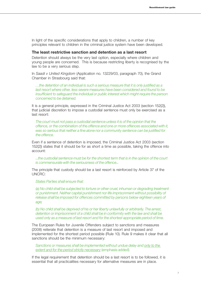In light of the specific considerations that apply to children, a number of key principles relevant to children in the criminal justice system have been developed.

#### **The least restrictive sanction and detention as a last resort**

Detention should always be the very last option, especially where children and young people are concerned. This is because restricting liberty is recognised by the law to be a very serious step.

In *Saadi v United Kingdom* (Application no. 13229/03, paragraph 70), the Grand Chamber in Strasbourg said that:

*…the detention of an individual is such a serious measure that it is only justified as a last resort where other, less severe measures have been considered and found to be insufficient to safeguard the individual or public interest which might require the person concerned to be detained.*

It is a general principle, expressed in the Criminal Justice Act 2003 (section 152(2)), that judicial discretion to impose a custodial sentence must only be exercised as a last resort:

*The court must not pass a custodial sentence unless it is of the opinion that the offence, or the combination of the offence and one or more offences associated with it, was so serious that neither a fine alone nor a community sentence can be justified for the offence.*

Even if a sentence of detention is imposed, the Criminal Justice Act 2003 (section 152(2)) states that it should be for as short a time as possible, taking the offence into account:

*...the custodial sentence must be for the shortest term that is in the opinion of the court is commensurate with the seriousness of the offence...*

The principle that custody should be a last resort is reinforced by Article 37 of the UNCRC:

*States Parties shall ensure that:* 

*(a) No child shall be subjected to torture or other cruel, inhuman or degrading treatment or punishment. Neither capital punishment nor life imprisonment without possibility of release shall be imposed for offences committed by persons below eighteen years of age;* 

*(b) No child shall be deprived of his or her liberty unlawfully or arbitrarily. The arrest, detention or imprisonment of a child shall be in conformity with the law and shall be used only as a measure of last resort and for the shortest appropriate period of time.*

The European Rules for Juvenile Offenders subject to sanctions and measures (2008) reiterate that detention is a measure of last resort and imposed and implemented for the shortest period possible (Rule 10). Rule 9 makes it clear that all sanctions should be the minimum necessary:

*Sanctions or measures shall be implemented without undue delay and only to the extent and for the period strictly necessary* (emphasis added).

If the legal requirement that detention should be a last resort is to be followed, it is essential that all practicalities necessary for alternative measures are in place.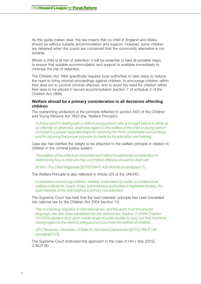As this guide makes clear, the law means that no child in England and Wales should be without suitable accommodation and support. However, some children are detained when the courts are concerned that the community alternative is not suitable.

Where a child is at risk of detention, it will be essential to take all possible steps to ensure that suitable accommodation and support is available immediately to minimise the risk of detention.

The Children Act 1989 specifically requires local authorities to take steps to reduce the need to bring criminal proceedings against children, to encourage children within their area not to commit criminal offences, and to avoid the need for children within their area to be placed in secure accommodation (section 7 of schedule 2 of the Children Act 1989).

# **Welfare should be a primary consideration in all decisions affecting children**

The overarching protection is the principle reflected in section 44(1) of the Children and Young Persons Act 1933 (the 'Welfare Principle'):

*(1) Every court in dealing with a child or young person who is brought before it, either as an offender or otherwise, shall have regard to the welfare of the child or young person and shall in a proper case take steps for removing him from undesirable surroundings, and for securing that proper provision is made for his education and training.*

Case law has clarified the weight to be attached to the welfare principle in relation to children in the criminal justice system:

*The welfare of the child is an important and indeed fundamental consideration in determining how a child who has committed offences should be dealt with* 

*(R (M) v The Chief Magistrate* [2010] EWHC 433 (Admin) at paragraph 7).

The Welfare Principle is also reflected in Article 3(1) of the UNCRC:

*In all actions concerning children, whether undertaken by public or private social welfare institutions, courts of law, administrative authorities or legislative bodies, the best interests of the child shall be a primary consideration.*

The Supreme Court has held that the best interests' principle has been translated into national law by the Children Act 2004 (section 11):

*This is a binding obligation in international law, and the spirit, if not the precise*  language, has also been translated into our national law. Section 11 of the Children *Act 2004 places a duty upon a wide range of public bodies to carry out their functions having regard to the need to safeguard and promote the welfare of children…* 

*(ZH (Tanzania) v Secretary of State for the Home Department [2011] 2 WLR 148* (paragraph 23)).

The Supreme Court endorsed this approach in the case of *HH v Italy* [2012] 3 WLR 90.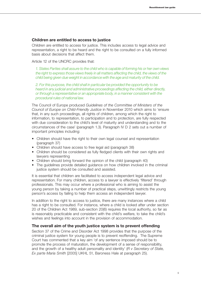#### **Children are entitled to access to justice**

Children are entitled to access for justice. This includes access to legal advice and representation, a right to be heard and the right to be consulted on a fully informed basis about decisions that affect them.

#### Article 12 of the UNCRC provides that:

*1. States Parties shall assure to the child who is capable of forming his or her own views the right to express those views freely in all matters affecting the child, the views of the child being given due weight in accordance with the age and maturity of the child.* 

*2. For this purpose, the child shall in particular be provided the opportunity to be heard in any judicial and administrative proceedings affecting the child, either directly, or through a representative or an appropriate body, in a manner consistent with the procedural rules of national law.* 

The Council of Europe produced *Guidelines of the Committee of Ministers of the Council of Europe on Child-Friendly Justice* in November 2010 which aims to 'ensure that, in any such proceedings, all rights of children, among which the right to information, to representation, to participation and to protection, are fully respected with due consideration to the child's level of maturity and understanding and to the circumstances of the case' (paragraph 1.3). Paragraph IV D 2 sets out a number of important principles including:

- Children should have the right to their own legal counsel and representation (paragraph 37)
- Children should have access to free legal aid (paragraph 38)
- Children should be considered as fully fledged clients with their own rights and lawyers representing
- Children should bring forward the opinion of the child (paragraph 40)
- The quidelines provide detailed quidance on how children involved in the criminal justice system should be consulted and assisted.

It is essential that children are facilitated to access independent legal advice and representation. For many children, access to a lawyer is effectively 'filtered' through professionals. This may occur where a professional who is aiming to assist the young person by taking a number of practical steps, unwittingly restricts the young person's access by failing to help them access an independent lawyer.

In addition to the right to access to justice, there are many instances where a child has a right to be consulted. For instance, where a child is looked after under section 20 of the Children Act 1989, sub-section 20(6) requires the local authority, so far as is reasonably practicable and consistent with the child's welfare, to take the child's wishes and feelings into account in the provision of accommodation.

#### **The overall aim of the youth justice system is to prevent offending**

Section 37 of the Crime and Disorder Act 1998 provides that the purpose of the criminal justice system for young people is to prevent reoffending. The Supreme Court has commented that a key aim 'of any sentence imposed should be to promote the process of maturation, the development of a sense of responsibility, and the growth of a healthy adult personality and identity' (*R v Secretary of State, Ex parte Maria Smith* [2005] UKHL 51, Baroness Hale at paragraph 25).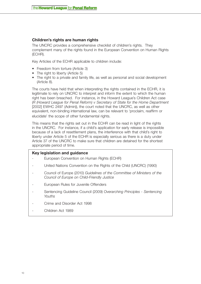# **Children's rights are human rights**

The UNCRC provides a comprehensive checklist of children's rights. They complement many of the rights found in the European Convention on Human Rights (ECHR).

Key Articles of the ECHR applicable to children include:

- Freedom from torture (Article 3)
- The right to liberty (Article 5)
- The right to a private and family life, as well as personal and social development (Article 8).

The courts have held that when interpreting the rights contained in the ECHR, it is legitimate to rely on UNCRC to interpret and inform the extent to which the human right has been breached. For instance, in the Howard League's Children Act case (*R (Howard League for Penal Reform) v Secretary of State for the Home Department*  [2002] EWHC 2497 (Admin)), the court noted that the UNCRC, as well as other equivalent, non-binding international law, can be relevant to 'proclaim, reaffirm or elucidate' the scope of other fundamental rights.

This means that the rights set out in the ECHR can be read in light of the rights in the UNCRC. For instance, if a child's application for early release is impossible because of a lack of resettlement plans, the interference with that child's right to liberty under Article 5 of the ECHR is especially serious as there is a duty under Article 37 of the UNCRC to make sure that children are detained for the shortest appropriate period of time.

### **Key legislation and guidance**

- European Convention on Human Rights (ECHR)
- United Nations Convention on the Rights of the Child (UNCRC) (1990)
- Council of Europe (2010) *Guidelines of the Committee of Ministers of the Council of Europe on Child-Friendly Justice*
- European Rules for Juvenile Offenders
- Sentencing Guideline Council (2009) *Overarching Principles Sentencing Youths*
- Crime and Disorder Act 1998
- Children Act 1989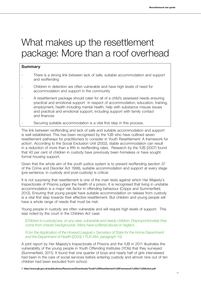# <span id="page-12-0"></span>What makes up the resettlement package: More than a roof overhead

# **Summary**

- There is a strong link between lack of safe, suitable accommodation and support and reoffending
- Children in detention are often vulnerable and have high levels of need for accommodation and support in the community
- A resettlement package should cater for all of a child's assessed needs ensuring practical and emotional support in respect of accommodation, education, training, employment, health including mental health, help with substance misuse issues and practical and emotional support, including support with family contact and finances
- Securing suitable accommodation is a vital first step in this process.

The link between reoffending and lack of safe and suitable accommodation and support is well established. This has been recognised by the YJB who have outlined seven resettlement pathways for practitioners to consider in Youth Resettlement: A framework for action<sup>1</sup>. According to the Social Exclusion Unit (2002), stable accommodation can result in a reduction of more than a fifth in reoffending rates. Research by the YJB (2007) found that 40 per cent of children in custody have previously been homeless or have sought formal housing support.

Given that the whole aim of the youth justice system is to prevent reoffending (section 37 of the Crime and Disorder Act 1998), suitable accommodation and support at every stage (pre-sentence, in custody and post-custody) is critical.

It is not surprising that resettlement is one of the main tests against which Her Majesty's Inspectorate of Prisons judges the health of a prison. It is recognised that living in unstable accommodation is a major risk factor in offending behaviour (Cripps and Summerfield, 2012). Ensuring that young people have suitable accommodation on release from custody is a vital first step towards their effective resettlement. But children and young people will have a whole range of needs that must be met.

Young people in custody are often vulnerable and will require high levels of support. This was noted by the court in the Children Act case:

*[Children in custody] are, on any view, vulnerable and needy children. Disproportionately they come from chaotic backgrounds. Many have suffered abuse or neglect…* 

### *R (on the Application of the Howard League) v Secretary of State for the Home Department and the Department of Health* [2003] 1 FLR 484, paragraph 10).

A joint report by Her Majesty's Inspectorate of Prisons and the YJB in 2011 illustrates the vulnerability of the young people in Youth Offending Institutes (YOIs) that they surveyed (Summerfield, 2011). It found that one quarter of boys and nearly half of girls interviewed had been in the care of social services before entering custody and almost nine out of ten children had been excluded from school.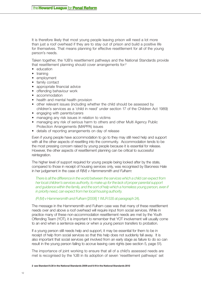It is therefore likely that most young people leaving prison will need a lot more than just a roof overhead if they are to stay out of prison and build a positive life for themselves. That means planning for effective resettlement for all of the young person's needs.

Taken together, the YJB's resettlement pathways and the National Standards provide that resettlement planning should cover arrangements for:2

- education
- training
- • employment
- family contact
- appropriate financial advice
- offending behaviour work
- accommodation
- health and mental health provision
- other relevant issues (including whether the child should be assessed by children's services as a 'child in need' under section 17 of the Children Act 1989)
- engaging with parents/carers
- managing any risk issues in relation to victims
- managing any risk of serious harm to others and other Multi Agency Public Protection Arrangements (MAPPA) issues
- details of reporting arrangements on day of release

Even if young people have accommodation to go to they may still need help and support with all the other aspects of resettling into the community. Accommodation tends to be the most pressing concern raised by young people because it is essential for release. However, the other aspects of resettlement planning can be critical to successful reintegration.

The higher level of support required for young people being looked after by the state, compared to those in receipt of housing services only, was recognised by Baroness Hale in her judgement in the case of *R(M) v Hammersmith and Fulham:*

*There is all the difference in the world between the services which a child can expect from her local children's services authority, to make up for the lack of proper parental support*  and quidance within the family, and the sort of help which a homeless young person, even if *in priority need, can expect from her local housing authority.* 

#### *(R (M) v Hammersmith and Fulham* [2008] 1 WLR 535 at paragraph 24).

The message in the Hammersmith and Fulham case was that many of these resettlement needs over and above a roof overhead will require input from social services. While in practice many of these non-accommodation resettlement needs are met by the Youth Offending Team (YOT), it is important to remember that YOT involvement will usually come to an end when a sentence expires or when a young person transfers to probation.

If a young person still needs help and support, it may be essential for them to be in receipt of help from social services so that this help does not suddenly fall away. It is also important that social services get involved from an early stage as failure to do so can result in the young person failing to accrue leaving care rights (see section 5, page 51).

The importance of joint working to ensure that all of a child's assessed needs are met is recognised by the YJB in its adoption of seven 'resettlement pathways' set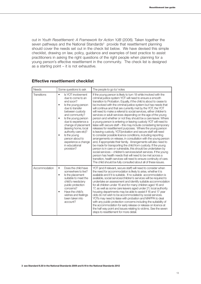out in *Youth Resettlement: A Framework for Action YJB* (2006). Taken together the seven pathways and the National Standards<sup>3</sup> provide that resettlement planning should cover the needs set out in the check list below. We have devised this simple checklist, drawing on law, policy, guidance and examples of best practice to assist practitioners in asking the right questions of the right people when planning for a young person's effective resettlement in the community. The check list is designed as a starting point – it is not exhaustive.

| <b>Needs</b>       | Some questions to ask                                                                                                                                                                                                                                                                                                                                                        | The people to go to/notes                                                                                                                                                                                                                                                                                                                                                                                                                                                                                                                                                                                                                                                                                                                                                                                                                                                                                                                                                                                                                                                                                                                                                                                                                                                                                                                                                                                                              |
|--------------------|------------------------------------------------------------------------------------------------------------------------------------------------------------------------------------------------------------------------------------------------------------------------------------------------------------------------------------------------------------------------------|----------------------------------------------------------------------------------------------------------------------------------------------------------------------------------------------------------------------------------------------------------------------------------------------------------------------------------------------------------------------------------------------------------------------------------------------------------------------------------------------------------------------------------------------------------------------------------------------------------------------------------------------------------------------------------------------------------------------------------------------------------------------------------------------------------------------------------------------------------------------------------------------------------------------------------------------------------------------------------------------------------------------------------------------------------------------------------------------------------------------------------------------------------------------------------------------------------------------------------------------------------------------------------------------------------------------------------------------------------------------------------------------------------------------------------------|
| <b>Transitions</b> | Is YOT involvement<br>$\bullet$<br>due to come to an<br>end soon?<br>Is the young person<br>due to transfer<br>between custody<br>and community?<br>Is the young person<br>$\bullet$<br>due to experience a<br>change of placement<br>(leaving home, local<br>authority care etc)?<br>Is the young<br>person about to<br>experience a change<br>in educational<br>provision? | If the young person is likely to turn 18 while involved with the<br>criminal justice system YOT will need to ensure a smooth<br>transition to Probation. Equally, if the child is about to cease to<br>be involved with the criminal justice system but has needs that<br>will continue and that are currently met by the YOT, the YOT<br>will need to make a referral to social services, either children's<br>services or adult services depending on the age of the young<br>person and whether or not they should be a care leaver. Where<br>a young person is entering or leaving custody YOT will need to<br>liaise with secure staff - this may include considering temporary<br>releases for resettlement purposes. Where the young person<br>is leaving custody, YOT/probation and secure staff will need<br>to consider possible licence conditions, including reporting<br>arrangements on release, in consultation with the young person<br>and, if appropriate their family. Arrangements will also need to<br>be made for transporting the child from custody. If the young<br>person is in care or vulnerable, this should be undertaken by<br>social services - children's services/adult services. If the young<br>person has health needs that will need to be met across a<br>transition, health services will need to ensure continuity of care.<br>The child should be fully consulted about all of these issues. |
| Accommodation      | Does the child have<br>$\bullet$<br>somewhere to live?<br>Is the placement<br>$\bullet$<br>suitable to meet the<br>child's needs/any<br>public protection<br>concerns?<br>Have the child's<br>wishes and feelings<br>been taken into<br>account?                                                                                                                             | YOT (and if relevant, secure staff) will need to consider when<br>the need for accommodation is likely to arise, whether it is<br>available and if it is suitable. If no suitable accommodation is<br>available, social services/children's services will be required to<br>undertake an assessment and identify suitable accommodation<br>for all children under 16 and for many children aged 16 and<br>17, as well as some care leavers aged under 21; local authority<br>housing departments may be able to assist if 16 and 17 year<br>olds do not wish to be accommodated by social services.<br>YOTs may need to liaise with probation and MAPPA to deal<br>with any public protection concerns including the suitability of<br>the accommodation for early release or release on licence at<br>the half way point and issues relating to victims. See the seven<br>steps to resettlement for more detail.                                                                                                                                                                                                                                                                                                                                                                                                                                                                                                                      |

#### **Effective resettlement checklist**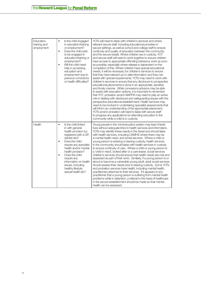| Education,<br>training and<br>employment | $\bullet$<br>Is the child engaged<br>in education/training<br>or employment?<br>Does the child wish<br>$\bullet$<br>to be engaged in<br>education/training or<br>employment?<br>Will the child need<br>help in accessing<br>education and<br>employment due to<br>previous convictions<br>or health difficulties?                                             | YOTs will need to liaise with children's services and where<br>relevant secure staff, including educational providers in<br>secure settings, as well as school and college staff to ensure<br>continuity and quality of education between the community<br>and the secure estate. Where children are in custody, YOT<br>and secure staff will need to work together to ensure children<br>have access to appropriate offending behaviour work as soon<br>as possible, especially where release is dependent on the<br>completion of this. Where children have special educational<br>needs, it will be necessary for children's services to ensure<br>that they have relevant up to date information and they can<br>assist with special requirements; YOTs may need to work with<br>children's services to ensure that any disclosure to prospective<br>educational placements is done in an appropriate, sensitive<br>and timely manner. While connexions advisors may be able<br>to assist with education options, it is important to remember<br>that YOT, probation and/or MAPPA may need to play an active<br>role in dealing with disclosure and safeguarding issues with the<br>perspective educational establishment. Health services may<br>need to be involved in undertaking specialist assessments that<br>will inform an understanding of the appropriate placement.<br>YOTs and/or probation will need to liaise with secure staff<br>to progress any applications for attending education in the<br>community while a child is in custody. |
|------------------------------------------|---------------------------------------------------------------------------------------------------------------------------------------------------------------------------------------------------------------------------------------------------------------------------------------------------------------------------------------------------------------|------------------------------------------------------------------------------------------------------------------------------------------------------------------------------------------------------------------------------------------------------------------------------------------------------------------------------------------------------------------------------------------------------------------------------------------------------------------------------------------------------------------------------------------------------------------------------------------------------------------------------------------------------------------------------------------------------------------------------------------------------------------------------------------------------------------------------------------------------------------------------------------------------------------------------------------------------------------------------------------------------------------------------------------------------------------------------------------------------------------------------------------------------------------------------------------------------------------------------------------------------------------------------------------------------------------------------------------------------------------------------------------------------------------------------------------------------------------------------------------------------------------------------------------------------------|
| Health                                   | Is the child linked<br>$\bullet$<br>in with general<br>health provision (i.e.<br>registered with a GP,<br>dentist etc)?<br>Does the child<br>٠<br>require any specialist<br>health and/or mental<br>health provision?<br>Does the child<br>$\bullet$<br>require any<br>information on health<br>issues, including<br>healthy lifestyle,<br>sexual health etc? | Young people in the criminal justice system may lead chaotic<br>lives without adequate links to health services and information.<br>YOTs may identify these needs in the Asset and should liaise<br>with health services, including CAMHS where there may be<br>a mental health need, and social services. Where a child or<br>young person is entering or leaving custody, health services<br>in the community should liaise with health services in custody<br>to ensure continuity of care. Where a child or young person is<br>a 'child in need', looked after or a care leaver, social services<br>children's services should ensure that health needs are met and<br>assessed as part of their work. Similarly, if a young person is or<br>about to become a vulnerable young adult, adult social services<br>should assess their needs prior to leaving custody. Some YOTs<br>and probation services have health, including mental health,<br>practitioners attached to their services. If it appears to any<br>practitioner that a young person is suffering from mental health<br>problems while in detention, a referral to the head of healthcare<br>in the secure establishment should be made so that mental<br>health can be assessed.                                                                                                                                                                                                                                                                                                       |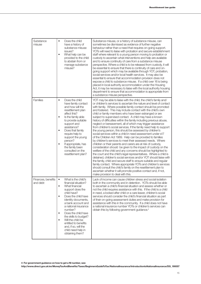| Substance<br>misuse            | $\bullet$<br>Does the child<br>have a history of<br>substance misuse<br>issues?<br>What help can be<br>$\bullet$<br>provided to the child<br>to abstain from or<br>manage substance<br>misuse?                                                                                                                                                                                                                                         | Substance misuse, or a history of substance misuse, can<br>sometimes be dismissed as evidence of further negative<br>behaviour rather than a need that requires on-going support.<br>YOTs will need to liaise with probation and secure establishment<br>staff where relevant to a young person moving to probation or<br>custody to ascertain what interventions and help are available<br>and to ensure continuity of care from a substance misuse<br>perspective. Where a child is to be released from custody, it will<br>be essential to ensure that there is continuity of care and on-<br>going support which may be available through YOT, probation,<br>social services and/or local health services. It may also be<br>essential to ensure that accommodation provision does not<br>expose a child to substance misuse. If a child over 16 is being<br>placed in local authority accommodation under the Housing<br>Act, it may be necessary to liaise with the local authority housing<br>department to ensure that accommodation is appropriate from<br>a substance misuse perspective.                                                                                                                                                                                                                                                                                                                                                                                                                            |
|--------------------------------|----------------------------------------------------------------------------------------------------------------------------------------------------------------------------------------------------------------------------------------------------------------------------------------------------------------------------------------------------------------------------------------------------------------------------------------|--------------------------------------------------------------------------------------------------------------------------------------------------------------------------------------------------------------------------------------------------------------------------------------------------------------------------------------------------------------------------------------------------------------------------------------------------------------------------------------------------------------------------------------------------------------------------------------------------------------------------------------------------------------------------------------------------------------------------------------------------------------------------------------------------------------------------------------------------------------------------------------------------------------------------------------------------------------------------------------------------------------------------------------------------------------------------------------------------------------------------------------------------------------------------------------------------------------------------------------------------------------------------------------------------------------------------------------------------------------------------------------------------------------------------------------------------------------------------------------------------------------------------------|
| <b>Families</b>                | Does the child<br>$\bullet$<br>have family contact<br>and how will the<br>resettlement plan<br>affect this?<br>Is the family able<br>$\bullet$<br>to provide suitable<br>support and<br>assistance?<br>Does that family<br>require help to<br>support the young<br>person?<br>If appropriate, has<br>$\bullet$<br>the family been<br>consulted on the<br>resettlement plan?                                                            | YOT may be able to liaise with the child, the child's family and/<br>or children's services to ascertain the nature and level of contact<br>with family. Where possible family contact should be promoted<br>and fostered. This may include contact with the child's own<br>child or family members who have been estranged or are<br>subject to supervised contact. A child may have a known<br>history of difficulties within the family including previous abuse,<br>neglect or bereavement, all of which may trigger assistance<br>from children's social services. If the family need help to support<br>the young person, this should be assessed by children's<br>social services within a child in need assessment under s17<br>of the Children Act 1989. Help can be provided to families<br>by children's services to meet their assessed needs. Where<br>children or their parents and carers are at risk of custody,<br>consideration should be given to the impact of custody on the<br>welfare of the child and any concerns should be highlighted to<br>the court and the child's legal representatives. Where a child is<br>detained, children's social services and/or YOT should liaise with<br>the family, child and secure staff to ensure suitable and regular<br>family contact. Where appropriate YOTs and children's services<br>should consult the child's family on the resettlement plan to<br>ascertain whether it will promote positive contact and, if not,<br>make provision to deal with this. |
| Finances, benefits<br>and debt | What is the child's<br>$\bullet$<br>financial situation?<br>What financial<br>$\bullet$<br>support does the<br>child have?<br>Does the child have<br>$\bullet$<br>identity documents,<br>a bank account and<br>a national insurance<br>number?<br>Does the child have<br>$\bullet$<br>the skills to budget?<br>Will the child be<br>$\bullet$<br>entitled to benefits<br>and, if so, will the<br>child need help in<br>obtaining them? | Lack of income can cause children stress and social isolation<br>both in the community and in detention. YOTs should be able<br>to ascertain a child's financial situation and assess whether or<br>not the child requires assistance with this. If the child is a child<br>in need, a looked after child or a care leaver, children's social<br>services should consider the child's financial situation as part<br>of their on-going assessment duties and make provision for<br>assistance with this in the community. If a child does not have<br>a national insurance number YOTs or children's services can<br>obtain this by following government guidance. <sup>4</sup>                                                                                                                                                                                                                                                                                                                                                                                                                                                                                                                                                                                                                                                                                                                                                                                                                                                |

**4 For government guidance on how to get a NI number, see:** 

**http://www.direct.gov.uk/en/MoneyTaxAndBenefits/Taxes/BeginnersGuideToTax/NationalInsurance/IntroductiontoNationalInsurance/DG\_190057**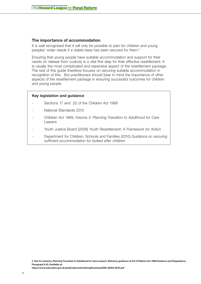# **The importance of accommodation**

It is well recognised that it will only be possible to plan for children and young peoples' wider needs if a stable base has been secured for them.5

Ensuring that young people have suitable accommodation and support for their needs on release from custody is a vital first step for their effective resettlement. It is usually the most complicated and expensive aspect of the resettlement package. The rest of this guide therefore focuses on securing suitable accommodation in recognition of this. But practitioners should bear in mind the importance of other aspects of the resettlement package in ensuring successful outcomes for children and young people.

#### **Key legislation and guidance**

- Sections 17 and 20 of the Children Act 1989
- National Standards 2012
- Children Act 1989, Volume 3: Planning Transition to Adulthood for Care Leavers
- Youth Justice Board (2006) *Youth Resettlement: A Framework for Action*
- Department for Children, Schools and Families (2010) *Guidance on securing sufficient accommodation for looked after children*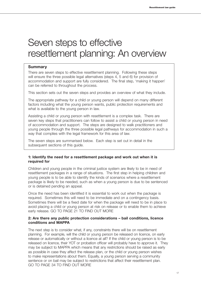# <span id="page-18-0"></span>Seven steps to effective resettlement planning: An overview

# **Summary**

There are seven steps to effective resettlement planning. Following these steps will ensure the three possible legal alternatives (steps 4, 5 and 6) for provision of accommodation and support are fully considered. The final step, 'making it happen' can be referred to throughout the process.

This section sets out the seven steps and provides an overview of what they include.

The appropriate pathway for a child or young person will depend on many different factors including what the young person wants, public protection requirements and what is available to the young person in law.

Assisting a child or young person with resettlement is a complex task. There are seven key steps that practitioners can follow to assist a child or young person in need of accommodation and support. The steps are designed to walk practitioners and young people through the three possible legal pathways for accommodation in such a way that complies with the legal framework for this area of law.

The seven steps are summarised below. Each step is set out in detail in the subsequent sections of this guide.

#### **1: Identify the need for a resettlement package and work out when it is required for**

Children and young people in the criminal justice system are likely to be in need of resettlement packages in a range of situations. The first step in helping children and young people is to be able to identify the kinds of scenarios where a resettlement package is likely to be needed, such as when a young person is due to be sentenced or is detained pending an appeal.

Once the need has been identified it is essential to work out when the package is required. Sometimes this will need to be immediate and on a contingency basis. Sometimes there will be a fixed date for when the package will need to be in place to avoid placing a child or young person at risk on release or to enable them to achieve early release. GO TO PAGE 21 TO FIND OUT MORE

### **2: Are there any public protection considerations – bail conditions, licence conditions and MAPPA**

The next step is to consider what, if any, constraints there will be on resettlement planning. For example, will the child or young person be released on licence, on early release or automatically or without a licence at all? If the child or young person is to be released on licence, their YOT or probation officer will probably have to approve it. They may be subject to MAPPA which means that any restrictions should be raised as early as possible in case they affect the release plan, or the child or young person wishes to make representations about them. Equally, a young person serving a community sentence or on bail may be subject to restrictions that affect their resettlement plan. GO TO PAGE 34 TO FIND OUT MORE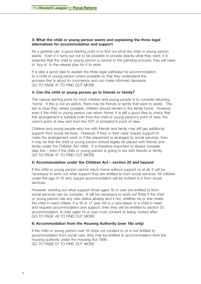#### **3: What the child or young person wants and explaining the three legal alternatives for accommodation and support**

As a general rule, a good starting point is to find out what the child or young person wants. Even if it turns out not to be possible to provide exactly what they want, it is essential that the child or young person is central to the planning process: they will need to 'buy in' to the release plan for it to work.

It is also a good idea to explain the three legal pathways for accommodation to a child or young person where possible so that they understand the process that is about to commence and can make informed decisions. GO TO PAGE 41 TO FIND OUT MORE

#### **4: Can the child or young person go to friends or family?**

The natural starting point for most children and young people is to consider returning 'home'. If this is not an option, there may be friends or family that want to assist. The law is clear that, where possible, children should remain in the family home. However, even if the child or young person can return home, it is still a good idea to check that this arrangement is suitable both from the child or young person's point of view, the carer's point of view and from the YOT or probation's point of view.

Children and young people who live with friends and family may still get additional support from social services. However, if they or their carer require support to make the arrangement work or if the placement is arranged by social services, then it may be that the child or young person should legally be placed with friends and family under the Children Act 1989. It is therefore important to always consider step five – even if the child or young person is going to live with friends or family. GO TO PAGE 47 TO FIND OUT MORE

#### **5: Accommodation under the Children Act – section 20 and beyond**

If the child or young person cannot return home without support or at all, it will be necessary to work out what support they are entitled to from social services. All children under the age of 16 who require accommodation will be entitled to it from social services.

However, working out what support those aged 16 or over are entitled to from social services can be complex. It will be necessary to work out firstly if the child or young person has any care status already and if not, whether he or she meets the child in need criteria. If a 16 or 17 year old is a care leaver or a child in need and requires accommodation and support, then they will be entitled to section 20 accommodation. A child aged 16 or over must consent to being 'looked after'. GO TO PAGE 49 TO FIND OUT MORE

### **6: Accommodation from the Housing Authority (over 16s only)**

If the child or young person over 16 does not consent to or is not entitled to accommodation from social care, they may be entitled to accommodation from the housing authority under the Housing Act 1996. GO TO PAGE 61 TO FIND OUT MORE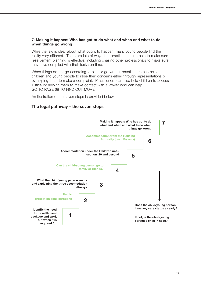#### **7: Making it happen: Who has got to do what and when and what to do when things go wrong**

While the law is clear about what ought to happen, many young people find the reality very different. There are lots of ways that practitioners can help to make sure resettlement planning is effective, including chasing other professionals to make sure they have complied with their tasks on time.

When things do not go according to plan or go wrong, practitioners can help children and young people to raise their concerns either through representations or by helping them to make a complaint. Practitioners can also help children to access justice by helping them to make contact with a lawyer who can help. GO TO PAGE 68 TO FIND OUT MORE

An illustration of the seven steps is provided below.

# **The legal pathway – the seven steps**

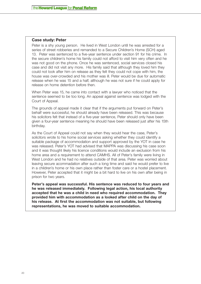#### **Case study: Peter**

Peter is a shy young person. He lived in West London until he was arrested for a series of street robberies and remanded to a Secure Children's Home (SCH) aged 13. Peter was sentenced to a five-year sentence under section 91 for his crime. In the secure children's home his family could not afford to visit him very often and he was not good on the phone. Once he was sentenced, social services closed his case and did not visit any more. His family said that although they loved him they could not look after him on release as they felt they could not cope with him, the house was over-crowded and his mother was ill. Peter would be due for automatic release when he was 15 and a half, although he was not sure if he could apply for release on home detention before then.

When Peter was 15, he came into contact with a lawyer who noticed that the sentence seemed to be too long. An appeal against sentence was lodged with the Court of Appeal.

The grounds of appeal made it clear that if the arguments put forward on Peter's behalf were successful, he should already have been released. This was because his solicitors felt that instead of a five-year sentence, Peter should only have been given a four-year sentence meaning he should have been released just after his 15th birthday.

As the Court of Appeal could not say when they would hear the case, Peter's solicitors wrote to his home social services asking whether they could identify a suitable package of accommodation and support approved by the YOT in case he was released. Peter's YOT had advised that MAPPA was discussing his case soon and it was thought likely his licence conditions would include an exclusion from his home area and a requirement to attend CAMHS. All of Peter's family were living in West London and he had no relatives outside of that area. Peter was worried about leaving secure acommadation after such a long time and said he would prefer to live in a children's home or his own place rather than foster care or a hostel placement. However, Peter accepted that it might be a bit hard to live on his own after being in prison for two years.

**Peter's appeal was successful. His sentence was reduced to four years and he was released immediately. Following legal action, his local authority accepted that he was a child in need who required accommodation. They provided him with accommodation as a looked after child on the day of his release. At first the accommodation was not suitable, but following representations, he was moved to suitable accommodation.**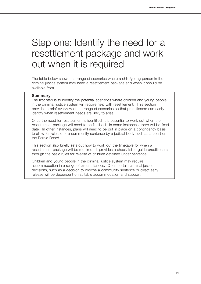# <span id="page-22-0"></span>Step one: Identify the need for a resettlement package and work out when it is required

The table below shows the range of scenarios where a child/young person in the criminal justice system may need a resettlement package and when it should be available from.

#### **Summary**

The first step is to identify the potential scenarios where children and young people in the criminal justice system will require help with resettlement. This section provides a brief overview of the range of scenarios so that practitioners can easily identify when resettlement needs are likely to arise.

Once the need for resettlement is identified, it is essential to work out when the resettlement package will need to be finalised. In some instances, there will be fixed date. In other instances, plans will need to be put in place on a contingency basis to allow for release or a community sentence by a judicial body such as a court or the Parole Board.

This section also briefly sets out how to work out the timetable for when a resettlement package will be required. It provides a check list to guide practitioners through the basic rules for release of children detained under sentence.

Children and young people in the criminal justice system may require accommodation in a range of circumstances. Often certain criminal justice decisions, such as a decision to impose a community sentence or direct early release will be dependent on suitable accommodation and support.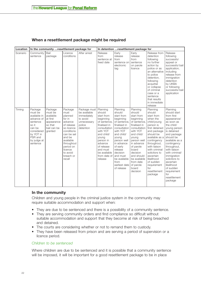| When a resettlement package might be required |  |  |  |
|-----------------------------------------------|--|--|--|
|-----------------------------------------------|--|--|--|

| Location |                                                                                                                                                  | In the community resettlement package for                                                      |                                                                                                                                                                                                         |                                                                                               |                                                                                                                                                                                                                               |                                                                                                                                                                                                                                                                     | In detention resettlement package for                                                                                                                                                                                                                                        |                                                                                                                                                                                                                                                                                                                   |                                                                                                                                                                                                                                                                                                                                                         |
|----------|--------------------------------------------------------------------------------------------------------------------------------------------------|------------------------------------------------------------------------------------------------|---------------------------------------------------------------------------------------------------------------------------------------------------------------------------------------------------------|-----------------------------------------------------------------------------------------------|-------------------------------------------------------------------------------------------------------------------------------------------------------------------------------------------------------------------------------|---------------------------------------------------------------------------------------------------------------------------------------------------------------------------------------------------------------------------------------------------------------------|------------------------------------------------------------------------------------------------------------------------------------------------------------------------------------------------------------------------------------------------------------------------------|-------------------------------------------------------------------------------------------------------------------------------------------------------------------------------------------------------------------------------------------------------------------------------------------------------------------|---------------------------------------------------------------------------------------------------------------------------------------------------------------------------------------------------------------------------------------------------------------------------------------------------------------------------------------------------------|
| Scenario | Community<br>sentence                                                                                                                            | Bail<br>package                                                                                | Licence<br>conditions                                                                                                                                                                                   | After arrest                                                                                  | Release<br>from<br>sentence at<br>fixed date                                                                                                                                                                                  | Early<br>release<br>from<br>sentence on<br>electronic<br>tag                                                                                                                                                                                                        | Early<br>release<br>from<br>sentence<br>on parole<br>licence                                                                                                                                                                                                                 | Release from<br>detention<br>following<br>no further<br>action by<br>police or as<br>an alternative<br>to police<br>detention,<br>following<br>acquittal<br>or collapse<br>of criminal<br>case or a<br>sentence<br>that results<br>in immediate<br>release                                                        | Release<br>following<br>successful<br>appeal or<br>successful bail<br>application,<br>including<br>release from<br>immigration<br>detention<br>by UKBA<br>or following<br>successful bail<br>application                                                                                                                                                |
| Timing   | Package<br>must be<br>available in<br>advance of<br>sentence<br>so it<br>can be<br>considered<br>by YOT in<br>PSR and<br>by judge at<br>sentence | Package<br>must be<br>available<br>at first<br>appearance<br>so that<br>bail can be<br>granted | Package<br>must<br>planned<br>for in<br>advance<br>of release<br>so licence<br>conditions<br>can be set<br>and be<br>available<br>throughout<br>period on<br>licence<br>to avoid<br>breach or<br>recall | Package must<br>be available<br>immediately<br>to avoid<br>unnecessary<br>police<br>detention | Planning<br>should<br>start from<br>beginning<br>of sentence,<br>finalised in<br>consultation<br>with YOT<br>and child/<br>young<br>person in<br>advance<br>of release<br>and must<br>be available<br>from date of<br>release | Planning<br>should<br>start from<br>beginning<br>of sentence,<br>finalised in<br>consultation<br>with YOT<br>and child/<br>young<br>person well<br>in advance<br>of early<br>release<br>decision<br>and must<br>be available<br>from<br>earliest date<br>of release | Planning<br>should<br>start from<br>beginning<br>of sentence.<br>finalised in<br>consultation<br>with YOT<br>and child/<br>young<br>person well<br>in advance<br>of parole<br>board<br>decision<br>and should<br>be available<br>from date<br>of parole<br>board<br>decision | Planning<br>should<br>start from<br>when the<br>child/young<br>person is<br>first detained<br>and package<br>should be<br>available as a<br>contingency<br>throughout,<br>with liaison<br>with criminal<br>solicitors to<br>ascertain<br>likelihood<br>of sudden<br>requirement<br>for<br>resettlement<br>package | Planning<br>should start<br>from first<br>appearance/<br>as soon as<br>the child/<br>young person<br>is detained<br>and package<br>should be<br>available as a<br>contingency<br>throughout,<br>with liaison<br>with criminal/<br>immigration<br>solicitors to<br>ascertain<br>likelihood<br>of sudden<br>requirement<br>for<br>resettlement<br>package |

# **In the community**

Children and young people in the criminal justice system in the community may require suitable accommodation and support when:

- They are due to be sentenced and there is a possibility of a community sentence.
- They are serving community orders and find compliance so difficult without suitable accommodation and support that they become at risk of being breached and detained.
- The courts are considering whether or not to remand them to custody.
- They have been released from prison and are serving a period of supervision or a licence period.

#### *Children to be sentenced*

Where children are due to be sentenced and it is possible that a community sentence will be imposed, it will be important for a good resettlement package to be in place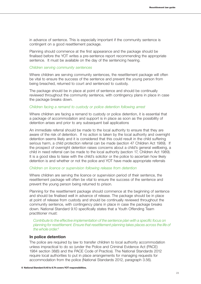in advance of sentence. This is especially important if the community sentence is contingent on a good resettlement package.

Planning should commence at the first appearance and the package should be finalised before the YOT writes a pre-sentence report recommending the appropriate sentence. It must be available on the day of the sentencing hearing.

#### *Children serving community sentences*

Where children are serving community sentences, the resettlement package will often be vital to ensure the success of the sentence and prevent the young person from being breached, returned to court and sentenced to custody.

The package should be in place at point of sentence and should be continually reviewed throughout the community sentence, with contingency plans in place in case the package breaks down.

#### *Children facing a remand to custody or police detention following arrest*

Where children are facing a remand to custody or police detention, it is essential that a package of accommodation and support is in place as soon as the possibility of detention arises and prior to any subsequent bail applications

An immediate referral should be made to the local authority to ensure that they are aware of the risk of detention. If no action is taken by the local authority and overnight detention seems likely and it is considered that this could result in the child suffering serious harm, a child protection referral can be made (section 47 Children Act 1989). If the prospect of overnight detention raises concerns about a child's general wellbeing, a child in need referral can be made to the local authority (section 17, Children Act 1989). It is a good idea to liaise with the child's solicitor or the police to ascertain how likely detention is and whether or not the police and YOT have made appropriate referrals

#### *Children on licence or supervision following release from detention*

Where children are serving the licence or supervision period of their sentence, the resettlement package will often be vital to ensure the success of the sentence and prevent the young person being returned to prison.

Planning for the resettlement package should commence at the beginning of sentence and should be finalised well in advance of release. The package should be in place at point of release from custody and should be continually reviewed throughout the community sentence, with contingency plans in place in case the package breaks down. National Standard 9.10 specifically states that a Youth Offending Team practitioner must:

*Contribute to the effective implementation of the sentence plan with a specific focus on planning for resettlement. Ensure that resettlement planning takes places across the life of the whole order.6*

#### **In police detention**

The police are required by law to transfer children to local authority accommodation unless impractical to do so (under the Police and Criminal Evidence Act (PACE) 1984 section 38(6) and the PACE Code of Practice). The National Standards 2012 require local authorities to put in place arrangements for managing requests for accommodation from the police (National Standards 2012, paragraph 3.56).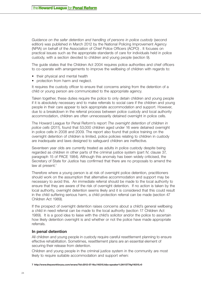*Guidance on the safer detention and handling of persons in police custody* (second edition) was published in March 2012 by the National Policing Improvement Agency (NPIA) on behalf of the Association of Chief Police Officers (ACPO) . It focuses on practical issues such as the appropriate standards of care for individuals held in police custody, with a section devoted to children and young people (section 9).

The guide states that the Children Act 2004 requires police authorities and chief officers to co-operate with arrangements to improve the wellbeing of children with regards to:

- their physical and mental health
- protection from harm and neglect.

It requires the custody officer to ensure that concerns arising from the detention of a child or young person are communicated to the appropriate agency.

Taken together, these duties require the police to only detain children and young people if it is absolutely necessary and to make referrals to social care if the children and young people in their care appear to lack appropriate accommodation and support. However, due to a breakdown in the referral process between police custody and local authority accommodation, children are often unnecessarily detained overnight in police cells.

The Howard League for Penal Reform's report *The overnight detention of children in police cells* (2011), found that 53,000 children aged under 16 were detained overnight in police cells in 2008 and 2009. The report also found that police training on the overnight detention of children is limited, police policies relating to children in custody are inadequate and laws designed to safeguard children are ineffective.

Seventeen year olds are currently treated as adults in police custody despite being regarded as children in other parts of the criminal justice system (part IV, clause 37, paragraph 15 of PACE 1984). Although this anomaly has been widely criticised, the Secretary of State for Justice has confirmed that there are no proposals to amend the law at present.<sup>7</sup>

Therefore where a young person is at risk of overnight police detention, practitioners should work on the assumption that alternative accommodation and support may be necessary to avoid this. An immediate referral should be made to the local authority to ensure that they are aware of the risk of overnight detention. If no action is taken by the local authority, overnight detention seems likely and it is considered that this could result in the child suffering serious harm, a child protection referral can be made (section 47 Children Act 1989).

If the prospect of overnight detention raises concerns about a child's general wellbeing a child in need referral can be made to the local authority (section 17 Children Act 1989). It is a good idea to liaise with the child's solicitor and/or the police to ascertain how likely detention overnight is and whether or not the police have made appropriate referrals.

#### **In penal detention**

All children and young people in custody require careful resettlement planning to ensure effective rehabilitation. Sometimes, resettlement plans are an essential element of securing their release from detention.

Children and young people in the criminal justice system in the community are most likely to require suitable accommodation and support when:

**<sup>7</sup> http://www.theyworkforyou.com/wrans/?id=2012-07-16a.116315.h&s=speaker%3A11377#g116315.r0**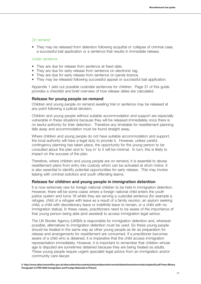#### *On remand*

• They may be released from detention following acquittal or collapse of criminal case, a successful bail application or a sentence that results in immediate release.

#### *Under sentence*

- They are due for release from sentence at fixed date.
- They are due for early release from sentence on electronic tag.
- They are due for early release from sentence on parole licence.
- They may be released following successful appeal or successful bail application.

Appendix 1 sets out possible custodial sentences for children. Page 31 of this guide provides a checklist and brief overview of how release dates are calculated.

#### **Release for young people on remand**

Children and young people on remand awaiting trial or sentence may be released at any point following a judicial decision.

Children and young people without suitable accommodation and support are especially vulnerable in these situations because they will be released immediately once there is no lawful authority for their detention. Therefore any timetable for resettlement planning falls away and accommodation must be found straight away.

Where children and young people do not have suitable accommodation and support, the local authority will have a legal duty to provide it. However, unless careful contingency planning has taken place, the opportunity for the young person to be consulted about the plan and to 'buy in' to it will be minimal. In turn, this is likely to impact on the success of the plan.

Therefore, where children and young people are on remand, it is essential to devise resettlement plans from entry into custody which can be activated at short notice. It is also essential to identify potential opportunities for early release. This may involve liaising with criminal solicitors and youth offending teams.

#### **Release for children and young people in immigration detention**

It is now extremely rare for foreign national children to be held in immigration detention. However, there will be some cases where a foreign national child enters the youth justice system and turns 18 whilst they are serving a custodial sentence (for example a refugee, child of a refugee with leave as a result of a family reunion, an asylum seeking child, a child with discretionary leave or indefinite leave to remain, or a child with no immigration status). In these cases, practitioners need to be aware of the importance of that young person being able (and assisted) to access immigration legal advice.

The UK Border Agency (UKBA) is responsible for immigration detention and, wherever possible, alternatives to immigration detention must be used. So these young people should be treated in the same way as other young people as far as preparation for release and arrangements for resettlement are concerned. If a practitioner becomes aware of a child who is detained, it is imperative that the child access immigration representation immediately. However, it is important to remember that children whose age is disputed are sometimes detained because they are being treated as adults. These young people require urgent specialist legal advice from an immigration and/or community care lawyer.

**<sup>8</sup> http://www.ukba.homeoffice.gov.uk/sitecontent/documents/policyandlaw/enforcement/detentionandremovals/chapter55.pdf?view=Binary Paragraph 4.4 PS0 4630 Immigration and Foreign Nationals in Prisons**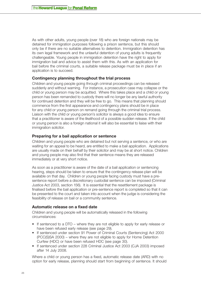As with other adults, young people (over 18) who are foreign nationals may be detained for immigration purposes following a prison sentence, but this should only be if there are no suitable alternatives to detention. Immigration detention has its own legal framework and the unlawful detention of young adults is frequently challengeable. Young people in immigration detention have the right to apply for immigration bail and advice to assist them with this. As with an application for bail before the criminal courts, a suitable release package must be in place if an application is to succeed.

### **Contingency planning throughout the trial process**

Children and young people going through criminal proceedings can be released suddenly and without warning. For instance, a prosecution case may collapse or the child or young person may be acquitted. Where this takes place and a child or young person has been remanded to custody there will no longer be any lawful authority for continued detention and they will be free to go. This means that planning should commence from the first appearance and contingency plans should be in place for any child or young person on remand going through the criminal trial process. Liaison with the child or young person's solicitor is always a good idea to ensure that a practitioner is aware of the likelihood of a possible sudden release. If the child or young person is also a foreign national it will also be essential to liaise with their immigration solicitor.

#### **Preparing for a bail application or sentence**

Children and young people who are detained but not serving a sentence, or who are waiting for an appeal to be heard, are entitled to make a bail application. Applications are usually made on their behalf by their solicitor and may be at short notice. Children and young people may also find that their sentence means they are released immediately or at very short notice.

As soon as a practitioner is aware of the date of a bail application or sentencing hearing, steps should be taken to ensure that the contingency release plan will be available on that day. Children or young people facing custody must have a presentence report before a discretionary custodial sentence can be imposed (Criminal Justice Act 2003, section 156). It is essential that the resettlement package is finalised before the bail application or pre-sentence report is completed so that it can be presented to the court and taken into account when the judge is considering the feasibility of release on bail or a community sentence.

# **Automatic release on a fixed date**

Children and young people will be automatically released in the following circumstances:

- If sentenced to a DTO where they are not eligible to apply for early release or have been refused early release (see page 29).
- If sentenced under section 91 Power of Criminal Courts (Sentencing) Act 2000 (PCC(S)SA 2000) – where they are not eligible to apply for Home Detention Curfew (HDC) or have been refused HDC (see page 30).
- If sentenced under section 228 Criminal Justice Act 2003 (CJA 2003) imposed after 14 July 2008.

Where a child or young person has a fixed, automatic release date (ARD) with no option for early release, planning should start from beginning of sentence. It should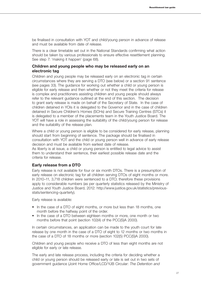be finalised in consultation with YOT and child/young person in advance of release and must be available from date of release.

There is a clear timetable set out in the National Standards confirming what action should be taken by various professionals to ensure effective resettlement planning. See step 7: 'making it happen' (page 68).

## **Children and young people who may be released early on an electronic tag**

Children and young people may be released early on an electronic tag in certain circumstances where they are serving a DTO (see below) or a section 91 sentence (see pages 33). The guidance for working out whether a child or young person is eligible for early release and then whether or not they meet the criteria for release is complex and practitioners assisting children and young people should always refer to the relevant guidance outlined at the end of this section. The decision to grant early release is made on behalf of the Secretary of State. In the case of children detained in YOIs it is delegated to the Governor and in the case of children detained in Secure Children's Homes (SCHs) and Secure Training Centres (STCs) it is delegated to a member of the placements team in the Youth Justice Board. The YOT will have a role in assessing the suitability of the child/young person for release and the suitability of the release plan.

Where a child or young person is eligible to be considered for early release, planning should start from beginning of sentence. The package should be finalised in consultation with YOT and the child or young person well in advance of early release decision and must be available from earliest date of release.

As liberty is at issue, a child or young person is entitled to legal advice to assist them to understand their sentence, their earliest possible release date and the criteria for release.

### **Early release from a DTO**

Early release is not available for four or six month DTOs. There is a presumption of early release on electronic tag for all children serving DTOs of eight months or more. In 2010–11, 3,718 children were sentenced to a DTO; therefore these provisions apply to considerable numbers (as per quarterly statistics released by the Ministry of Justice and Youth Justice Board, 2012: [http://www.justice.gov.uk/statistics/previous](http://www.justice.gov.uk/statistics/previous-stats/sentencing)[stats/sentencing](http://www.justice.gov.uk/statistics/previous-stats/sentencing)-quarterly).

Early release is available:

- In the case of a DTO of eight months, or more but less than 18 months, one month before the halfway point of the order.
- In the case of a DTO between eighteen months or more, one month or two months before that point (section 102(4) of the PCC(S)A 2000).

In certain circumstances, an application can be made to the youth court for late release by one month in the case of a DTO of eight to 12 months or two months in the case of a DTO of 18 months or more (section 102(5) PCC(S)A 2000).

Children and young people who receive a DTO of less than eight months are not eligible for early or late release.

The early and late release process, including the criteria for deciding whether a child or young person should be released early or late is set out in two sets of government guidance (Joint Home Office/LCD/YJB Circular: *The Detention and*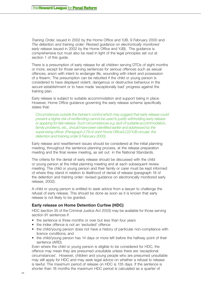*Training Order*, issued in 2002 by the Home Office and YJB, 9 February 2000 and *The detention and training order: Revised guidance on electronically monitored early release* issued in 2002 by the Home Office and YJB). The guidance is comprehensive but must also be read in light of the legal principles set out at section 1 of this quide.

There is a presumption of early release for all children serving DTOs of eight months or more, except for those serving sentences for serious offences such as sexual offences, arson with intent to endanger life, wounding with intent and possession of a firearm. The presumption can be rebutted if the child or young person is considered to have displayed violent, dangerous or destructive behaviour in the secure establishment or to have made 'exceptionally bad' progress against the training plan.

Early release is subject to suitable accommodation and support being in place. However, Home Office guidance governing the early release scheme specifically states that:

*Circumstances outside the trainee's control which may suggest that early release could present a higher risk of reoffending cannot be used to justify withholding early release or applying for late release. Such circumstances e.g. lack of suitable accommodation,*  family problems, etc., should have been identified earlier and addressed by the *supervising officer. (Paragraph 2.79 of Joint Home Office/LCD/YJB circular: the detention and training order 9 February 2000).* 

Early release and resettlement issues should be considered at the initial planning meeting, throughout the sentence planning process, at the release preparation meeting and the final review meeting, as set out in the National Standards.

The criteria for the denial of early release should be discussed with the child or young person at the initial planning meeting and at each subsequent review meeting. The child or young person and their family or carer must be kept informed of where they stand in relation to likelihood of denial of release (paragraph 18 of the detention and training order: revised guidance on electronically monitored early release, 2002).

A child or young person is entitled to seek advice from a lawyer to challenge the refusal of early release. This should be done as soon as it is known that early release is not likely to be granted.

### **Early release on Home Detention Curfew (HDC)**

HDC (section 35 of the Criminal Justice Act 2003) may be available for those serving section 91 sentences if:

- the sentence is three months or over but less than four years
- the index offence is not an 'excluded' offence
- the child/young person does not have a history of particular non-compliance with licence conditions; and
- the child/young person has 14 days or more left before the halfway point of their sentence (ARD).

Even where the child or young person is eligible to be considered for HDC, the offence may mean they are presumed unsuitable unless there are 'exceptional circumstances'. However, children and young people who are presumed unsuitable may still apply for HDC and may seek legal advice on whether a refusal to release is lawful. The maximum period of release on HDC is 135 days. If the sentence is shorter than 18 months the maximum HDC period is calculated as a quarter of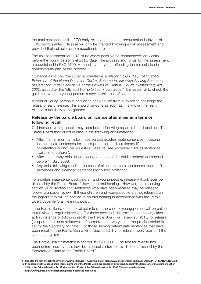the total sentence. Unlike DTO early release, there is no presumption in favour of HDC being granted. Release will only be granted following a risk assessment and provided that suitable accommodation is in place.

The risk assessment for HDC must where possible be commenced ten weeks before the young person's eligibility date. The process and forms for the assessment are contained in PSO 6700. A report by the youth offending team must also be completed as part of this process.

*Guidance as to how the scheme operates is available (PSO 6700; PSI 31/2003; Extension of the Home Detention Curfew Scheme to Juveniles Serving Sentences of Detention under Section 91 of the Powers of Criminal Courts (Sentencing) Act*  2000, issued by the YJB and Home Office, 7 July 2003)<sup>9</sup>. It is essential to check the guidance where a young person is serving this kind of sentence.

A child or young person is entitled to seek advice from a lawyer to challenge the refusal of early release. This should be done as soon as it is known that early release is not likely to be granted.

### **Release by the parole board on licence after minimum term or following recall**

Children and young people may be released following a parole board decision. The Parole Board may direct release in the following circumstances:

- After the minimum term for those serving indeterminate sentences, including indeterminate sentences for public protection, a discretionary life sentence or detention during Her Majesty's Pleasure (see Appendix 1 for all sentences available to children).
- After the halfway point of an extended sentence for public protection imposed before 14 July 2008.
- Any point following recall in the case of all indeterminate sentences, section 91 sentences and extended sentences for public protection.

For indeterminate sentenced children and young people, release will only ever be directed by the Parole Board following an oral hearing. However, those serving section 91 or section 228 sentences who have been recalled may be released following a paper review. If these children and young people are not released on the papers they will be entitled to an oral hearing in accordance with the Parole Board Juvenile Oral Hearings policy.

If the Parole Board does not direct release, the child or young person will be entitled to a review at regular intervals. For those serving indeterminate sentences, either at first instance or following recall, the Parole Board will review suitability for release (or open conditions) at intervals of no more than two years – the precise period is set by the Secretary of State. For those serving determinate sentences that have been recalled, the Parole Board will review suitability for release every year until the sentence expires.

The Parole Board timetable is set out in PSO 6000. The test for release has been determined by case law but is usually informed by directions issued by the Secretary of State to the Parole Board<sup>10</sup>.

**<sup>9</sup> See also the fact sheet by the Prisoners Advice Service (PAS) available at: http://www.prisonersadvice.org.uk/DOCS/INFORMATION/HDC.pdf 10 In considering the cases before them, members of the Parole Board are guided by directions issued by the Secretary of State under section 32(6) of the Criminal Justice Act 1991 or section 239(6) of the Criminal Justice Act 2003. These are available here: http://www.justice.gov.uk/offenders/parole-board/sos-directions**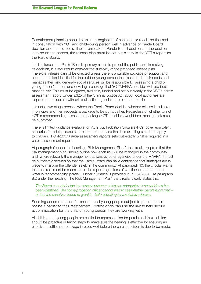Resettlement planning should start from beginning of sentence or recall, be finalised in consultation with YOT and child/young person well in advance of Parole Board decision and should be available from date of Parole Board decision. If the decision is to be on the papers, the release plan must be set out clearly in the YOT's report for the Parole Board.

In all instances the Parole Board's primary aim is to protect the public and, in making its decision, it is required to consider the suitability of the proposed release plan. Therefore, release cannot be directed unless there is a suitable package of support and accommodation identified for the child or young person that meets both their needs and manages their risk: generally social services will be responsible for assessing a child or young person's needs and devising a package that YOT/MAPPA consider will also best manage risk. This must be agreed, available, funded and set out clearly in the YOT's parole assessment report. Under s.325 of the Criminal Justice Act 2003, local authorities are required to co-operate with criminal justice agencies to protect the public.

It is not a two stage process where the Parole Board decides whether release is suitable in principle and then requests a package to be put together. Regardless of whether or not YOT is recommending release, the package YOT considers would best manage risk must be submitted.

There is limited guidance available for YOTs but Probation Circulars (PCs) cover equivalent scenarios for adult prisoners. It cannot be the case that less exacting standards apply to children. PC 4/2007 *Parole assessment reports* sets out exactly what is required in a parole assessment report.

At paragraph 9 under the heading, 'Risk Management Plans', the circular requires that the risk management plan 'should outline how each risk will be managed in the community and, where relevant, the management actions by other agencies under the MAPPA. It must be sufficiently detailed so that the Parole Board can have confidence that strategies are in place to manage the offender safely in the community.' At paragraph 10, the circular warns that the plan 'must be submitted in the report regardless of whether or not the report writer is recommending parole.' Further guidance is provided in PC 34/2004. At paragraph 8.2 under the heading 'The Risk Management Plan', the circular clearly states that:

*The Board cannot decide to release a prisoner unless an adequate release address has been identified. The home probation officer cannot wait to see whether parole is granted – or that the panel is minded to grant it – before looking for a suitable address.*

Sourcing accommodation for children and young people subject to parole should not be a barrier to their resettlement. Professionals can use the law to help secure accommodation for the child or young person they are working with.

All children and young people are entitled to representation for parole and their solicitor should be proactive in taking steps to make sure the hearing is effective by ensuring an effective resettlement package in place well before the parole decision is due to be made.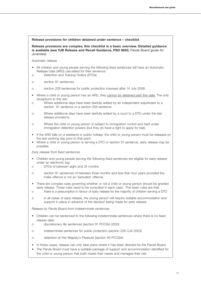#### **Release provisions for children detained under sentence – checklist**

**Release provisions are complex; this checklist is a basic overview. Detailed guidance is available (see YJB Release and Recall Guidance, PSO 6650,** *Parole Board guide for Juveniles).*

#### *Automatic release*

- All children and young people serving the following fixed sentences will have an Automatic Release Date (ARD) calculated for their sentence:
- o Detention and Training Orders (DTOs)
- o section 91 sentences
- o section 228 sentences for public protection imposed after 14 July 2008.
- Where a child or young person has an ARD, they cannot be detained past this date. The only exceptions to this are:
- o Where additional days have been lawfully added by an independent adjudicator to a section 91 sentence or a section 228 sentence.
- o Where additional days have been lawfully added by a court to a DTO under the late release provisions.
- o Where the child or young person is subject to immigration control and held under immigration detention powers (but they do have a right to apply for bail).
- If the ARD falls on a weekend or public holiday, the child or young person must be released on the last working day prior to that point.
- Where a child or young person is serving a DTO or section 91 sentence, early release may be possible.

*Early release from fixed sentences*

- Children and young people serving the following fixed sentences are eligible for early release under an electronic tag:
- o DTOs of between eight and 24 months
- o section 91 sentences of between three months and less than four years provided the index offence is not an 'excluded' offence.
- There are complex rules governing whether or not a child or young person should be granted early release. These rules need to be consulted in each case. The basic rules are that:
- o there is a presumption in favour of early release for the majority of children serving a DTO
- o in all cases of early release, the young person will require suitable accommodation and support in place in advance of the decision being made for early release.

*Release by Parole Board from indeterminate sentences*

- Children can be sentenced to the following indeterminate sentences where there is no fixed release date:
- o discretionary life sentences (section 91 PCCSA 2000)
- o indeterminate sentences for public protection (section 226 CJA 2003)
- o detention at Her Majesty's Pleasure (section 90 PCCSA)
- In these cases, release can only take place where it has been directed by the Parole Board.
- The Parole Board must have a suitable package of support and accommodation identified for the child or young person that both meets their needs and manages their risk.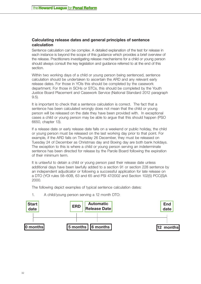# **Calculating release dates and general principles of sentence calculation**

Sentence calculation can be complex. A detailed explanation of the test for release in each instance is beyond the scope of this guidance which provides a brief overview of the release. Practitioners investigating release mechanisms for a child or young person should always consult the key legislation and guidance referred to at the end of this section.

Within two working days of a child or young person being sentenced, sentence calculation should be undertaken to ascertain the ARD and any relevant early release dates. For those in YOIs this should be completed by the casework department. For those in SCHs or STCs, this should be completed by the Youth Justice Board Placement and Casework Service (National Standard 2012 paragraph 9.5).

It is important to check that a sentence calculation is correct. The fact that a sentence has been calculated wrongly does not mean that the child or young person will be released on the date they have been provided with. In exceptional cases a child or young person may be able to argue that this should happen (PSO 6650, chapter 13).

If a release date or early release date falls on a weekend or public holiday, the child or young person must be released on the last working day prior to that point. For example, if the ARD falls on Thursday 26 December, they must be released on Tuesday 24 of December as Christmas day and Boxing day are both bank holidays. The exception to this is where a child or young person serving an indeterminate sentence has been directed for release by the Parole Board following the expiration of their minimum term.

It is unlawful to detain a child or young person past their release date unless additional days have been lawfully added to a section 91 or section 228 sentence by an independent adjudicator or following a successful application for late release on a DTO (YOI rules 58–60B, 63 and 65 and PSI 47/2002 and Section 102(5) PCC(S)A 2000.

The following depict examples of typical sentence calculation dates:



1. A child/young person serving a 12 month DTO: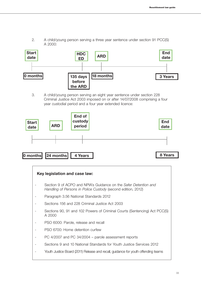- A 2000: **Start date 0 months 135 days before the ARD 18 months 18 months HDC ED ARD End date** 
	- 3. A child/young person serving an eight year sentence under section 228 Criminal Justice Act 2003 imposed on or after 14/07/2008 comprising a four year custodial period and a four year extended licence:



| Key legislation and case law:                                                                                                    |
|----------------------------------------------------------------------------------------------------------------------------------|
| Section 9 of ACPO and NPIA's Guidance on the Safer Detention and<br>Handling of Persons in Police Custody (second edition, 2012) |
| Paragraph 3.56 National Standards 2012                                                                                           |
| Sections 156 and 228 Criminal Justice Act 2003                                                                                   |
| Sections 90, 91 and 102 Powers of Criminal Courts (Sentencing) Act PCC(S)<br>A 2000                                              |
| PSO 6000: Parole, release and recall                                                                                             |
| PSO 6700: Home detention curfew                                                                                                  |
| PC 4/2007 and PC 34/2004 – parole assessment reports                                                                             |
| Sections 9 and 10 National Standards for Youth Justice Services 2012                                                             |
| Youth Justice Board (2011) Release and recall, guidance for youth offending teams                                                |

2. A child/young person serving a three year sentence under section 91 PCC(S)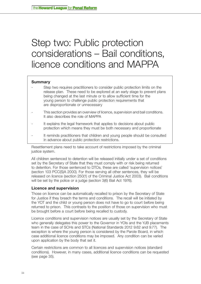# <span id="page-35-0"></span>Step two: Public protection considerations – Bail conditions, licence conditions and MAPPA

### **Summary**

- Step two requires practitioners to consider public protection limits on the release plan. These need to be explored at an early stage to prevent plans being changed at the last minute or to allow sufficient time for the young person to challenge public protection requirements that are disproportionate or unnecessary
- This section provides an overview of licence, supervision and bail conditions. It also describes the role of MAPPA
- It explains the legal framework that applies to decisions about public protection which means they must be both necessary and proportionate
- It reminds practitioners that children and young people should be consulted in advance about public protection restrictions.

Resettlement plans need to take account of restrictions imposed by the criminal justice system.

All children sentenced to detention will be released initially under a set of conditions set by the Secretary of State that they must comply with or risk being returned to detention. For those sentenced to DTOs, these are called 'supervision notices' (section 103 PCC(S)A 2000). For those serving all other sentences, they will be released on licence (section 250(1) of the Criminal Justice Act 2003). Bail conditions will be set by the police or a judge (section 3(6) Bail Act 1976).

### **Licence and supervision**

Those on licence can be automatically recalled to prison by the Secretary of State for Justice if they breach the terms and conditions. The recall will be initiated by the YOT and the child or young person does not have to go to court before being returned to prison. This contrasts to the position of those on supervision who must be brought before a court before being recalled to custody.

Licence conditions and supervision notices are usually set by the Secretary of State who generally delegates this power to the Governor in YOIs and the YJB placements team in the case of SCHs and STCs (National Standards 2012 9.62 and 9.77). The exception is where the young person is considered by the Parole Board, in which case additional licence conditions may be imposed. Any condition can be varied upon application by the body that set it.

Certain restrictions are common to all licences and supervision notices (standard conditions). However, in many cases, additional licence conditions can be requested (see page 35).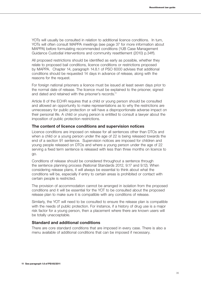YOTs will usually be consulted in relation to additional licence conditions. In turn, YOTs will often consult MAPPA meetings (see page 37 for more information about MAPPA) before formulating recommended conditions (YJB Case Management Guidance Custodial interventions and community resettlement (2010) p.34ff).

All proposed restrictions should be identified as early as possible, whether they relate to proposed bail conditions, licence conditions or restrictions proposed by MAPPA. Chapter 14, paragraph 14.8.1 of PSO 6000 advises that additional conditions should be requested 14 days in advance of release, along with the reasons for the request.

For foreign national prisoners a licence must be issued at least seven days prior to the normal date of release. The licence must be explained to the prisoner, signed and dated and retained with the prisoner's records.11

Article 8 of the ECHR requires that a child or young person should be consulted and allowed an opportunity to make representations as to why the restrictions are unnecessary for public protection or will have a disproportionate adverse impact on their personal life. A child or young person is entitled to consult a lawyer about the imposition of public protection restrictions.

#### **The content of licence conditions and supervision notices**

Licence conditions are imposed on release for all sentences other than DTOs and when a child or a young person under the age of 22 is being released towards the end of a section 91 sentence. Supervision notices are imposed for children and young people released on DTOs and where a young person under the age of 22 serving a fixed term sentence is released with less than three months on licence to go.

Conditions of release should be considered throughout a sentence through the sentence planning process (National Standards 2012, 9.17 and 9.12). When considering release plans, it will always be essential to think about what the conditions will be, especially if entry to certain areas is prohibited or contact with certain people is restricted.

The provision of accommodation cannot be arranged in isolation from the proposed conditions and it will be essential for the YOT to be consulted about the proposed release plan to make sure it is compatible with any conditions of release.

Similarly, the YOT will need to be consulted to ensure the release plan is compatible with the needs of public protection. For instance, if a history of drug use is a major risk factor for a young person, then a placement where there are known users will be totally unacceptable.

#### **Standard and additional conditions**

There are core standard conditions that are imposed in every case. There is also a menu available of additional conditions that can be imposed if necessary.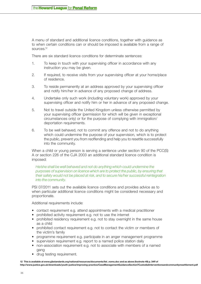A menu of standard and additional licence conditions, together with guidance as to when certain conditions can or should be imposed is available from a range of sources.12

There are six standard licence conditions for determinate sentences:

- 1. To keep in touch with your supervising officer in accordance with any instruction you may be given.
- 2. If required, to receive visits from your supervising officer at your home/place of residence.
- 3. To reside permanently at an address approved by your supervising officer and notify him/her in advance of any proposed change of address.
- 4. Undertake only such work (including voluntary work) approved by your supervising officer and notify him or her in advance of any proposed change.
- 5. Not to travel outside the United Kingdom unless otherwise permitted by your supervising officer (permission for which will be given in exceptional circumstances only) or for the purpose of complying with immigration/ deportation requirements.
- 6. To be well behaved, not to commit any offence and not to do anything which could undermine the purpose of your supervision, which is to protect the public, prevent you from reoffending and help you to resettle successfully into the community.

When a child or young person is serving a sentence under section 90 of the PCC(S) A or section 226 of the CJA 2003 an additional standard licence condition is imposed:

*He/she shall be well behaved and not do anything which could undermine the purposes of supervision on licence which are to protect the public, by ensuring that their safety would not be placed at risk, and to secure his/her successful reintegration into the community.* 

PSI 07/2011 sets out the available licence conditions and provides advice as to when particular additional licence conditions might be considered necessary and proportionate.

Additional requirements include:

- contact requirement e.g. attend appointments with a medical practitioner
- prohibited activity requirement e.g. not to use the internet
- prohibited residency requirement e.g. not to stay overnight in the same house as a child
- prohibited contact requirement e.g. not to contact the victim or members of the victim's family
- programme requirement e.g. participate in an anger management programme
- supervision requirement e.g. report to a named police station daily
- non-association requirement e.g. not to associate with members of a named gang
- drug testing requirement.

**12 This is available at www.yjbstandards.org/national/resources/documents/list\_noms.doc and as above (footnote 49) p. 34ff of http://www.justice.gov.uk/downloads/youth-justice/improving-practice/CaseManagementGuidanceSection7Custodialinterventionsandcommunityresettlement.pdf**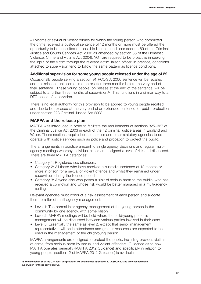All victims of sexual or violent crimes for which the young person who committed the crime received a custodial sentence of 12 months or more must be offered the opportunity to be consulted on possible licence conditions (section 69 of the Criminal Justice and Courts Services Act 2000 as amended by section 35 of the Domestic Violence, Crime and victims Act 2004). YOT are required to be proactive in seeking the input of the victim through the relevant victim liaison officer. In practice, conditions attached to supervision tend to follow the same pattern as licence conditions.

# **Additional supervision for some young people released under the age of 22**

Occasionally people serving a section 91 PCC(S)A 2000 sentence will be recalled and not released until some time on or after three months before the very end of their sentence. These young people, on release at the end of the sentence, will be subject to a further three months of supervision.<sup>13</sup> This functions in a similar way to a DTO notice of supervision.

There is no legal authority for this provision to be applied to young people recalled and due to be released at the very end of an extended sentence for public protection under section 228 Criminal Justice Act 2003.

# **MAPPA and the release plan**

MAPPA was introduced in order to facilitate the requirements of sections 325–327 of the Criminal Justice Act 2003 in each of the 42 criminal justice areas in England and Wales. These sections require local authorities and other statutory agencies to cooperate with justice services such as police and probation to protect the public.

The arrangements in practice amount to single agency decisions and regular multiagency meetings whereby individual cases are assigned a level of risk and discussed. There are three MAPPA categories:

- Category 1: Registered sex offenders.
- Category 2: All those who have received a custodial sentence of 12 months or more in prison for a sexual or violent offence and whilst they remained under supervision during the licence period.
- Category 3: Anyone else who poses a 'risk of serious harm to the public' who has received a conviction and whose risk would be better managed in a multi-agency setting.

Relevant agencies must conduct a risk assessment of each person and allocate them to a tier of multi-agency management:

- Level 1: The normal inter-agency management of the young person in the community by one agency, with some liaison
- Level 2: MAPPA meetings will be held where the child/young person's management will be discussed between various parties involved in their case
- Level 3: Essentially the same as level 2, except that senior management representatives will be in attendance and greater resources are expected to be used in the management of the child/young person.

MAPPA arrangements are designed to protect the public, including previous victims of crime, from serious harm by sexual and violent offenders. Guidance as to how MAPPA operates generally (MAPPA 2012 Guidance) and specifically in relation to young people (section 12 of MAPPA 2012 Guidance) is available.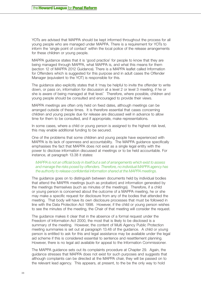YOTs are advised that MAPPA should be kept informed throughout the process for all young people who are managed under MAPPA. There is a requirement for YOTs to inform the 'single point of contact' within the local police of the release arrangements for these children or young people.

MAPPA guidance states that it is 'good practice' for people to know that they are being managed through MAPPA, what MAPPA is, and what this means for them (section 12 of MAPPA 2012 Guidance). There is a MAPPA leaflet called Information for Offenders which is suggested for this purpose and in adult cases the Offender Manager (equivalent to the YOT) is responsible for this.

The guidance also explicitly states that it 'may be helpful to invite the offender to write down, or pass on, information for discussion at a level 2 or level 3 meeting, if he or she is aware of being managed at that level.' Therefore, where possible, children and young people should be consulted and encouraged to provide their views.

MAPPA meetings are often only held on fixed dates, although meetings can be arranged outside of these times. It is therefore essential that cases concerning children and young people due for release are discussed well in advance to allow time for them to be consulted, and if appropriate, make representations.

In some cases, where a child or young person is assigned to the highest risk level, this may enable additional funding to be secured.

One of the problems that some children and young people have experienced with MAPPA is its lack of openness and accountability. The MAPPA guidance specifically emphasises the fact that MAPPA does not exist as a single legal entity with the power to disclose information discussed at meetings or to be held accountable. For instance, at paragraph 13.38 it states:

### *MAPPA is not an official body in itself but a set of arrangements which exist to assess and manage the risks posed by offenders. Therefore, no individual MAPPA agency has the authority to release confidential information shared at the MAPPA meetings.*

The guidance goes on to distinguish between documents held by individual bodies that attend the MAPPA meetings (such as probation) and information generated by the meetings themselves (such as minutes of the meetings). Therefore, if a child or young person is concerned about the outcome of a MAPPA meeting, he or she may make a specific request for disclosure from any of the bodies that attended the meeting. That body will have its own disclosure processes that must be followed in line with the Data Protection Act 1998. However, if the child or young person wishes to see the minutes of the meeting, the Chair of that meeting will consider the request.

The guidance makes it clear that in the absence of a formal request under the Freedom of Information Act 2000, the most that is likely to be disclosed is a summary of the meeting. However, the content of Multi Agency Public Protection meeting summaries is set out at paragraph 13.48 of the guidance. A child or young person is entitled to ask for this and legal assistance may be available under the legal aid scheme if this is considered essential to sentence and resettlement planning. However, there is no legal aid available for appeal to the Information Commissioner.

The MAPPA guidance sets out its complaints procedure at Chapter 29. Again, the guidance stresses that MAPPA does not exist for such purposes and suggests that although complaints can be directed at the MAPPA chair, they will be passed on to the relevant lead agency. This appears, at present, to the be the only way to hold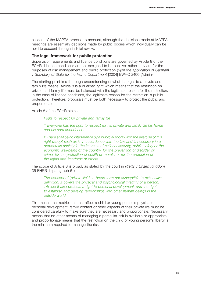aspects of the MAPPA process to account, although the decisions made at MAPPA meetings are essentially decisions made by public bodies which individually can be held to account through judicial review.

#### **The legal framework for public protection**

Supervision requirements and licence conditions are governed by Article 8 of the ECHR. Licence conditions are not designed to be punitive; rather they are for the purposes of risk management and public protection (*R(on the application of Carman) v Secretary of State for the Home Department* [2004] EWHC 2400 (Admin).

The starting point is a thorough understanding of what the right to a private and family life means. Article 8 is a qualified right which means that the restriction on private and family life must be balanced with the legitimate reason for the restriction. In the case of licence conditions, the legitimate reason for the restriction is public protection. Therefore, proposals must be both necessary to protect the public and proportionate.

Article 8 of the ECHR states:

*Right to respect for private and family life*

*1 Everyone has the right to respect for his private and family life his home and his correspondence.* 

*2 There shall be no interference by a public authority with the exercise of this right except such as is in accordance with the law and is necessary in a democratic society in the interests of national security, public safety or the economic well-being of the country, for the prevention of disorder or crime, for the protection of health or morals, or for the protection of the rights and freedoms of others.*

The scope of Article 8 is broad, as stated by the court in *Pretty v United Kingdom* 35 EHRR 1 (paragraph 61):

*The concept of 'private life' is a broad term not susceptible to exhaustive definition. It covers the physical and psychological integrity of a person. ..Article 8 also protects a right to personal development, and the right to establish and develop relationships with other human beings in the outside world.*

This means that restrictions that affect a child or young person's physical or personal development, family contact or other aspects of their private life must be considered carefully to make sure they are necessary and proportionate. Necessary means that no other means of managing a particular risk is available or appropriate; and proportionate means that the restriction on the child or young person's liberty is the minimum required to manage the risk.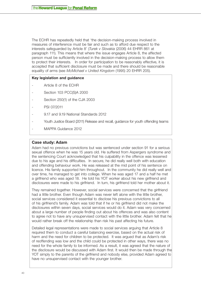The ECHR has repeatedly held that 'the decision-making process involved in measures of interference must be fair and such as to afford due respect to the interests safeguarded by Article 8' (*Turek v Slovakia* (2006) 44 EHRR 861 at paragraph 111). This means that where the issue engages Article 8, the affected person must be sufficiently involved in the decision-making process to allow them to protect their interests. In order for participation to be reasonably effective, it is accepted that sufficient disclosure must be made and there should be reasonable equality of arms (see *McMichael v United Kingdom* (1995) 20 EHRR 205).

### **Key legislation and guidance**

- Article 8 of the ECHR
- Section 103 PCC(S)A 2000
- Section 250(1) of the CJA 2003
- PSI 07/2011
- 9.17 and 9.19 National Standards 2012
- Youth Justice Board (2011) Release and recall, guidance for youth offending teams
- MAPPA Guidance 2012

## **Case study: Adam**

Adam had no previous convictions but was sentenced under section 91 for a serious sexual offence when he was 15 years old. He suffered from Aspergers syndrome and the sentencing Court acknowledged that his culpability in the offence was lessened due to his age and his difficulties. In secure, he did really well both with education and offending behaviour work. He was released at the mid point of his sentence on licence. His family supported him throughout. In the community he did really well and over time, he managed to get into college. When he was aged 17 and a half he met a girlfriend who was aged 18. He told his YOT worker about his new girlfriend and disclosures were made to his girlfriend. In turn, his girlfriend told her mother about it.

They remained together. However, social services were concerned that the girlfriend had a little brother. Even though Adam was never left alone with the little brother, social services considered it essential to disclose his previous convictions to all of his girlfriend's family. Adam was told that if he or his girlfriend did not make the disclosures within seven days, social services would do it. Adam was very concerned about a large number of people finding out about his offences and was also content to agree not to have any unsupervised contact with the little brother. Adam felt that he would rather break off the relationship than risk his past affecting his future.

Detailed legal representations were made to social services arguing that Article 8 required them to conduct a careful balancing exercise, based on the actual risk of harm and the need for children to be protected. It was argued that as Adam's risk of reoffending was low and the child could be protected in other ways, there was no need for the whole family to be informed. As a result, it was agreed that the nature of the disclosure would be discussed with Adam first. It would then be made through the YOT simply to the parents of the girlfriend and nobody else, provided Adam agreed to have no unsupervised contact with the younger brother.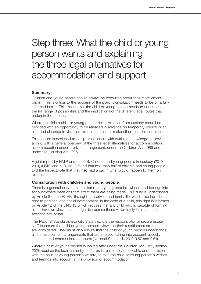# Step three: What the child or young person wants and explaining the three legal alternatives for accommodation and support

# **Summary**

Children and young people should always be consulted about their resettlement plans. This is critical to the success of the plan. Consultation needs to be on a fully informed basis. This means that the child or young person needs to understand the full range of possibilities and the implications of the different legal routes that underpin the options.

Where possible a child or young person being released from custody should be provided with an opportunity to be released in advance on temporary licence or an escorted absence to visit their release address or make other resettlement plans.

This section is designed to equip practitioners with sufficient knowledge to provide a child with a general overview of the three legal alternatives for accommodation: accommodation under a private arrangement, under the Children Act 1989 and under the Housing Act 1996.

A joint report by HMIP and the YJB, Children and young people in custody (2010 – 2011) (HMIP and YJB, 2011) found that less than half of children and young people told the Inspectorate that they had had a say in what would happen to them on release.

# **Consultation with children and young people**

There is a general duty to take children and young people's wishes and feelings into account where decisions that affect them are being made. This duty is underpinned by Article 8 of the ECHR, the right to a private and family life, which also includes a right to personal and social development. In the case of a child, this right is informed by Article 12 of the UNCRC which requires that any child who is capable of forming his or her own views has the right to express those views freely in all matters affecting him or her.

The National Standards explicitly state that it is the responsibility of secure estate staff to ensure the child or young person's views on their resettlement arrangements are considered. They must also ensure that the child or young person understands all the resettlement arrangements that are in place (taking into account speech, language and communication issues) (National Standards 2012 9.57 and 9.61).

Where a child or young person is looked after under the Children Act 1989, section 20(6) requires the local authority, so far as is reasonably practicable and consistent with the child or young person's welfare, to take the child or young person's wishes and feelings into account in the provision of accommodation.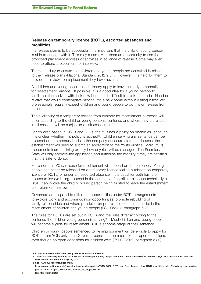# **Release on temporary licence (ROTL), escorted absences and mobilities**

If a release plan is to be successful, it is important that the child or young person is able to engage with it. This may mean giving them an opportunity to see the proposed placement address or activities in advance of release. Some may even need to attend a placement for interview.

There is a duty to ensure that children and young people are consulted in relation to their release plans (National Standard 2012 9.57). However, it is hard for them to provide their views on a placement they have never seen.

All children and young people can in theory apply to leave custody temporarily for resettlement reasons. If possible, it is a good idea for a young person to familiarise themselves with their new home. It is difficult to think of an adult friend or relative that would contemplate moving into a new home without visiting it first, yet professionals regularly expect children and young people to do this on release from prison.

The availability of a temporary release from custody for resettlement purposes will differ according to the child or young person's sentence and where they are placed. In all cases, it will be subject to a risk assessment<sup>14</sup>.

For children based in SCHs and STCs, the YJB has a policy on 'mobilities', although It is unclear whether this policy is applied<sup>15</sup>. Children serving any sentence can be released on a temporary basis in the company of secure staff. In all cases, the establishment will need to submit an application to the Youth Justice Board (YJB) placements team outlining exactly how any risk will be managed. The Secretary of State will only approve the application and authorise the mobility if they are satisfied that it is safe to do so.

For children in YOIs, release for resettlement will depend on the sentence. Young people can either be released on a temporary licence (called a release on temporary licence or ROTL) or under an 'escorted absence'. It is usual for both forms of release to involve being released in the company of an officer although technically a ROTL can involve the child or young person being trusted to leave the establishment and return on their own.

Governors are required to utilise the opportunities under ROTL arrangements to explore work and accommodation opportunities, promote rebuilding of family relationships and where possible, run pre-release courses to assist in the resettlement of children and young people (PSI 08/2012, paragraph 5.27).

The rules for ROTLs are set out in PSOs and the rules differ according to the sentence the child or young person is serving<sup>16</sup>. Most children and young people will become eligible for resettlement ROTLs at some stage of their sentence.

Children or young people sentenced to life imprisonment will be eligible to apply for ROTLs from YOIs only if the Governor considers them suitable for open conditions, even though no open conditions for children exist (PSI 08/2012, paragraph 5.30).

**<sup>14</sup> In accordance with the YJB's policy on mobilities and PSO 6000**

**<sup>15</sup> This is not publically available but is known as Mobility for young people sentenced under section 90/91 of the PCC(S)A 2000 and section 226/228 of the Criminal Justice Act 2003 (YJB, 2008).**

**<sup>16</sup> See PSO 6300 for ROTLs generally. http://www.justice.gov.uk/downloads/offenders/psipso/PSO\_6300\_ROTL.doc See chapter 11 for ROTLs for lifers. http://pso.hmprisonservice. gov.uk/pso4700/pso\_4700\_lifer\_manual\_ch\_11\_jul\_06.doc**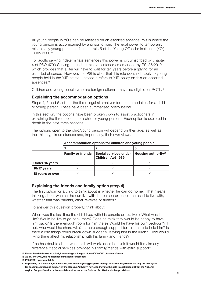All young people in YOIs can be released on an escorted absence: this is where the young person is accompanied by a prison officer. The legal power to temporarily release any young person is found in rule 5 of the Young Offender Institution (YOI) Rules 2000.17

For adults serving indeterminate sentences this power is circumscribed by chapter 4 of PSO 4700 Serving the indeterminate sentence as amended by PSI 36/2010, which provides that a lifer will have to wait for ten years before applying for an escorted absence. However, the PSI is clear that this rule does not apply to young people held in the YJB estate. Instead it refers to YJB policy on this on escorted absences.18

Children and young people who are foreign nationals may also eligible for ROTL.19

#### **Explaining the accommodation options**

Steps 4, 5 and 6 set out the three legal alternatives for accommodation for a child or young person. These have been summarised briefly below.

In this section, the options have been broken down to assist practitioners in explaining the three options to a child or young person. Each option is explored in depth in the next three sections.

The options open to the child/young person will depend on their age, as well as their history, circumstances and, importantly, their own views.

|                  | Accommodation options for children and young people |                                                   |                                 |  |  |  |  |  |
|------------------|-----------------------------------------------------|---------------------------------------------------|---------------------------------|--|--|--|--|--|
|                  |                                                     |                                                   |                                 |  |  |  |  |  |
|                  | <b>Family or friends</b>                            | Social services under<br><b>Children Act 1989</b> | Housing authority <sup>20</sup> |  |  |  |  |  |
| Under 16 years   |                                                     |                                                   |                                 |  |  |  |  |  |
| 16/17 years      |                                                     |                                                   |                                 |  |  |  |  |  |
| 18 years or over |                                                     |                                                   |                                 |  |  |  |  |  |

# **Explaining the friends and family option (step 4)**

The first option for a child to think about is whether he can go home. That means thinking about whether he can live with the person or people he used to live with, whether that was parents, other relatives or friends?

To answer this question properly, think about:

When was the last time the child lived with his parents or relatives? What was it like? Would he like to go back there? Does he think they would be happy to have him back? Is there enough room for him there? Would he have his own bedroom? If not, who would he share with? Is there enough support for him there to help him? Is there a risk things could break down suddenly, leaving him in the lurch? How would living there affect his relationship with his family and friends?

If he has doubts about whether it will work, does he think it would it make any difference if social services provided his family/friends with extra support?

**20 Depending on their immigration status, children and young people of any age who are foreign nationals may not be eligible for accommodation and support by the Housing Authority; however, they may be able to seek support from the National Asylum Support Service or from social services under the Children Act 1989 and other provisions.**

**<sup>17</sup> For further details see http://origin-www.legislation.gov.uk/uksi/2000/3371/contents/made**

**<sup>18</sup> As of June 2012, this had not been finalised or published.**

**<sup>19</sup> PSI 65/2011 paragraph 2.14**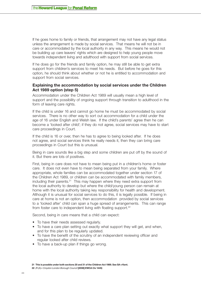If he goes home to family or friends, that arrangement may not have any legal status unless the arrangement is made by social services. That means he will not be in care or accommodated by the local authority in any way. This means he would not be building up care leavers' rights which are designed to help young people move towards independent living and adulthood with support from social services.

If he does go for the friends and family option, he may still be able to get extra support from children's services to meet his needs. But before he goes for this option, he should think about whether or not he is entitled to accommodation and support from social services.

# **Explaining the accommodation by social services under the Children Act 1989 option (step 5)**

Accommodation under the Children Act 1989 will usually mean a high level of support and the possibility of ongoing support through transition to adulthood in the form of leaving care rights.

If the child is under 16 and cannot go home he must be accommodated by social services. There is no other way to sort out accommodation for a child under the age of 16 under English and Welsh law. If the child's parents' agree then he can become a 'looked after child'; if they do not agree, social services may have to start care proceedings in Court.

If the child is 16 or over, then he has to agree to being looked after. If he does not agree, and social services think he really needs it, then they can bring care proceedings in Court but this is unusual.

Being in care sounds like a big step and some children are put off by the sound of it. But there are lots of positives.

First, being in care does not have to mean being put in a children's home or foster care. It does not even have to mean being separated from your family. Where appropriate, whole families can be accommodated together under section 17 of the Children Act 1989, or children can be accommodated with family members, including their parents.<sup>21</sup> This may happen where they need extra support from the local authority to develop but where the child/young person can remain at home with the local authority taking key responsibility for health and development. Although it is unusual for social services to do this, it is legally possible. If being in care at home is not an option, then accommodation provided by social services to a 'looked after' child can span a huge spread of arrangements. This can range from foster care to independent living with floating support.<sup>22</sup>

Second, being in care means that a child can expect:

- To have their needs assessed regularly.
- To have a care plan setting out exactly what support they will get, and when, and for this plan to be regularly updated.
- To have the benefit of the scrutiny of an independent reviewing officer and regular looked after child reviews.
- To have a back-up plan if things go wrong.

**<sup>21</sup> This is possible under both sections 20 and 31 of the Children Act 1989. See SA v Kent.**

**<sup>22</sup>** *(R (A) v Croydon London Borough Council* **[2008] EWCA Civ 1445)**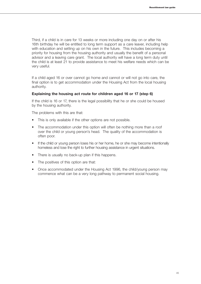Third, if a child is in care for 13 weeks or more including one day on or after his 16th birthday he will be entitled to long term support as a care leaver, including help with education and setting up on his own in the future. This includes becoming a priority for housing from the housing authority and usually the benefit of a personal advisor and a leaving care grant. The local authority will have a long term duty until the child is at least 21 to provide assistance to meet his welfare needs which can be very useful.

If a child aged 16 or over cannot go home and cannot or will not go into care, the final option is to get accommodation under the Housing Act from the local housing authority.

#### **Explaining the housing act route for children aged 16 or 17 (step 6)**

If the child is 16 or 17, there is the legal possibility that he or she could be housed by the housing authority.

The problems with this are that:

- This is only available if the other options are not possible.
- The accommodation under this option will often be nothing more than a roof over the child or young person's head. The quality of the accommodation is often poor.
- If the child or young person loses his or her home, he or she may become intentionally homeless and lose the right to further housing assistance in urgent situations.
- There is usually no back-up plan if this happens.
- The positives of this option are that:
- Once accommodated under the Housing Act 1996, the child/young person may commence what can be a very long pathway to permanent social housing.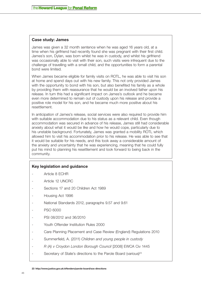# **Case study: James**

James was given a 32 month sentence when he was aged 16 years old, at a time when his girlfriend had recently found she was pregnant with their first child. James's son, Dylan, was born whilst he was in custody, and whilst his girlfriend was occasionally able to visit with their son, such visits were infrequent due to the challenge of travelling with a small child, and the opportunities to form a parental bond were limited.

When James became eligible for family visits on ROTL, he was able to visit his son at home and spend days out with his new family. This not only provided James with the opportunity to bond with his son, but also benefited his family as a whole by providing them with reassurance that he would be an involved father upon his release. In turn this had a significant impact on James's outlook and he became even more determined to remain out of custody upon his release and provide a positive role model for his son, and he became much more positive about his resettlement.

In anticipation of James's release, social services were also required to provide him with suitable accommodation due to his status as a relevant child. Even though accommodation was secured in advance of his release, James still had considerable anxiety about what it would be like and how he would cope, particularly due to his unstable background. Fortunately, James was granted a mobility ROTL which allowed him to visit his accommodation prior to his release. He was able to see that it would be suitable for his needs, and this took away a considerable amount of the anxiety and uncertainty that he was experiencing, meaning that he could fully put his mind to planning his resettlement and look forward to being back in the community.

# **Key legislation and guidance**

- Article 8 ECHR
- Article 12 UNCRC
- Sections 17 and 20 Children Act 1989
- Housing Act 1996
- National Standards 2012, paragraphs 9.57 and 9.61
- **PSO 6000**
- PSI 08/2012 and 36/2010
- Youth Offender Institution Rules 2000
- Care Planning Placement and Case Review (England) Regulations 2010
- Summerfield, A. (2011) *Children and young people in custody*
- *R (A) v Croydon London Borough Council* [2008] EWCA Civ 1445
- Secretary of State's directions to the Parole Board (various)<sup>23</sup>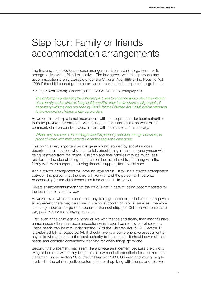# Step four: Family or friends accommodation arrangements

The first and most obvious release arrangement is for a child to go home or to arrange to live with a friend or relative. The law agrees with this approach and accommodation is only available under the Children Act 1989 or the Housing Act 1996 if the child cannot go home or cannot reasonably be expected to go home.

In *R (A) v Kent County Council* ([2011] EWCA Civ 1303, paragraph 9):

*The philosophy underlying the [Children] Act was to enhance and protect the integrity of the family and to strive to keep children within their family where at all possible, if necessary with the help provided by Part III [of the Children Act 1989], before resorting to the removal of children under care orders.*

However, this principle is not inconsistent with the requirement for local authorities to make provision for children. As the judge in the Kent case also went on to comment, children can be placed in care with their parents if necessary:

*When I say 'removal' I do not forget that it is perfectly possible, though not usual, to place children with their parents under the aegis of a care order.* 

This point is very important as it is generally not applied by social services departments in practice who tend to talk about being in care as synonymous with being removed from the home. Children and their families may be much less resistant to the idea of being put in care if that translated to remaining with the family with extra support, including financial support, from social care.

A true private arrangement will have no legal status. It will be a private arrangement between the person that the child will live with and the person with parental responsibility (or the child themselves if he or she is 16 or 17).

Private arrangements mean that the child is not in care or being accommodated by the local authority in any way.

However, even where the child does physically go home or go to live under a private arrangement, there may be some scope for support from social services. Therefore, it is really important to go on to consider the next step (the Children Act route, step five, page 50) for the following reasons.

First, even if the child can go home or live with friends and family, they may still have unmet needs other than accommodation which could be met by social services. These needs can be met under section 17 of the Children Act 1989. Section 17 is explained fully at pages 52-54. It should involve a comprehensive assessment of any child who appears to the local authority to be in need. It should cover all their needs and consider contingency planning for when things go wrong.

Second, the placement may seem like a private arrangement because the child is living at home or with family but it may in law meet all the criteria for a looked after placement under section 20 of the Children Act 1989. Children and young people involved in the criminal justice system often end up living with friends and relatives.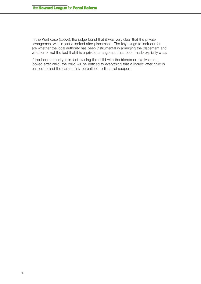In the Kent case (above), the judge found that it was very clear that the private arrangement was in fact a looked after placement. The key things to look out for are whether the local authority has been instrumental in arranging the placement and whether or not the fact that it is a private arrangement has been made explicitly clear.

If the local authority is in fact placing the child with the friends or relatives as a looked after child, the child will be entitled to everything that a looked after child is entitled to and the carers may be entitled to financial support.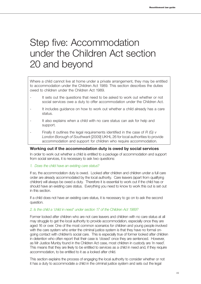# Step five: Accommodation under the Children Act section 20 and beyond

Where a child cannot live at home under a private arrangement, they may be entitled to accommodation under the Children Act 1989. This section describes the duties owed to children under the Children Act 1989.

- It sets out the questions that need to be asked to work out whether or not social services owe a duty to offer accommodation under the Children Act.
- It includes guidance on how to work out whether a child already has a care status.
- It also explains when a child with no care status can ask for help and support.
- Finally it outlines the legal requirements identified in the case of *R (G) v London Borough of Southwark* [2009] UKHL 26 for local authorities to provide accommodation and support for children who require accommodation.

# **Working out if the accommodation duty is owed by social services**

In order to work out whether a child is entitled to a package of accommodation and support from social services, it is necessary to ask two questions:

#### *1. Does the child have an existing care status?*

If so, the accommodation duty is owed. Looked after children and children under a full care order are already accommodated by the local authority. Care leavers (apart from qualifying children) will always be owed a duty. Therefore it is essential to work out if the child has or should have an existing care status. Everything you need to know to work this out is set out in this section.

If a child does not have an existing care status, it is necessary to go on to ask the second question.

## *2. Is the child a 'child in need' under section 17 of the Children Act 1989?*

Former looked after children who are not care leavers and children with no care status at all may struggle to get the local authority to provide accommodation, especially once they are aged 16 or over. One of the most common scenarios for children and young people involved with the care system who enter the criminal justice system is that they have no formal ongoing contact with children's social care. This is especially true of former looked after children in detention who often report that their case is 'closed' once they are sentenced. However, as Mr Justice Munby found in the Children Act case, most children in custody are 'in need'. This means that they are likely to be entitled to services as a child in need and, if they require accommodation, to be entitled to it as a looked after child.

This section explains the process of engaging the local authority to consider whether or not it has a duty to accommodate a child in the criminal justice system and sets out the legal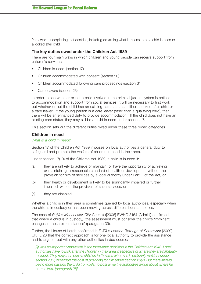framework underpinning that decision, including explaining what it means to be a child in need or a looked after child.

# **The key duties owed under the Children Act 1989**

There are four main ways in which children and young people can receive support from children's services:

- Children in need (section 17)
- Children accommodated with consent (section 20)
- Children accommodated following care proceedings (section 31)
- Care leavers (section 23)

In order to see whether or not a child involved in the criminal justice system is entitled to accommodation and support from social services, it will be necessary to first work out whether or not the child has an existing care status as either a looked after child or a care leaver. If the young person is a care leaver (other than a qualifying child), then there will be en enhanced duty to provide accommodation. If the child does not have an existing care status, they may still be a child in need under section 17.

This section sets out the different duties owed under these three broad categories.

# **Children in need**

# *What is a child in need?*

Section 17 of the Children Act 1989 imposes on local authorities a general duty to safeguard and promote the welfare of children in need in their area.

Under section 17(10) of the Children Act 1989, a child is in need if:

- (a) they are unlikely to achieve or maintain, or have the opportunity of achieving or maintaining, a reasonable standard of health or development without the provision for him of services by a local authority under Part III of the Act, or
- (b) their health or development is likely to be significantly impaired or further impaired, without the provision of such services, or
- (c) they are disabled.

Whether a child is in their area is sometimes queried by local authorities, especially when the child is in custody or has been moving across different local authorities.

The case of *R (K) v Manchester City Council* ([2006] EWHC 3164 (Admin)) confirmed that where a child is in custody, the assessment must consider the child's 'imminent changes in those circumstances' (paragraph 39).

Further, the House of Lords confirmed in *R (G) v London Borough of Southwark* [2009] UKHL 26 that the correct approach is for one local authority to provide the assistance and to argue it out with any other authorities in due course:

*[i]t was an important innovation in the forerunner provision in the Children Act 1948. Local authorities have to look after the children in their area irrespective of where they are habitually*  resident. They may then pass a child on to the area where he is ordinarily resident under *section 20(2) or recoup the cost of providing for him under section 29(7). But there should be no more passing the child from pillar to post while the authorities argue about where he comes from [paragraph 28].*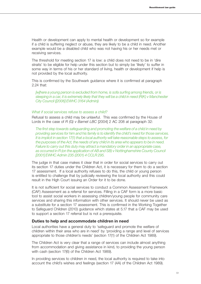Health or development can apply to mental health or development so for example if a child is suffering neglect or abuse, they are likely to be a child in need. Another example would be a disabled child who was not having his or her needs met or receiving services.

The threshold for meeting section 17 is low: a child does not need to be in 'dire straits' to be eligible for help under this section but to simply be 'likely' to suffer in some way in terms of his or her standard of living, health or development if help is not provided by the local authority.

This is confirmed by the Southwark guidance where it is confirmed at paragraph 2.24 that:

*[w]here a young person is excluded from home, is sofa surfing among friends, or is sleeping in a car, it is extremely likely that they will be a child in need (R(K) v Manchester City Council ([2006] EWHC 3164 (Admin))*

#### *What if social services refuse to assess a child?*

Refusal to assess a child may be unlawful. This was confirmed by the House of Lords in the case of *R (G) v Barnet LBC* [2004] 2 AC 208 at paragraph 32:

*The first step towards safeguarding and promoting the welfare of a child in need by providing services for him and his family is to identify the child's need for those services. It is implicit in section 17(1) that a local authority will take reasonable steps to assess, for the purposes of the Act, the needs of any child in its area who appears to be in need. Failure to carry out this duty may attract a mandatory order in an appropriate case, as occurred in R (on the application of AB and SB) v Nottinghamshire County Council [2001] EWHC Admin 235 (2001) 4 CCLR 295.*

The judge in that case makes it clear that in order for social services to carry out its section 17 duties under the Children Act, it is necessary for them to do a section 17 assessment. If a local authority refuses to do this, the child or young person is entitled to challenge that by judicially reviewing the local authority and this could result in the High Court issuing an Order for it to be done.

It is not sufficient for social services to conduct a Common Assessment Framework (CAF) Assessment as a referral for services. Filling in a CAF form is a more basic tool to assist social workers in assessing children/young people for community care services and sharing this information with other services. It should never be used as a substitute for a section 17 assessment. This is confirmed in the Working Together to Safeguard Children (2010) guidance which states at 5.17 that a CAF may be used to support a section 17 referral but is not a prerequisite.

#### **Duties to help and accommodate children in need**

Local authorities have a general duty to 'safeguard and promote the welfare of children within their area who are in need' by 'providing a range and level of services appropriate to those children's needs' (section 17(1) of the Children Act 1989).

The Children Act is very clear that a range of services can include almost anything from accommodation and giving assistance in kind, to providing the young person with cash (section 17(6) of the Children Act 1989).

In providing services to children in need, the local authority is required to take into account the child's wishes and feelings (section 17 (4A) of the Children Act 1989).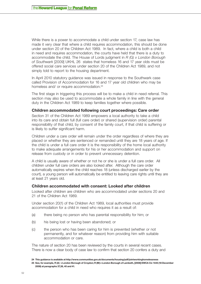While there is a power to accommodate a child under section 17, case law has made it very clear that where a child requires accommodation, this should be done under section 20 of the Children Act 1989. In fact, where a child is both a child in need and requires accommodation, the courts have held that there is a duty to accommodate the child. The House of Lords judgment in *R (G) v London Borough of Southwark* [2009] UKHL 26 states that homeless 16 and 17 year olds must be offered social care services under section 20 of the Children Act 1989, and not simply told to report to the housing department.

In April 2010 statutory guidance was issued in response to the Southwark case called Provision of Accommodation for 16 and 17 year old children who may be homeless and/ or require accommodation.<sup>24</sup>

The first stage in triggering this process will be to make a child in need referral. This section may also be used to accommodate a whole family in line with the general duty in the Children Act 1989 to keep families together where possible.

#### **Children accommodated following court proceedings: Care order**

Section 31 of the Children Act 1989 empowers a local authority to take a child into its care and obtain full (full care order) or shared (supervision order) parental responsibility of that child, by consent of the family court, if that child is suffering or is likely to suffer significant harm.

Children under a care order will remain under the order regardless of where they are placed or whether they are sentenced or remanded until they are 18 years of age. If the child is under a full care order it is the responsibility of the home local authority to make adequate arrangements for his or her accommodation and support on release from custody or in order to prevent unnecessary detention.

A child is usually aware of whether or not he or she is under a full care order. All children under full care orders are also looked after. Although the care order automatically expires when the child reaches 18 (unless discharged earlier by the court), a young person will automatically be entitled to leaving care rights until they are at least 21 years old.

#### **Children accommodated with consent: Looked after children**

Looked after children are children who are accommodated under sections 20 and 21 of the Children Act 1989.

Under section 20(1) of the Children Act 1989, local authorities must provide accommodation for a child in need who requires it as a result of:

- (a) there being no person who has parental responsibility for him; or
- (b) his being lost or having been abandoned; or
- (c) the person who has been caring for him is prevented (whether or not permanently, and for whatever reason) from providing him with suitable accommodation or care.

The nature of section 20 has been reviewed by the courts in several recent cases. There is now a clear body of case law to confirm that section 20 confers a duty and

**<sup>24</sup> This guidance is available at http://www.communities.gov.uk/documents/housing/pdf/jointworkinghomelessness** 

**<sup>25</sup> See, for example, R (A) v London Borough of Croydon; R (M) v London Borough of Lambeth, [2008] EWCA Civ 1445 (18 December 2008) at paragraphs 37,38, 40 and 41.**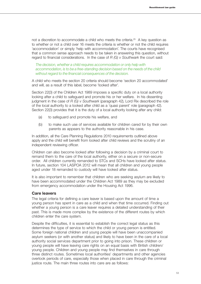not a discretion to accommodate a child who meets the criteria.<sup>25</sup> A key question as to whether or not a child over 16 meets the criteria is whether or not the child requires 'accommodation' or simply 'help with accommodation'. The courts have recognised that a common sense approach needs to be taken in answering this question, without regard to financial considerations. In the case of *R (G) v Southwark* the court said:

*The decision, whether a child requires accommodation or only help with accommodation, is to be a free-standing decision based on the needs of the child without regard to the financial consequences of the decision.*

A child who meets the section 20 criteria should become 'section 20 accommodated' and will, as a result of this label, become 'looked after'.

Section 22(3) of the Children Act 1989 imposes a specific duty on a local authority looking after a child to safeguard and promote his or her welfare. In his dissenting judgment in the case of *R (G) v Southwark* (paragraph 42), Lord Rix described the role of the local authority to a looked after child as a 'quasi parent' role (paragraph 42). Section 22(3) provides that it is the duty of a local authority looking after any child:

- (a) to safeguard and promote his welfare, and
- (b) to make such use of services available for children cared for by their own parents as appears to the authority reasonable in his case.

In addition, all the Care Planning Regulations 2010 requirements outlined above apply and the child will benefit from looked after child reviews and the scrutiny of an independent reviewing officer.

Children can also become looked after following a decision by a criminal court to remand them to the care of the local authority, either on a secure or non-secure order. All children currently remanded to STCs and SCHs have looked after status. In future, section 104 LASPOA 2012 will mean that all children and young people aged under 18 remanded to custody will have looked after status.

It is also important to remember that children who are seeking asylum are likely to have been accommodated under the Children Act 1989 as they may be excluded from emergency accommodation under the Housing Act 1996.

# **Care leavers**

The legal criteria for defining a care leaver is based upon the amount of time a young person has spent in care as a child and when that time occurred. Finding out whether a young person is a care leaver requires a detailed understanding of their past. This is made more complex by the existence of the different routes by which children enter the care system.

Despite the difficulties, it is essential to establish the correct legal status as this determines the type of service to which the child or young person is entitled. Some foreign national children and young people will have been unaccompanied asylum seekers (or with another status) and likely to have been in the care of a local authority social services department prior to going into prison. These children or young people will have leaving care rights on an equal basis with British children/ young people. Children and young people may find themselves in care through three distinct routes. Sometimes local authorities' departments and other agencies overlook periods of care, especially those when placed in care through the criminal justice route. The main three routes into care are as follows: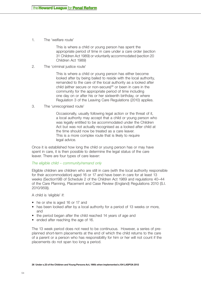1. The 'welfare route'

 This is where a child or young person has spent the appropriate period of time in care under a care order (section 31 Children Act 1989) or voluntarily accommodated (section 20 Children Act 1989)

2. The 'criminal justice route'

 This is where a child or young person has either become looked after by being bailed to reside with the local authority, remanded to the care of the local authority as a looked after child (either secure or non-secure)<sup>26</sup> or been in care in the community for the appropriate period of time including one day on or after his or her sixteenth birthday, or where Regulation 3 of the Leaving Care Regulations (2010) applies.

3. The 'unrecognised route'

 Occasionally, usually following legal action or the threat of it, a local authority may accept that a child or young person who was legally entitled to be accommodated under the Children Act but was not actually recognised as a looked after child at the time should now be treated as a care leaver. This is a more complex route that is likely to require legal advice.

Once it is established how long the child or young person has or may have spent in care, it is then possible to determine the legal status of the care leaver. There are four types of care leaver:

#### *The eligible child – community/remand only*

Eligible children are children who are still in care (with the local authority responsible for their accommodation) aged 16 or 17 and have been in care for at least 13 weeks (Section19B of Schedule 2 of the Children Act 1989 and regulations 40–44 of the Care Planning, Placement and Case Review (England) Regulations 2010 (S.I. 2010/959)).

A child is 'eligible' if:

- he or she is aged 16 or 17 and
- has been looked after by a local authority for a period of 13 weeks or more, and
- the period began after the child reached 14 years of age and
- ended after reaching the age of 16.

The 13 week period does not need to be continuous. However, a series of preplanned short-term placements at the end of which the child returns to the care of a parent or a person who has responsibility for him or her will not count if the placements do not span too long a period.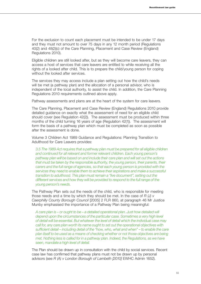For the exclusion to count each placement must be intended to be under 17 days and they must not amount to over 75 days in any 12 month period (Regulations 40(2) and 48(2)(c) of the Care Planning, Placement and Case Review (England) Regulations 2010).

Eligible children are still looked after, but as they will become care leavers, they can access a host of services that care leavers are entitled to while receiving all the rights of a looked after child. This is to prepare the child/young person for coping without the looked after services.

The services they may access include a plan setting out how the child's needs will be met (a pathway plan) and the allocation of a personal advisor, who is independent of the local authority, to assist the child. In addition, the Care Planning Regulations 2010 requirements outlined above apply.

Pathway assessments and plans are at the heart of the system for care leavers.

The Care Planning, Placement and Case Review (England) Regulations 2010 provide detailed guidance on exactly what the assessment of need for an eligible child should cover (see Regulation 42(2)). The assessment must be produced within three months of the child turning 16 years of age (Regulation 42(1)). The assessment will form the basis of a pathway plan which must be completed as soon as possible after the assessment is done.

Volume 3 Children Act 1989 Guidance and Regulations: Planning Transition to Adulthood for Care Leavers provides:

*3.5 The 1989 Act requires that a pathway plan must be prepared for all eligible children and continued for all relevant and former relevant children. Each young person's pathway plan will be based on and include their care plan and will set out the actions that must be taken by the responsible authority, the young person, their parents, their carers and the full range of agencies, so that each young person is provided with the services they need to enable them to achieve their aspirations and make a successful transition to adulthood. This plan must remain a "live document", setting out the different services and how they will be provided to respond to the full range of the young person's needs.* 

The Pathway Plan sets out the needs of the child, who is responsible for meeting those needs and a time by which they should be met. In the case of *R (J) v Caerphilly County Borough Council* [2005] 2 FLR 860, at paragraph 46 Mr Justice Munby emphasised the importance of a Pathway Plan being meaningful:

*A care plan is – or ought to be – a detailed operational plan. Just how detailed will depend upon the circumstances of the particular case. Sometimes a very high level of detail will be essential. But whatever the level of detail which the individual case may call for, any care plan worth its name ought to set out the operational objectives with sufficient detail – including detail of the "how, who, what and when" – to enable the care plan itself to be used as a means of checking whether or not those objectives are being met. Nothing less is called for in a pathway plan. Indeed, the Regulations, as we have seen, mandate a high level of detail.*

The Plan should be drawn up in consultation with the child by social services. Recent case law has confirmed that pathway plans must not be drawn up by personal advisors (see *R (A) v London Borough of Lambeth [2010]* EWHC Admin 1652).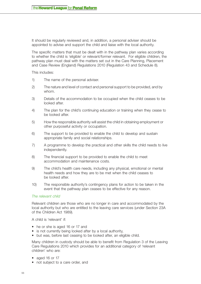It should be regularly reviewed and, in addition, a personal adviser should be appointed to advise and support the child and liaise with the local authority.

The specific matters that must be dealt with in the pathway plan varies according to whether the child is 'eligible' or relevant/former relevant. For eligible children, the pathway plan must deal with the matters set out in the Care Planning, Placement and Case Review (England) Regulations 2010 (Regulation 43 and Schedule 8).

This includes:

- 1) The name of the personal adviser.
- 2) The nature and level of contact and personal support to be provided, and by whom.
- 3) Details of the accommodation to be occupied when the child ceases to be looked after.
- 4) The plan for the child's continuing education or training when they cease to be looked after.
- 5) How the responsible authority will assist the child in obtaining employment or other purposeful activity or occupation.
- 6) The support to be provided to enable the child to develop and sustain appropriate family and social relationships.
- 7) A programme to develop the practical and other skills the child needs to live independently.
- 8) The financial support to be provided to enable the child to meet accommodation and maintenance costs.
- 9) The child's health care needs, including any physical, emotional or mental health needs and how they are to be met when the child ceases to be looked after.
- 10) The responsible authority's contingency plans for action to be taken in the event that the pathway plan ceases to be effective for any reason.

#### *The relevant child*

Relevant children are those who are no longer in care and accommodated by the local authority but who are entitled to the leaving care services (under Section 23A of the Children Act 1989).

A child is 'relevant' if:

- he or she is aged 16 or 17 and
- is not currently being looked after by a local authority,
- but was, before last ceasing to be looked after, an eligible child.

Many children in custody should be able to benefit from Regulation 3 of the Leaving Care Regulations 2010 which provides for an additional category of 'relevant children' who are:

- aged 16 or 17
- not subject to a care order, and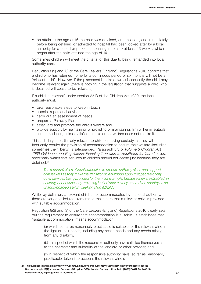• on attaining the age of 16 the child was detained, or in hospital, and immediately before being detained or admitted to hospital had been looked after by a local authority for a period or periods amounting in total to at least 13 weeks, which began after the child attained the age of 14.

Sometimes children will meet the criteria for this due to being remanded into local authority care.

Regulation 3(5) and (6) of the Care Leavers (England) Regulations 2010 confirms that a child who has returned home for a continuous period of six months will not be a 'relevant child'. However, if the placement breaks down subsequently the child may become 'relevant again (there is nothing in the legislation that suggests a child who is detained will cease to be 'relevant').

If a child is 'relevant', under section 23 B of the Children Act 1989, the local authority must:

- take reasonable steps to keep in touch
- appoint a personal adviser
- carry out an assessment of needs
- prepare a Pathway Plan
- safeguard and promote the child's welfare and
- provide support by maintaining, or providing or maintaining, him or her in suitable accommodation, unless satisfied that his or her welfare does not require it.

This last duty is particularly relevant to children leaving custody, as they will frequently require the provision of accommodation to ensure their welfare (including sometimes their liberty) is safeguarded. Paragraph 3.3 of *Volume 3 Children Act 1989 Guidance and Regulations: Planning Transition to Adulthood for Care Leavers*  specifically warns that services to children should not cease just because they are detained.27

*The responsibilities of local authorities to prepare pathway plans and support care leavers as they make the transition to adulthood apply irrespective of any other services being provided for them, for example, because they are disabled, in custody, or because they are being looked after as they entered the country as an unaccompanied asylum seeking child (UASC).* 

While, by definition, a relevant child is not accommodated by the local authority, there are very detailed requirements to make sure that a relevant child is provided with suitable accommodation.

Regulation 9(2) and (3) of the Care Leavers (England) Regulations 2010 clearly sets out the requirement to ensure that accommodation is suitable. It establishes that "suitable accommodation" means accommodation:

(a) which so far as reasonably practicable is suitable for the relevant child in the light of their needs, including any health needs and any needs arising from any disability,

(b) in respect of which the responsible authority have satisfied themselves as to the character and suitability of the landlord or other provider, and

(c) in respect of which the responsible authority have, so far as reasonably practicable, taken into account the relevant child's—

**<sup>27</sup> This guidance is available at http://www.communities.gov.uk/documents/housing/pdf/jointworkinghomelessness See, for example, R(A) v London Borough of Croydon; R(M) v London Borough of Lambeth, [2008] EWCA Civ 1445 (18 December 2008) at paragraphs 37,38, 40 and 41.**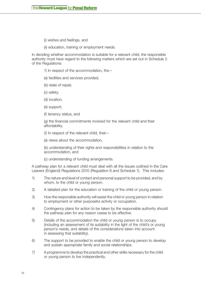- (i) wishes and feelings, and
- (ii) education, training or employment needs.

In deciding whether accommodation is suitable for a relevant child, the responsible authority must have regard to the following matters which are set out in Schedule 2 of the Regulations:

- 1) In respect of the accommodation, the—
- (a) facilities and services provided,
- (b) state of repair,
- (c) safety,
- (d) location,
- (e) support,
- (f) tenancy status, and

(g) the financial commitments involved for the relevant child and their affordability.

2) In respect of the relevant child, their—

(a) views about the accommodation,

(b) understanding of their rights and responsibilities in relation to the accommodation, and

(c) understanding of funding arrangements.

A pathway plan for a relevant child must deal with all the issues outlined in the Care Leavers (England) Regulations 2010 (Regulation 6 and Schedule 1). This includes:

- 1) The nature and level of contact and personal support to be provided, and by whom, to the child or young person.
- 2) A detailed plan for the education or training of the child or young person.
- 3) How the responsible authority will assist the child or young person in relation to employment or other purposeful activity or occupation.
- 4) Contingency plans for action to be taken by the responsible authority should the pathway plan for any reason cease to be effective.
- 5) Details of the accommodation the child or young person is to occupy (including an assessment of its suitability in the light of the child's or young person's needs, and details of the considerations taken into account in assessing that suitability).
- 6) The support to be provided to enable the child or young person to develop and sustain appropriate family and social relationships.
- 7) A programme to develop the practical and other skills necessary for the child or young person to live independently.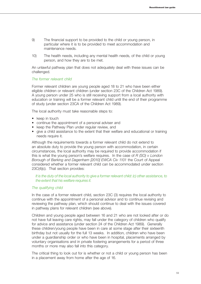- 9) The financial support to be provided to the child or young person, in particular where it is to be provided to meet accommodation and maintenance needs.
- 10) The health needs, including any mental health needs, of the child or young person, and how they are to be met.

An unlawful pathway plan that does not adequately deal with these issues can be challenged.

# *The former relevant child*

Former relevant children are young people aged 18 to 21 who have been either eligible children or relevant children (under section 23C of the Children Act 1989). A young person under 25 who is still receiving support from a local authority with education or training will be a former relevant child until the end of their programme of study (under section 23CA of the Children Act 1989).

The local authority must take reasonable steps to:

- keep in touch
- continue the appointment of a personal adviser and
- keep the Pathway Plan under regular review, and
- give a child assistance to the extent that their welfare and educational or training needs require it.

Although the requirements towards a former relevant child do not extend to an absolute duty to provide the young person with accommodation, in certain circumstances, the local authority may be required to provide accommodation if this is what the young person's welfare requires. In the case of *R (SO) v London Borough of Barking and Dagenham [2010] EWCA Civ 1101* the Court of Appeal considered whether a former relevant child can be accommodated under section 23C(4)(c). That section provides:

### *It is the duty of the local authority to give a former relevant child: (c) other assistance, to the extent that his welfare requires it.*

#### *The qualifying child*

In the case of a former relevant child, section 23C (3) requires the local authority to continue with the appointment of a personal advisor and to continue revising and reviewing the pathway plan, which should continue to deal with the issues covered in pathway plans for relevant children (see above).

Children and young people aged between 16 and 21 who are not looked after or do not have full leaving care rights, may fall under the category of children who qualify for advice and assistance (under section 24 of the Children Act 1989). Generally these children/young people have been in care at some stage after their sixteenth birthday but not usually for the full 13 weeks. In addition, children who have been under a guardianship order or who have been in hospital, placements arranged by voluntary organisations and in private fostering arrangements for a period of three months or more may also fall into this category.

The critical thing to look out for is whether or not a child or young person has been in a placement away from home after the age of 16.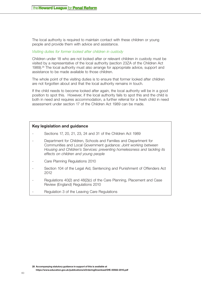The local authority is required to maintain contact with these children or young people and provide them with advice and assistance.

#### *Visiting duties for former looked after children in custody*

Children under 18 who are not looked after or relevant children in custody must be visited by a representative of the local authority (section 23ZA of the Children Act 1989).28 The local authority must also arrange for appropriate advice, support and assistance to be made available to those children.

The whole point of the visiting duties is to ensure that former looked after children are not forgotten about and that the local authority remains in touch.

If the child needs to become looked after again, the local authority will be in a good position to spot this. However, if the local authority fails to spot this and the child is both in need and requires accommodation, a further referral for a fresh child in need assessment under section 17 of the Children Act 1989 can be made.

# **Key legislation and guidance** Sections 17, 20, 21, 23, 24 and 31 of the Children Act 1989 - Department for Children, Schools and Families and Department for Communities and Local Government guidance: *Joint working between Housing and Children's Services: preventing homelessness and tackling its effects on children and young people* Care Planning Regulations 2010 Section 104 of the Legal Aid, Sentencing and Punishment of Offenders Act 2012 Regulations 40(2) and 48(2)(c) of the Care Planning, Placement and Case Review (England) Regulations 2010

Regulation 3 of the Leaving Care Regulations

**<sup>28</sup> Accompanying statutory guidance in support of this is available at https://www.education.gov.uk/publications/eOrderingDownload/DfE-00562-2010.pdf**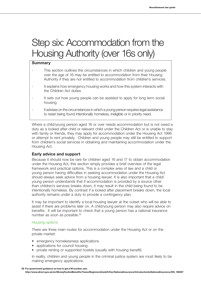# Step six: Accommodation from the Housing Authority (over 16s only)

### **Summary**

- This section outlines the circumstances in which children and young people over the age of 16 may be entitled to accommodation from their Housing Authority if they are not entitled to accommodation from children's services.
- It explains how emergency housing works and how this system interacts with the Children Act duties
- It sets out how young people can be assisted to apply for long term social housing
- It advises on the circumstances in which a young person requires legal assistance to resist being found intentionally homeless, ineligible or in priority need.

Where a child/young person aged 16 or over needs accommodation but is not owed a duty as a looked after child or relevant child under the Children Act or is unable to stay with family or friends, they may apply for accommodation under the Housing Act 1996 or attempt to rent privately. Children and young people may still be entitled to support from children's social services in obtaining and maintaining accommodation under the Housing Act.

# **Early advice and support**

Because it should now be rare for children aged 16 and 17 to obtain accommodation under the Housing Act, this section simply provides a brief overview of the legal framework and practical options. This is a complex area of law and a child or young person having difficulties in seeking accommodation under the Housing Act should always seek advice from a housing lawyer. It is also important that a child/ young person understands that if accommodation is provided by a source other than children's services breaks down, it may result in the child being found to be intentionally homeless. By contrast if a looked after placement breaks down, the local authority remains under a duty to provide a contingency plan.

It may be important to identify a local housing lawyer at the outset who will be able to assist if there are problems later on. A child/young person may also require advice on benefits. It will be important to check that a young person has a national insurance number as soon as possible.29

#### *Housing options*

There are three main routes for accommodation under the Housing Act or on the private market:

- emergency homelessness applications
- applications for council housing
- private renting or supported hostels (usually with housing benefit).

In reality, children and young people in the criminal justice system are most likely to be making emergency applications.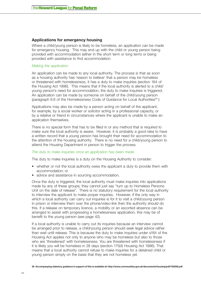## **Applications for emergency housing**

Where a child/young person is likely to be homeless, an application can be made for emergency housing. This may end up with the child or young person being provided with accommodation (either in the short term or long term) or being provided with assistance to find accommodation.

#### *Making the application*

An application can be made to any local authority. The process is that as soon as a housing authority has 'reason to believe' that a person may be homeless or threatened with homelessness, it has a duty to make inquiries (section 184 of the Housing Act 1996). This means that if the local authority is alerted to a child/ young person's need for accommodation, the duty to make inquiries is triggered. An application can be made by someone on behalf of the child/young person (paragraph 6.6 of the Homelessness Code of Guidance for Local Authorities<sup>30</sup>):

Applications may also be made by a person acting on behalf of the applicant, for example, by a social worker or solicitor acting in a professional capacity, or by a relative or friend in circumstances where the applicant is unable to make an application themselves.

There is no special form that has to be filled in or any method that is required to make sure the local authority is aware. However, it is probably a good idea to have a written record that a young person has brought their need for accommodation to the attention of the housing authority. There is no need for a child/young person to attend the Housing Department in person to trigger the process.

#### *The duty to make inquiries once an application has been made*

The duty to make inquiries is a duty on the Housing Authority to consider:

- whether or not the local authority owes the applicant a duty to provide them with accommodation; or
- advice and assistance in sourcing accommodation.

Once the duty is triggered, the local authority must make inquiries into applications made by any of these groups; they cannot just say "turn up to Homeless Persons Unit on the date of release". There is no statutory requirement for the local authority to interview the applicant to make proper inquiries. However, if the only way in which a local authority can carry out inquiries is for it to visit a child/young person in prison or interview them over the phone/video-link then the authority should do this. If a release on temporary licence, a mobility or an escorted absence can be arranged to assist with progressing a homelessness application, this may be of benefit to the young person (see page 42).

If a local authority is unable to carry out its inquiries because an interview cannot be arranged prior to release, a child/young person should seek legal advice rather than wait until release. This is because the duty to make inquiries under s184 of the Housing Act applies not only to anyone who may be homeless but also to those who are 'threatened' with homelessness. You are threatened with homelessness if it is likely you will be homeless in 28 days (section 175(4) Housing Act 1996). That means that a local authority cannot refuse to make inquiries for a detained child or young person simply on the basis that they are not homeless yet.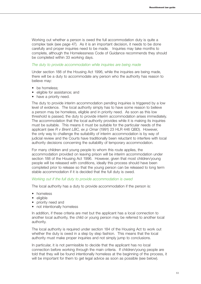Working out whether a person is owed the full accommodation duty is quite a complex task (see page 47). As it is an important decision, it needs to be done carefully and proper inquiries need to be made. Inquiries may take months to complete, although the Homelessness Code of Guidance recommends they should be completed within 33 working days.

#### *The duty to provide accommodation while inquiries are being made*

Under section 188 of the Housing Act 1996, while the inquiries are being made, there will be a duty to accommodate any person who the authority has reason to believe may:

- be homeless:
- eligible for assistance; and
- have a priority need.

The duty to provide interim accommodation pending inquiries is triggered by a low level of evidence. The local authority simply has to have some reason to believe a person may be homeless, eligible and in priority need. As soon as this low threshold is passed, the duty to provide interim accommodation arises immediately. The accommodation that the local authority provides while it is making its inquiries must be suitable. This means it must be suitable for the particular needs of the applicant (see *R v Brent LBC, ex p Omar* (1991) 23 HLR 446 QBD). However, the only way to challenge the suitability of interim accommodation is by way of judicial review and the Courts have traditionally been reluctant to interfere with local authority decisions concerning the suitability of temporary accommodation.

For many children and young people to whom this route applies, the accommodation provided on leaving prison will be interim accommodation under section 188 of the Housing Act 1996. However, given that most children/young people will be released with conditions, ideally this process should have been completed prior to release so that the young person can be released to long term stable accommodation if it is decided that the full duty is owed.

#### *Working out if the full duty to provide accommodation is owed*

The local authority has a duty to provide accommodation if the person is:

- homeless
- eligible
- priority need and
- not intentionally homeless

In addition, if these criteria are met but the applicant has a local connection to another local authority, the child or young person may be referred to another local authority.

The local authority is required under section 184 of the Housing Act to work out whether the duty is owed in a step by step fashion. This means that the local authority must make proper inquiries and not simply jump to conclusions.

In particular, it is not permissible to decide that the applicant has no local connection before working through the main criteria. If children/young people are told that they will be found intentionally homeless at the beginning of the process, it will be important for them to get legal advice as soon as possible (see below).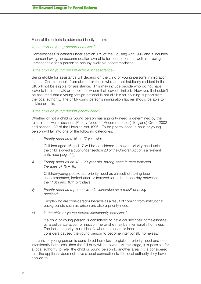Each of the criteria is addressed briefly in turn:

#### *Is the child or young person homeless?*

Homelessness is defined under section 175 of the Housing Act 1996 and it includes a person having no accommodation available for occupation, as well as it being unreasonable for a person to occupy available accommodation.

#### *Is the child or young person eligible for assistance?*

Being eligible for assistance will depend on the child or young person's immigration status. Certain people from abroad or those who are not habitually resident in the UK will not be eligible for assistance. This may include people who do not have leave to be in the UK or people for whom that leave is limited. However, it shouldn't be assumed that a young foreign national is not eligible for housing support from the local authority. The child/young person's immigration lawyer should be able to advise on this.

*Is the child or young person priority need?*

Whether or not a child or young person has a priority need is determined by the rules in the Homelessness (Priority Need for Accommodation) (England) Order 2002 and section 189 of the Housing Act 1996. To be priority need, a child or young person will fall into one of the following categories:

*i) Priority need as a 16 or 17 year old:*

Children aged 16 and 17 will be considered to have a priority need unless the child is owed a duty under section 20 of the Children Act or is a relevant child (see page 56).

*ii) Priority need as an 18 – 20 year old, having been in care between the ages of 16 – 18:*

Children/young people are priority need as a result of having been accommodated, looked after or fostered for at least one day between their 16th and 18th birthdays.

*iii) Priority need as a person who is vulnerable as a result of being detained:*

> People who are considered vulnerable as a result of coming from institutional backgrounds such as prison are also a priority need.

*iv) Is the child or young person intentionally homeless?*

If a child or young person is considered to have caused their homelessness by a deliberate action or inaction, he or she may be intentionally homeless. The local authority must identify what the action or inaction is that it considers caused the young person to become intentionally homeless.

If a child or young person is considered homeless, eligible, in priority need and not intentionally homeless, then the full duty will be owed. At this stage, it is possible for a local authority to refer the child or young person to another area if it is considered that the applicant does not have a local connection to the local authority they have applied to.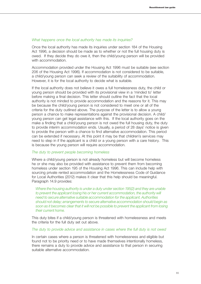#### *What happens once the local authority has made its inquiries?*

Once the local authority has made its inquiries under section 184 of the Housing Act 1996, a decision should be made as to whether or not the full housing duty is owed. If they decide they do owe it, then the child/young person will be provided with accommodation.

Accommodation provided under the Housing Act 1996 must be suitable (see section 206 of the Housing Act 1996). If accommodation is not considered to be suitable, a child/young person can seek a review of the suitability of accommodation. However, it is for the local authority to decide what is suitable.

If the local authority does not believe it owes a full homelessness duty, the child or young person should be provided with its provisional view in a 'minded to' letter before making a final decision. This letter should outline the fact that the local authority is not minded to provide accommodation and the reasons for it. This may be because the child/young person is not considered to meet one or all of the criteria for the duty outlined above. The purpose of the letter is to allow a young person a chance to make representations against the provisional decision. A child/ young person can get legal assistance with this. If the local authority goes on the make a finding that a child/young person is not owed the full housing duty, the duty to provide interim accommodation ends. Usually, a period of 28 days' notice is given to provide the person with a chance to find alternative accommodation. This period can be extended if necessary. At this point it may be that children's services may need to step in if the applicant is a child or a young person with a care history. This is because the young person will require accommodation.

#### *The duty to prevent people becoming homeless*

Where a child/young person is not already homeless but will become homeless he or she may also be provided with assistance to prevent them from becoming homeless under section 195 of the Housing Act 1996. This can include help with sourcing private rented accommodation and the Homelessness Code of Guidance for Local Authorities (2012) makes it clear that this help should be meaningful. Paragraph 14.9 provides:

*Where the housing authority is under a duty under section 195(2) and they are unable*  to prevent the applicant losing his or her current accommodation, the authority will *need to secure alternative suitable accommodation for the applicant. Authorities should not delay; arrangements to secure alternative accommodation should begin as soon as it becomes clear that it will not be possible to prevent the applicant from losing their current home.*

This duty bites if a child/young person is threatened with homelessness and meets the criteria for the full duty set out above.

#### *The duty to provide advice and assistance in cases where the full duty is not owed*

In certain cases where a person is threatened with homelessness and eligible but found not to be priority need or to have made themselves intentionally homeless, there remains a duty to provide advice and assistance to that person in securing suitable alternative accommodation.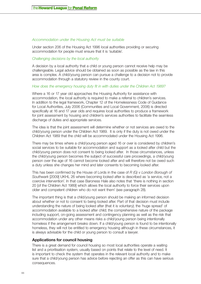## *Accommodation under the Housing Act must be suitable*

Under section 206 of the Housing Act 1996 local authorities providing or securing accommodation for people must ensure that it is 'suitable'.

#### *Challenging decisions by the local authority*

A decision by a local authority that a child or young person cannot receive help may be challengeable. Legal advice should be obtained as soon as possible as the law in this area is complex. A child/young person can pursue a challenge to a decision not to provide accommodation through a statutory review in the county court.

### *How does the emergency housing duty fit in with duties under the Children Act 1989?*

Where a 16 or 17 year old approaches the Housing Authority for assistance with accommodation, the local authority is required to make a referral to children's services. In addition to the legal framework, Chapter 12 of the Homelessness Code of Guidance for Local Authorities, July 2006 (Communities and Local Government, 2006) is directed specifically at 16 and 17 year olds and requires local authorities to produce a framework for joint assessment by housing and children's services authorities to facilitate the seamless discharge of duties and appropriate services.

The idea is that the joint assessment will determine whether or not services are owed to the child/young person under the Children Act 1989. It is only if the duty is not owed under the Children Act 1989 that the child will be accommodated under the Housing Act 1996.

There may be times where a child/young person aged 16 or over is considered by children's social services to be suitable for accommodation and support as a looked after child but the child/young person does not consent to being looked after. In those circumstances, unless the child/young person becomes the subject of successful care proceedings, a child/young person over the age of 16 cannot become looked after and will therefore not be owed such a duty unless she changes her mind and later consents to becoming looked after.

This has been confirmed by the House of Lords in the case of *R (G) v London Borough of Southwark* [2009] UKHL 26 where becoming looked after is described as 'a service, not a coercive intervention'. In that case Baroness Hale also notes that 'there is nothing in section 20 [of the Children Act 1989] which allows the local authority to force their services upon older and competent children who do not want them' (see paragraph 28).

The important thing is that a child/young person should be making an informed decision about whether or not to consent to being looked after. Part of that decision must include understanding the nature of being looked after (that it is voluntary); the 'huge spread' of accommodation available to a looked after child; the comprehensive nature of the package including support, on-going assessment and contingency planning as well as the risk that accommodation under any other means risks a child/young person being intentionally homeless if the arrangement breaks down. If a child/young person is found to be intentionally homeless, they will not be entitled to emergency housing although in these circumstances, it is always advisable for the child or young person to consult a lawyer.

# **Applications for council housing**

There is a great demand for council housing so most local authorities operate a waiting list and a prioritisation system, usually based on points that relate to the level of need. It is important to check the system that operates in the relevant local authority and to make sure that a child/young person has advice before rejecting an offer as this can have serious consequences.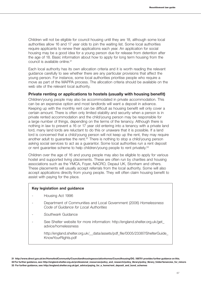Children will not be eligible for council housing until they are 18, although some local authorities allow 16 and 17 year olds to join the waiting list. Some local authorities require applicants to renew their applications each year. An application for social housing may be a good idea for a young person due for release from detention after the age of 18. Basic information about how to apply for long term housing from the council is available online.31

Each local authority has its own allocation criteria and it is worth reading the relevant guidance carefully to see whether there are any particular provisions that affect the young person. For instance, some local authorities prioritise people who require a move as part of the MAPPA process. The allocation criteria should be available on the web site of the relevant local authority.

# **Private renting or applications to hostels (usually with housing benefit)**

Children/young people may also be accommodated in private accommodation. This can be an expensive option and most landlords will want a deposit in advance. Keeping up with the monthly rent can be difficult as housing benefit will only cover a certain amount. There is often only limited stability and security when a person is in private rented accommodation and the child/young person may be responsible for a large number of things, depending on the terms of the tenancy. Although there is nothing in law to prevent a 16 or 17 year old entering into a tenancy with a private land lord, many land lords are reluctant to do this or unaware that it is possible. If a land lord is concerned that a child/young person will not keep up the rent, they may require another adult to guarantee the rent.32 There is nothing to stop a child/young person asking social services to act as a guarantor. Some local authorities run a rent deposit or rent guarantee scheme to help children/young people to rent privately.<sup>33</sup>

Children over the age of 16 and young people may also be eligible to apply for various hostel and supported living placements. These are often run by charities and housing associations such as the YMCA, Foyer, NACRO, Depaul UK, Stonham and others. These placements will usually accept referrals from the local authority. Some will also accept applications directly from young people. They will often claim housing benefit to assist with paying for the place.

#### **Key legislation and guidance**

- Housing Act 1996
- Department of Communities and Local Government (2006) *Homelessness Code of Guidance for Local Authorities*
- *Southwark* Guidance
- See Shelter website for more information: http://england.shelter.org.uk/get\_ advice/homelessness

http://england.shelter.org.uk/\_\_data/assets/pdf\_file/0005/23387/ShelterGuide\_ KnowYourRights.pdf

**<sup>31</sup> http://www.direct.gov.uk/en/HomeAndCommunity/Councilandhousingassociationhomes/Councilhousing/DG\_188701 provides further guidance on this. 32 For further guidance, see: http://england.shelter.org.uk/professional\_resources/policy\_and\_research/policy\_library/policy\_library\_folder/tenancies\_for\_minors 33 For further guidance, see: http://england.shelter.org.uk/get\_advice/paying\_for\_a\_home/rent\_deposit\_and\_bond\_schemes**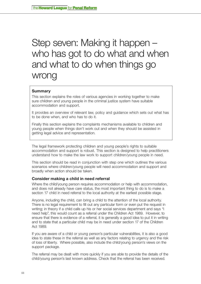# Step seven: Making it happen – who has got to do what and when and what to do when things go wrong

# **Summary**

This section explains the roles of various agencies in working together to make sure children and young people in the criminal justice system have suitable accommodation and support.

It provides an overview of relevant law, policy and guidance which sets out what has to be done when, and who has to do it.

Finally this section explains the complaints mechanisms available to children and young people when things don't work out and when they should be assisted in getting legal advice and representation.

The legal framework protecting children and young people's rights to suitable accommodation and support is robust. This section is designed to help practitioners understand how to make the law work to support children/young people in need.

This section should be read in conjunction with step one which outlines the various scenarios where children/young people will need accommodation and support and broadly when action should be taken.

# **Consider making a child in need referral**

Where the child/young person requires accommodation or help with accommodation, and does not already have care status, the most important thing to do is to make a section 17 child in need referral to the local authority at the earliest possible stage.

Anyone, including the child, can bring a child to the attention of the local authority. There is no legal requirement to fill out any particular form or even put the request in writing; in theory if a child calls up his or her social services department and says "I need help", this would count as a referral under the Children Act 1989. However, to ensure that there is evidence of a referral, it is generally a good idea to put it in writing and to state that a particular child may be in need under section 17 of the Children Act 1989.

If you are aware of a child or young person's particular vulnerabilities, it is also a good idea to state these in the referral as well as any factors relating to urgency and the risk of loss of liberty. Where possible, also include the child/young person's views on the support package.

The referral may be dealt with more quickly if you are able to provide the details of the child/young person's last known address. Check that the referral has been received.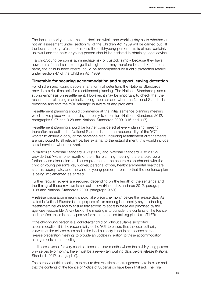The local authority should make a decision within one working day as to whether or not an assessment under section 17 of the Children Act 1989 will be carried out. If the local authority refuses to assess the child/young person, this is almost certainly unlawful and the child or young person should be assisted in obtaining legal advice.

If a child/young person is at immediate risk of custody simply because they have nowhere safe and suitable to go that night, and may therefore be at risk of serious harm, the child in need referral could be accompanied by a child protection referral under section 47 of the Children Act 1989.

#### **Timetable for securing accommodation and support leaving detention**

For children and young people in any form of detention, the National Standards provide a strict timetable for resettlement planning. The National Standards place a strong emphasis on resettlement. However, it may be important to check that the resettlement planning is actually taking place as and when the National Standards prescribe and that the YOT manager is aware of any problems.

Resettlement planning should commence at the initial sentence planning meeting which takes place within ten days of entry to detention (National Standards 2012, paragraphs 9.27 and 9.28 and National Standards 2009, 9.16 and 9.17).

Resettlement planning should be further considered at every planning meeting thereafter, as outlined in National Standards. It is the responsibility of the YOT worker to ensure a copy of the sentence plan, including resettlement arrangements are distributed to all relevant parties external to the establishment; this would include social services where relevant.

In particular, National Standard 9.50 (2009) and National Standard 9.38 (2012) provide that 'within one month of the initial planning meeting' there should be a further 'case discussion to discuss progress at the secure establishment with the child or young person's key worker, personal officer, healthcare/mental healthcare staff as appropriate, and the child or young person to ensure that the sentence plan is being implemented as agreed.'

Further regular reviews are required depending on the length of the sentence and the timing of these reviews is set out below (National Standards 2012, paragraph 9.38 and National Standards 2009, paragraph 9.50.).

A release preparation meeting should take place one month before the release date. As stated in National Standards, the purpose of this meeting is to identify any outstanding resettlement issues and to ensure that actions to address these are prioritised by the agencies responsible. A key task of the meeting is to consider the contents of the licence and to reflect these in the respective form, the proposed training plan form (T1:FR).

If the child/young person is a looked-after child or without suitable supported accommodation, it is the responsibility of the YOT to ensure that the local authority is aware of the release plans and, if the local authority is not in attendance at the release preparation meeting, to provide an update in relation to these accommodation arrangements at the meeting.

In all cases except for very short sentences of four months where the child/ young person only serves two months, there must be a review ten working days before release (National Standards 2012, paragraph 9).

The purpose of this meeting is to ensure that resettlement arrangements are in place and that the contents of the licence or Notice of Supervision have been finalised. The 'final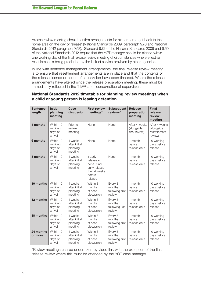release review meeting should confirm arrangements for him or her to get back to the home area on the day of release' (National Standards 2009, paragraph 9.70 and National Standards 2012 paragraph 9.58). Standard 9.72 of the National Standards 2009 and 9.60 of the National Standards 2012 require that the YOT manager should be alerted within one working day of the final release review meeting of circumstances where effective resettlement is being precluded by the lack of service provision by other agencies.

In line with sentence management arrangements, the final release review meeting is to ensure that resettlement arrangements are in place and that the contents of the release licence or notice of supervision have been finalised. Where the release arrangements have altered since the release preparation meeting, these must be immediately reflected in the T1:FR and licence/notice of supervision.

| <b>Sentence</b><br>length | <b>Initial</b><br>planning<br>meeting      | Case<br>discussion                              | <b>First review</b><br>meetings*                                                            | <b>Subsequent</b><br>reviews*                  | <b>Release</b><br>preparation<br>meeting     | <b>Final</b><br>release<br>review<br>meeting           |
|---------------------------|--------------------------------------------|-------------------------------------------------|---------------------------------------------------------------------------------------------|------------------------------------------------|----------------------------------------------|--------------------------------------------------------|
| 4 months                  | Within 10<br>working<br>days of<br>arrival | Prior to<br>review<br>meeting                   | None                                                                                        | None                                           | After 4 weeks<br>(alongside<br>final review) | After 4 weeks<br>(alongside<br>resettlement<br>review) |
| 6 months                  | Within 10<br>working<br>days of<br>arrival | 4 weeks<br>after initial<br>planning<br>meeting | None                                                                                        | None                                           | 1 month<br>before<br>release date            | 10 working<br>days before<br>release                   |
| 8 months                  | Within 10<br>working<br>days of<br>arrival | 4 weeks<br>after initial<br>planning<br>meeting | If early<br>release -<br>none. If not<br>early release<br>then 4 weeks<br>before<br>release | None                                           | 1 month<br>before<br>release date            | 10 working<br>days before<br>release                   |
| 10 months                 | Within 10<br>working<br>days of<br>arrival | 4 weeks<br>after initial<br>planning<br>meeting | Within 3<br>months<br>of case<br>discussion                                                 | Every 3<br>months<br>following first<br>review | 1 month<br>before<br>release date            | 10 working<br>days before<br>release                   |
| 12 months                 | Within 10<br>working<br>days of<br>arrival | 4 weeks<br>after initial<br>planning<br>meeting | Within 3<br>months<br>of case<br>discussion                                                 | Every 3<br>months<br>following 1st<br>review   | 1 month<br>before<br>release date            | 10 working<br>days before<br>release                   |
| 18 months                 | Within 10<br>working<br>days of<br>arrival | 4 weeks<br>after initial<br>planning<br>meeting | Within 3<br>months<br>of case<br>discussion                                                 | Every 3<br>months<br>following first<br>review | 1 month<br>before<br>release date            | 10 working<br>days before<br>release                   |
| 24 months<br>or more      | Within 10<br>working<br>days of<br>arrival | 4 weeks<br>after initial<br>planning<br>meeting | Within 3<br>months<br>of case<br>discussion                                                 | Every 3<br>months<br>following first<br>review | 1 month<br>before<br>release date            | 10 working<br>days before<br>release                   |

# **National Standards 2012 timetable for planning review meetings when a child or young person is leaving detention**

\*Review meetings can be undertaken by video link with the exception of the final release review where this must be attended by the YOT case manager.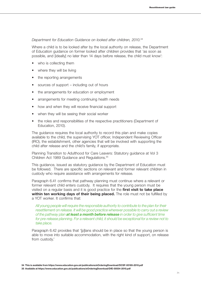#### *Department for Education Guidance on looked after children, 2010.34*

Where a child is to be looked after by the local authority on release, the Department of Education guidance on former looked after children provides that 'as soon as possible, and [ideally] no later than 14 days before release, the child must know':

- who is collecting them
- where they will be living
- the reporting arrangements
- sources of support  $-$  including out of hours
- the arrangements for education or employment
- arrangements for meeting continuing health needs
- how and when they will receive financial support
- when they will be seeing their social worker
- the roles and responsibilities of the respective practitioners (Department of Education, 2010).

The guidance requires the local authority to record this plan and make copies available to the child, the supervising YOT officer, Independent Reviewing Officer (IRO), the establishment, other agencies that will be involved with supporting the child after release and the child's family, if appropriate.

Planning Transition to Adulthood for Care Leavers: Statutory guidance at Vol 3 Children Act 1989 Guidance and Regulations.35

This guidance, issued as statutory guidance by the Department of Education must be followed. There are specific sections on relevant and former relevant children in custody who require assistance with arrangements for release.

Paragraph 6.41 confirms that pathway planning must continue where a relevant or former relevant child enters custody. It requires that the young person must be visited on a regular basis and it is good practice for the **first visit to take place within ten working days of their being placed.** The role must not be fulfilled by a YOT worker. It confirms that:

*All young people will require the responsible authority to contribute to the plan for their resettlement on release. It will be good practice wherever possible to carry out a review of the pathway plan at least a month before release in order to give sufficient time*  for pre-release planning. For a relevant child, it should be exceptional for a review not to *take place.*

Paragraph 6.42 provides that '[p]lans should be in place so that the young person is able to move into suitable accommodation, with the right kind of support, on release from custody.'

**34 This is available from https://www.education.gov.uk/publications/eOrderingDownload/DCSF-00185-2010.pdf**

**<sup>35</sup> Available at https://www.education.gov.uk/publications/eOrderingDownload/DfE-00554-2010.pdf**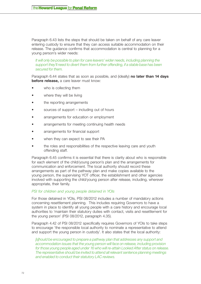Paragraph 6.43 lists the steps that should be taken on behalf of any care leaver entering custody to ensure that they can access suitable accommodation on their release. The guidance confirms that accommodation is central to planning for a young person's wider needs:

*It will only be possible to plan for care leavers' wider needs, including planning the support they'll need to divert them from further offending, if a stable base has been secured for them.*

Paragraph 6.44 states that as soon as possible, and (ideally) **no later than 14 days before release,** a care leaver must know:

- who is collecting them
- where they will be living
- the reporting arrangements
- sources of support  $-$  including out of hours
- arrangements for education or employment
- arrangements for meeting continuing health needs
- arrangements for financial support
- when they can expect to see their PA
- the roles and responsibilities of the respective leaving care and youth offending staff.

Paragraph 6.45 confirms it is essential that there is clarity about who is responsible for each element of the child/young person's plan and the arrangements for communication and enforcement. The local authority should record these arrangements as part of the pathway plan and make copies available to the young person, the supervising YOT officer, the establishment and other agencies involved with supporting the child/young person after release, including, wherever appropriate, their family.

#### *PSI for children and young people detained in YOIs*

For those detained in YOIs, PSI 08/2012 includes a number of mandatory actions concerning resettlement planning. This includes requiring Governors to have a system in place to identify all young people with a care history and encourage local authorities to 'maintain their statutory duties with contact, visits and resettlement for the young person' (PSI 08/2012, paragraph 4.35).

Paragraph 4.42 of PSI 08/2012 specifically requires Governors of YOIs to take steps to encourage 'the responsible local authority to nominate a representative to attend and support the young person in custody'. It also states that the local authority:

*[s]hould be encouraged to prepare a pathway plan that addresses any support and accommodation issues that the young person will face on release, including provision for those young people aged under 16 who will re-attain Looked After status on release. The representative should be invited to attend all relevant sentence planning meetings and enabled to conduct their statutory LAC reviews.*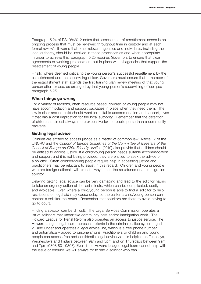Paragraph 5.24 of PSI 08/2012 notes that 'assessment of resettlement needs is an ongoing process that must be reviewed throughout time in custody and at each formal review'. It warns that other relevant agencies and individuals, including the local authority, should be involved in these processes as and when appropriate. In order to achieve this, paragraph 5.25 requires Governors to ensure that clear agreements or working protocols are put in place with all agencies that support the resettlement of young people.

Finally, where deemed critical to the young person's successful resettlement by the establishment and the supervising officer, Governors must ensure that a member of the establishment staff attends the first training plan review meeting of that young person after release, as arranged by that young person's supervising officer (see paragraph 5.26).

#### **When things go wrong**

For a variety of reasons, often resource based, children or young people may not have accommodation and support packages in place when they need them. The law is clear and no child should want for suitable accommodation and support, even if that has a cost implication for the local authority. Remember that the detention of children is almost always more expensive for the public purse than a community package.

#### **Getting legal advice**

Children are entitled to access justice as a matter of common law; Article 12 of the UNCRC and the *Council of Europe Guidelines of the Committee of Ministers of the Council of Europe on Child Friendly Justice* (2010) also provide that children should be entitled to access justice. If a child/young person needs suitable accommodation and support and it is not being provided, they are entitled to seek the advice of a solicitor. Often children/young people require help in accessing justice and practitioners may be reluctant to assist in this regard. Children and young people who are foreign nationals will almost always need the assistance of an immigration solicitor.

Delaying getting legal advice can be very damaging and lead to the solicitor having to take emergency action at the last minute, which can be complicated, costly and avoidable. Even where a child/young person is able to find a solicitor to help, restrictions on legal aid may cause delay, so the earlier a child/young person can contact a solicitor the better. Remember that solicitors are there to avoid having to go to court.

Finding a solicitor can be difficult. The Legal Services Commission operates a list of solicitors that undertake community care and/or immigration work. The Howard League for Penal Reform also operates an access to justice service. The Howard League legal team represents clients in the criminal justice system aged 21 and under and operates a legal advice line, which is a free phone number and automatically added to prisoners' pins. Practitioners or children and young people can access free and confidential legal advice via this helpline on Tuesdays, Wednesdays and Fridays between 9am and 5pm and on Thursdays between 9am and 7pm (0808 801 0308). Even if the Howard League legal team cannot help with the issue or enquiry, we will always try to find a solicitor who can.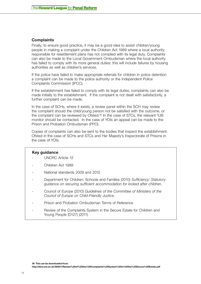#### **Complaints**

Finally, to ensure good practice, it may be a good idea to assist children/young people in making a complaint under the Children Act 1989 where a local authority responsible for resettlement plans has not complied with its legal duty. Complaints can also be made to the Local Government Ombudsman where the local authority has failed to comply with its more general duties: this will include failures by housing authorities as well as children's services.

If the police have failed to make appropriate referrals for children in police detention a complaint can be made to the police authority or the Independent Police Complaints Commission (IPCC).

If the establishment has failed to comply with its legal duties, complaints can also be made initially to the establishment. If the complaint is not dealt with satisfactorily, a further complaint can be made.

In the case of SCHs, where it exists, a review panel within the SCH may review the complaint should the child/young person not be satisfied with the outcome, or the complaint can be reviewed by Ofsted.36 In the case of STCs, the relevant YJB monitor should be contacted. In the case of YOIs an appeal can be made to the Prison and Probation Ombudsman (PPO).

Copies of complaints can also be sent to the bodies that inspect the establishment: Ofsted in the case of SCHs and STCs and Her Majesty's Inspectorate of Prisons in the case of YOIs.

#### **Key guidance**

- UNCRC Article 12
- Children Act 1989
- National standards 2009 and 2012
- Department for Children, Schools and Families (2010) *Sufficiency: Statutory guidance on securing sufficient accommodation for looked after children*.
- Council of Europe (2010) *Guidelines of the Committee of Ministers of the Council of Europe on Child-Friendly Justice*.
- Prison and Probation Ombudsman Terms of Reference
- Review of the Complaints System in the Secure Estate for Children and Young People (D127) (2011)

**http://dera.ioe.ac.uk/2650/1/Review%20of%20the%20Complaints%20System%20in%20the%20Secure%20Estate.pdf**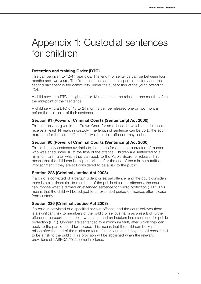# Appendix 1: Custodial sentences for children

# **Detention and training Order (DTO)**

This can be given to 12–17 year olds. The length of sentence can be between four months and two years. The first half of the sentence is spent in custody and the second half spent in the community, under the supervision of the youth offending YOT.

A child serving a DTO of eight, ten or 12 months can be released one month before the mid-point of their sentence.

A child serving a DTO of 18 to 24 months can be released one or two months before the mid-point of their sentence.

# **Section 91 (Power of Criminal Courts (Sentencing) Act 2000)**

This can only be given in the Crown Court for an offence for which an adult could receive at least 14 years in custody. The length of sentence can be up to the adult maximum for the same offence, for which certain offences may be life.

# **Section 90 (Power of Criminal Courts (Sentencing) Act 2000)**

This is the only sentence available to the courts for a person convicted of murder who was aged under 18 at the time of the offence. Children are sentenced to a minimum tariff, after which they can apply to the Parole Board for release. This means that the child can be kept in prison after the end of the minimum tariff of imprisonment if they are still considered to be a risk to the public.

# **Section 228 (Criminal Justice Act 2003)**

If a child is convicted of a certain violent or sexual offence, and the court considers there is a significant risk to members of the public of further offences, the court can impose what is termed an extended sentence for public protection (EPP). This means that the child will be subject to an extended period on licence, after release from custody.

# **Section 226 (Criminal Justice Act 2003)**

If a child is convicted of a specified serious offence, and the court believes there is a significant risk to members of the public of serious harm as a result of further offences, the court can impose what is termed an indeterminate sentence for public protection (DPP). Children are sentenced to a minimum tariff, after which they can apply to the parole board for release. This means that the child can be kept in prison after the end of the minimum tariff of imprisonment if they are still considered to be a risk to the public. This provision will be abolished when the relevant provisions of LASPOA 2012 come into force.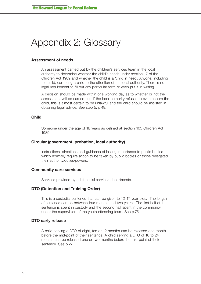# Appendix 2: Glossary

#### **Assessment of needs**

An assessment carried out by the children's services team in the local authority to determine whether the child's needs under section 17 of the Children Act 1989 and whether the child is a 'child in need'. Anyone, including the child, can bring a child to the attention of the local authority. There is no legal requirement to fill out any particular form or even put it in writing.

A decision should be made within one working day as to whether or not the assessment will be carried out. If the local authority refuses to even assess the child, this is almost certain to be unlawful and the child should be assisted in obtaining legal advice. See step 5, p.49.

### **Child**

Someone under the age of 18 years as defined at section 105 Children Act 1989.

#### **Circular (government, probation, local authority)**

Instructions, directions and guidance of lasting importance to public bodies which normally require action to be taken by public bodies or those delegated their authority/duties/powers.

#### **Community care services**

Services provided by adult social services departments.

#### **DTO (Detention and Training Order)**

This is a custodial sentence that can be given to 12–17 year olds. The length of sentence can be between four months and two years. The first half of the sentence is spent in custody and the second half spent in the community, under the supervision of the youth offending team. See p.75

#### **DTO early release**

A child serving a DTO of eight, ten or 12 months can be released one month before the mid-point of their sentence. A child serving a DTO of 18 to 24 months can be released one or two months before the mid-point of their sentence. See p.27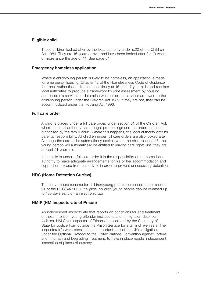#### **Eligible child**

Those children looked after by the local authority under s.20 of the Children Act 1989. They are 16 years or over and have been looked after for 13 weeks or more since the age of 14. See page 54.

#### **Emergency homeless application**

Where a child/young person is likely to be homeless, an application is made for emergency housing. Chapter 12 of the Homelessness Code of Guidance for Local Authorities is directed specifically at 16 and 17 year olds and requires local authorities to produce a framework for joint assessment by housing and children's services to determine whether or not services are owed to the child/young person under the Children Act 1989. If they are not, they can be accommodated under the Housing Act 1996.

#### **Full care order**

A child is placed under a full care order, under section 31 of the Children Act, where the local authority has brought proceedings and the order has been authorised by the family court. Where this happens, the local authority obtains parental responsibility. All children under full care orders are also looked after. Although the care order automatically expires when the child reaches 18, the young person will automatically be entitled to leaving care rights until they are at least 21 years old.

If the child is under a full care order it is the responsibility of the home local authority to make adequate arrangements for his or her accommodation and support on release from custody or in order to prevent unnecessary detention.

#### **HDC (Home Detention Curfew)**

The early release scheme for children/young people sentenced under section 91 of the PCC(S)A 2000. If eligible, children/young people can be released up to 135 days early on an electronic tag.

#### **HMIP (HM Inspectorate of Prison)**

An independent inspectorate that reports on conditions for and treatment of those in prison, young offender institutions and immigration detention facilities. HM Chief Inspector of Prisons is appointed by the Secretary of State for Justice from outside the Prison Service for a term of five years. The Inspectorate's work constitutes an important part of the UK's obligations under the Optional Protocol to the United Nations Convention against Torture and Inhuman and Degrading Treatment: to have in place regular independent inspection of places of custody.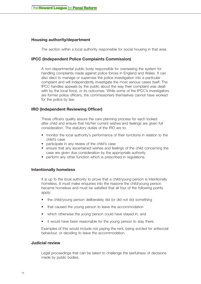### **Housing authority/department**

The section within a local authority responsible for social housing in that area.

### **IPCC (Independent Police Complaints Commission)**

A non-departmental public body responsible for overseeing the system for handling complaints made against police forces in England and Wales. It can also elect to manage or supervise the police investigation into a particular complaint and will independently investigate the most serious cases itself. The IPCC handles appeals by the public about the way their complaint was dealt with by the local force, or its outcomes. While some of the IPCC's investigators are former police officers, the commissioners themselves cannot have worked for the police by law.

# **IRO (Independent Reviewing Officer)**

These officers quality assure the care planning process for each looked after child and ensure that his/her current wishes and feelings are given full consideration. The statutory duties of the IRO are to:

- monitor the local authority's performance of their functions in relation to the child's case
- participate in any review of the child's case
- ensure that any ascertained wishes and feelings of the child concerning the case are given due consideration by the appropriate authority
- perform any other function which is prescribed in regulations.

#### **Intentionally homeless**

It is up to the local authority to prove that a child/young person is intentionally homeless. It must make enquiries into the reasons the child/young person became homeless and must be satisfied that all four of the following points apply:

- the child/young person deliberately did (or did not do) something
- that caused the young person to leave the accommodation
- which otherwise the young person could have stayed in, and
- it would have been reasonable for the young person to stay there.

Examples of this would include not paying the rent, being evicted for antisocial behaviour, or deciding to leave the accommodation.

#### **Judicial review**

Legal proceedings that can be taken to challenge the lawfulness of decisions made by public bodies.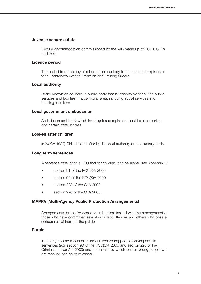#### **Juvenile secure estate**

Secure accommodation commissioned by the YJB made up of SCHs, STCs and YOIs.

#### **Licence period**

The period from the day of release from custody to the sentence expiry date for all sentences except Detention and Training Orders.

#### **Local authority**

Better known as councils: a public body that is responsible for all the public services and facilities in a particular area, including social services and housing functions.

#### **Local government ombudsman**

An independent body which investigates complaints about local authorities and certain other bodies.

#### **Looked after children**

(s.20 CA 1989) Child looked after by the local authority on a voluntary basis.

#### **Long term sentences**

A sentence other than a DTO that for children, can be under (see Appendix 1):

- section 91 of the PCC(S)A 2000
- section 90 of the PCC(S)A 2000
- section 228 of the CJA 2003
- section 226 of the CJA 2003.

#### **MAPPA (Multi-Agency Public Protection Arrangements)**

Arrangements for the 'responsible authorities' tasked with the management of those who have committed sexual or violent offences and others who pose a serious risk of harm to the public.

#### **Parole**

The early release mechanism for children/young people serving certain sentences (e.g. section 90 of the PCC(S)A 2000 and section 226 of the Criminal Justice Act 2003) and the means by which certain young people who are recalled can be re-released.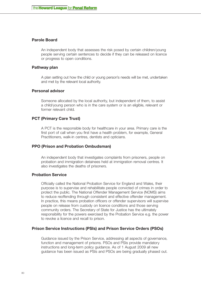#### **Parole Board**

An independent body that assesses the risk posed by certain children/young people serving certain sentences to decide if they can be released on licence or progress to open conditions.

#### **Pathway plan**

A plan setting out how the child or young person's needs will be met, undertaken and met by the relevant local authority.

#### **Personal advisor**

Someone allocated by the local authority, but independent of them, to assist a child/young person who is in the care system or is an eligible, relevant or former relevant child.

#### **PCT (Primary Care Trust)**

A PCT is the responsible body for healthcare in your area. Primary care is the first port of call when you first have a health problem, for example, General Practitioners, walk-in centres, dentists and opticians.

#### **PPO (Prison and Probation Ombudsman)**

An independent body that investigates complaints from prisoners, people on probation and immigration detainees held at immigration removal centres. It also investigates the deaths of prisoners.

#### **Probation Service**

Officially called the National Probation Service for England and Wales, their purpose is to supervise and rehabilitate people convicted of crimes in order to protect the public. The National Offender Management Service (NOMS) aims to reduce reoffending through consistent and effective offender management. In practice, this means probation officers or offender supervisors will supervise people on release from custody on licence conditions and those serving community orders. The Secretary of State for Justice has the ultimately responsibility for the powers exercised by the Probation Service e.g. the power to revoke a licence and recall to prison.

#### **Prison Service Instructions (PSIs) and Prison Service Orders (PSOs)**

Guidance issued by the Prison Service, addressing all aspects of governance, function and management of prisons. PSOs and PSIs provide mandatory instructions and long-term policy guidance. As of 1 August 2009 all new guidance has been issued as PSIs and PSOs are being gradually phased out.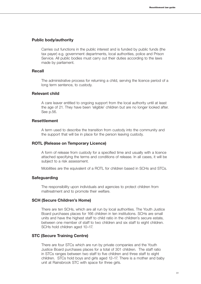#### **Public body/authority**

Carries out functions in the public interest and is funded by public funds (the tax payer) e.g. government departments, local authorities, police and Prison Service. All public bodies must carry out their duties according to the laws made by parliament.

#### **Recall**

The administrative process for returning a child, serving the licence period of a long term sentence, to custody.

#### **Relevant child**

A care leaver entitled to ongoing support from the local authority until at least the age of 21. They have been 'eligible' children but are no longer looked after. See p.56.

#### **Resettlement**

A term used to describe the transition from custody into the community and the support that will be in place for the person leaving custody.

#### **ROTL (Release on Temporary Licence)**

A form of release from custody for a specified time and usually with a licence attached specifying the terms and conditions of release. In all cases, it will be subject to a risk assessment.

Mobilities are the equivalent of a ROTL for children based in SCHs and STCs.

#### **Safeguarding**

The responsibility upon individuals and agencies to protect children from maltreatment and to promote their welfare.

#### **SCH (Secure Children's Home)**

There are ten SCHs, which are all run by local authorities. The Youth Justice Board purchases places for 166 children in ten institutions. SCHs are small units and have the highest staff to child ratio in the children's secure estate, between one member of staff to two children and six staff to eight children. SCHs hold children aged 10–17.

#### **STC (Secure Training Centre)**

There are four STCs which are run by private companies and the Youth Justice Board purchases places for a total of 301 children. The staff ratio in STCs ranges between two staff to five children and three staff to eight children. STCs hold boys and girls aged 12–17. There is a mother and baby unit at Rainsbrook STC with space for three girls.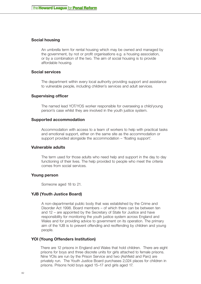#### **Social housing**

An umbrella term for rental housing which may be owned and managed by the government, by not or profit organisations e.g. a housing association, or by a combination of the two. The aim of social housing is to provide affordable housing.

#### **Social services**

The department within every local authority providing support and assistance to vulnerable people, including children's services and adult services.

#### **Supervising officer**

The named lead YOT/YOS worker responsible for overseeing a child/young person's case whilst they are involved in the youth justice system.

#### **Supported accommodation**

Accommodation with access to a team of workers to help with practical tasks and emotional support, either on the same site as the accommodation or support provided alongside the accommodation – 'floating support'.

#### **Vulnerable adults**

The term used for those adults who need help and support in the day to day functioning of their lives. The help provided to people who meet the criteria comes from social services.

#### **Young person**

Someone aged 18 to 21.

#### **YJB (Youth Justice Board)**

A non-departmental public body that was established by the Crime and Disorder Act 1998. Board members – of which there can be between ten and 12 – are appointed by the Secretary of State for Justice and have responsibility for monitoring the youth justice system across England and Wales and for providing advice to government on its operation. The primary aim of the YJB is to prevent offending and reoffending by children and young people.

#### **YOI (Young Offenders Institution)**

There are 12 prisons in England and Wales that hold children. There are eight prisons for boys and three discrete units for girls attached to female prisons. Nine YOIs are run by the Prison Service and two (Ashfield and Parc) are privately run. The Youth Justice Board purchases 2,024 places for children in prisons. Prisons hold boys aged 15–17 and girls aged 17.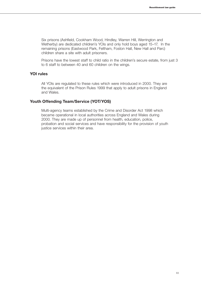Six prisons (Ashfield, Cookham Wood, Hindley, Warren Hill, Werrington and Wetherby) are dedicated children's YOIs and only hold boys aged 15–17. In the remaining prisons (Eastwood Park, Feltham, Foston Hall, New Hall and Parc) children share a site with adult prisoners.

Prisons have the lowest staff to child ratio in the children's secure estate, from just 3 to 6 staff to between 40 and 60 children on the wings.

#### **YOI rules**

All YOIs are regulated to these rules which were introduced in 2000. They are the equivalent of the Prison Rules 1999 that apply to adult prisons in England and Wales.

#### **Youth Offending Team/Service (YOT/YOS)**

Multi-agency teams established by the Crime and Disorder Act 1998 which became operational in local authorities across England and Wales during 2000. They are made up of personnel from health, education, police, probation and social services and have responsibility for the provision of youth justice services within their area.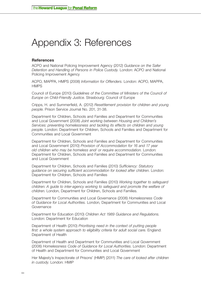# Appendix 3: References

#### **References**

[ACPO and National Policing Improvement Agency \(2012\)](http://www.homeoffice.gov.uk/publications/police/operational-policing/safer-detention-guidance-2012?view=Binary) *Guidance on the Safer [Detention and Handling of Persons in Police Custody.](http://www.homeoffice.gov.uk/publications/police/operational-policing/safer-detention-guidance-2012?view=Binary)* London: ACPO and National [Policing Improvement Agency](http://www.homeoffice.gov.uk/publications/police/operational-policing/safer-detention-guidance-2012?view=Binary)

[ACPO, MAPPA, HMPS \(2008\)](http://www.gwentmappa.org.uk/fileadmin/PDFs/downloads/Information_for_offenders_-_English.pdf) *Information for Offenders*. London: ACPO, MAPPA, **[HMPS](http://www.gwentmappa.org.uk/fileadmin/PDFs/downloads/Information_for_offenders_-_English.pdf)** 

Council of Europe (2010) *[Guidelines of the Committee of Ministers of the Council of](http://www.coe.int/t/dghl/standardsetting/childjustice/Guidelines%20on%20child-friendly%20justice%20and%20their%20explanatory%20memorandum%20_4_.pdf)  [Europe on Child-Friendly Justice](http://www.coe.int/t/dghl/standardsetting/childjustice/Guidelines%20on%20child-friendly%20justice%20and%20their%20explanatory%20memorandum%20_4_.pdf)*. Strasbourg: Council of Europe

Cripps, H. and Summerfield, A. (2012) *[Resettlement provision for children and young](http://www.scie-socialcareonline.org.uk/profile.asp?guid=883f84be-70f1-4caf-8c49-a3385891d4c1)  people*[. Prison Service Journal No. 201, 31-38.](http://www.scie-socialcareonline.org.uk/profile.asp?guid=883f84be-70f1-4caf-8c49-a3385891d4c1)

[Department for Children, Schools and Families and Department for Communities](http://www.communities.gov.uk/documents/housing/pdf/jointworkinghomelessness)  and Local Government (2008) *[Joint working between Housing and Children's](http://www.communities.gov.uk/documents/housing/pdf/jointworkinghomelessness)  [Services: preventing homelessness and tackling its effects on children and young](http://www.communities.gov.uk/documents/housing/pdf/jointworkinghomelessness)  people*[. London: Department for Children, Schools and Families and Department for](http://www.communities.gov.uk/documents/housing/pdf/jointworkinghomelessness)  [Communities and Local Government](http://www.communities.gov.uk/documents/housing/pdf/jointworkinghomelessness)

[Department for Children, Schools and Families and Department for Communities](https://www.education.gov.uk/publications/eOrderingDownload/Provision%20of%20accommodation.pdf)  and Local Government (2010) *[Provision of Accommodation for 16 and 17 year](https://www.education.gov.uk/publications/eOrderingDownload/Provision%20of%20accommodation.pdf)  [old children who may be homeless and/ or require accommodation.](https://www.education.gov.uk/publications/eOrderingDownload/Provision%20of%20accommodation.pdf)* London: [Department for Children, Schools and Families and Department for Communities](https://www.education.gov.uk/publications/eOrderingDownload/Provision%20of%20accommodation.pdf)  [and Local Government](https://www.education.gov.uk/publications/eOrderingDownload/Provision%20of%20accommodation.pdf) 

[Department for Children, Schools and Families \(2010\)](https://www.education.gov.uk/publications/eOrderingDownload/DCSF-00186-2010.pdf) *Sufficiency: Statutory [guidance on securing sufficient accommodation for looked after children](https://www.education.gov.uk/publications/eOrderingDownload/DCSF-00186-2010.pdf)*. London: [Department for Children, Schools and Families](https://www.education.gov.uk/publications/eOrderingDownload/DCSF-00186-2010.pdf)

[Department for Children, Schools and Families \(2010\)](http://www.workingtogetheronline.co.uk/wt_2010.PDF) *Working together to safeguard [children: A guide to inter-agency working to safeguard and promote the welfare of](http://www.workingtogetheronline.co.uk/wt_2010.PDF)  children*[. London, Department for Children, Schools and Families.](http://www.workingtogetheronline.co.uk/wt_2010.PDF)

[Department for Communities and Local Governance \(2006\)](http://www.communities.gov.uk/publications/housing/homelessnesscode ) *Homelessness Code of Guidance for Local Authorities.* [London, Department for Communities and Local](http://www.communities.gov.uk/publications/housing/homelessnesscode )  [Governance](http://www.communities.gov.uk/publications/housing/homelessnesscode )

Department for Education (2010) *[Children Act 1989 Guidance and Regulations.](http://media.education.gov.uk/assets/files/pdf/p/volume%203%20planning%20transition%20to%20adulthood%20for%20care%20leavers.pdf)* [London: Department for Education](http://media.education.gov.uk/assets/files/pdf/p/volume%203%20planning%20transition%20to%20adulthood%20for%20care%20leavers.pdf) 

Department of Health (2010) *[Prioritising need in the context of putting people](http://www.dh.gov.uk/prod_consum_dh/groups/dh_digitalassets/@dh/@en/@ps/documents/digitalasset/dh_113155.pdf)  [first: a whole system approach to eligibility criteria for adult social care.](http://www.dh.gov.uk/prod_consum_dh/groups/dh_digitalassets/@dh/@en/@ps/documents/digitalasset/dh_113155.pdf)* England: [Department of Health](http://www.dh.gov.uk/prod_consum_dh/groups/dh_digitalassets/@dh/@en/@ps/documents/digitalasset/dh_113155.pdf) 

[Department of Health and Department for Communities and Local Government](http://www.communities.gov.uk/documents/housing/pdf/152056.pdf)  (2006) *[Homelessness Code of Guidance for Local Authorities](http://www.communities.gov.uk/documents/housing/pdf/152056.pdf)*. London: Department [of Health and Department for Communities and Local Government](http://www.communities.gov.uk/documents/housing/pdf/152056.pdf)

[Her Majesty's Inspectorate of Prisons' \(HMIP\) \(2011\)](http://www.justice.gov.uk/downloads/publications/inspectorate-reports/hmipris/thematic-reports-and-research-publications/looked-after-children-2011.pdf) *The care of looked after children in custody.* [London: HMIP](http://www.justice.gov.uk/downloads/publications/inspectorate-reports/hmipris/thematic-reports-and-research-publications/looked-after-children-2011.pdf)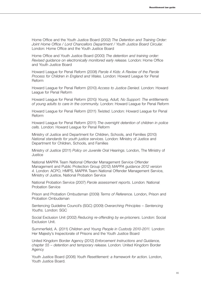Home Office and the Youth Justice Board (2002) *The Detention and Training Order: Joint Home Office / Lord Chancellors Department / Youth Justice Board Circular.* London: Home Office and the Youth Justice Board

[Home Office and Youth Justice Board \(2000\)](http://www.proceduresonline.com/bradford/yos/client%20supplied/dto_revised_guidance_elec_early_release.pdf) *The detention and training order: [Revised guidance on electronically monitored early release](http://www.proceduresonline.com/bradford/yos/client%20supplied/dto_revised_guidance_elec_early_release.pdf)*. London: Home Office [and Youth Justice Board](http://www.proceduresonline.com/bradford/yos/client%20supplied/dto_revised_guidance_elec_early_release.pdf)

[Howard League for Penal Reform \(2008\)](http://d19ylpo4aovc7m.cloudfront.net/fileadmin/howard_league/user/pdf/Parole_4_Kids_Report_WEB.pdf) *Parole 4 Kids: A Review of the Parole [Process for Children in England and Wales](http://d19ylpo4aovc7m.cloudfront.net/fileadmin/howard_league/user/pdf/Parole_4_Kids_Report_WEB.pdf)*. London: Howard League for Penal [Reform](http://d19ylpo4aovc7m.cloudfront.net/fileadmin/howard_league/user/pdf/Parole_4_Kids_Report_WEB.pdf)

[Howard League for Penal Reform \(2010\)](http://www.t2a.org.uk/wp-content/uploads/2011/09/Howard-League-Access_to_Justice_Denied.pdf ) *Access to Justice Denied.* London: Howard [League for Penal Reform](http://www.t2a.org.uk/wp-content/uploads/2011/09/Howard-League-Access_to_Justice_Denied.pdf )

Howard League for Penal Reform (2010*[\) Young, Adult, No Support: The entitlements](http://www.howardleague.org/1017/)  of young adults to care in the community.* [London: Howard League for Penal Reform](http://www.howardleague.org/1017/)

[Howard League for Penal Reform \(2011\)](http://www.howardleague.org/fileadmin/howard_league/user/pdf/Publications/Restraint.pdf) *Twisted*. London: Howard League for Penal [Reform](http://www.howardleague.org/fileadmin/howard_league/user/pdf/Publications/Restraint.pdf)

Howard League for Penal Reform (2011) *[The overnight detention of children in police](http://d19ylpo4aovc7m.cloudfront.net/fileadmin/howard_league/user/pdf/Research/Overnight_in_police_cells_final_01.pdf)  cells.* [London: Howard League for Penal Reform](http://d19ylpo4aovc7m.cloudfront.net/fileadmin/howard_league/user/pdf/Research/Overnight_in_police_cells_final_01.pdf)

[Ministry of Justice and Department for Children, Schools, and Families \(2010\)](http://www.justice.gov.uk/downloads/youth-justice/yjb-toolkits/victims/national-standards-youth-justice-services.pdf)  *[National standards for youth justice services.](http://www.justice.gov.uk/downloads/youth-justice/yjb-toolkits/victims/national-standards-youth-justice-services.pdf)* London: Ministry of Justice and [Department for Children, Schools, and Families](http://www.justice.gov.uk/downloads/youth-justice/yjb-toolkits/victims/national-standards-youth-justice-services.pdf)

Ministry of Justice (2011) *[Policy on Juvenile Oral Hearings](http://www.justice.gov.uk/offenders/parole-board/juvenile-oral-hearings)*. London, The Ministry of **[Justice](http://www.justice.gov.uk/offenders/parole-board/juvenile-oral-hearings)** 

[National MAPPA Team National Offender Management Service Offender](http://www.justice.gov.uk/downloads/offenders/mappa/mappa-guidance-2012-part1.pdf)  [Management and Public Protection Group \(2012\)](http://www.justice.gov.uk/downloads/offenders/mappa/mappa-guidance-2012-part1.pdf) *MAPPA guidance 2012 version 4.* [London: ACPO, HMPS, MAPPA Team National Offender Management Service,](http://www.justice.gov.uk/downloads/offenders/mappa/mappa-guidance-2012-part1.pdf)  [Ministry of Justice, National Probation Service](http://www.justice.gov.uk/downloads/offenders/mappa/mappa-guidance-2012-part1.pdf)

National Probation Service (2007) *Parole assessment reports*. London: National Probation Service

[Prison and Probation Ombudsman \(2009\)](http://www.ppo.gov.uk/docs/tor_june_2009.pdf) *Terms of Reference.* London, Prison and [Probation Ombudsman](http://www.ppo.gov.uk/docs/tor_june_2009.pdf)

[Sentencing Guideline Council's \(SGC\) \(2009\)](http://sentencingcouncil.judiciary.gov.uk/docs/web_overarching_principles_sentencing_youths.pdf) *Overarching Principles – Sentencing Youths.* [London: SGC](http://sentencingcouncil.judiciary.gov.uk/docs/web_overarching_principles_sentencing_youths.pdf)

Social Exclusion Unit (2002) *[Reducing re-offending by ex-prisoners](http://www.thelearningjourney.co.uk/file.2007-10-01.1714894439/file_view)*. London: Social [Exclusion Unit.](http://www.thelearningjourney.co.uk/file.2007-10-01.1714894439/file_view) 

Summerfield, A. (2011) *[Children and Young People in Custody 2010-2011.](http://www.justice.gov.uk/downloads/publications/inspectorate-reports/hmipris/thematic-reports-and-research-publications/children-young-people-2010-11.pdf)* London: [Her Majesty's Inspectorate of Prisons and the Youth Justice Board](http://www.justice.gov.uk/downloads/publications/inspectorate-reports/hmipris/thematic-reports-and-research-publications/children-young-people-2010-11.pdf)

United Kingdom Border Agency (2012) *[Enforcement Instructions and Guidance,](http://www.ukba.homeoffice.gov.uk/sitecontent/documents/policyandlaw/enforcement/detentionandremovals/ )  [chapter 55 – detention and temporary release](http://www.ukba.homeoffice.gov.uk/sitecontent/documents/policyandlaw/enforcement/detentionandremovals/ )*. London: United Kingdom Border [Agency](http://www.ukba.homeoffice.gov.uk/sitecontent/documents/policyandlaw/enforcement/detentionandremovals/ )

Youth Justice Board (2006) *[Youth Resettlement: a framework for action](http://www.yjb.gov.uk/Publications/Resources/Downloads/Youth%20Resettlement%20Framework%20for%20Action.pdf)*. London, [Youth Justice Board.](http://www.yjb.gov.uk/Publications/Resources/Downloads/Youth%20Resettlement%20Framework%20for%20Action.pdf)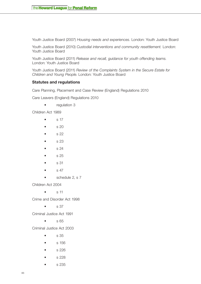Youth Justice Board (2007) *[Housing needs and experiences.](http://www.yjb.gov.uk/publications/Resources/Downloads/Accommodation%20Needs%20and%20Experiences%20-%20Full%20Report.pdf)* London: Youth Justice Board

Youth Justice Board (2010) *[Custodial interventions and community resettlement.](http://www.justice.gov.uk/downloads/youth-justice/improving-practice/CaseManagementGuidanceSection7Custodialinterventionsandcommunityresettlement.pdf/)* London: [Youth Justice Board](http://www.justice.gov.uk/downloads/youth-justice/improving-practice/CaseManagementGuidanceSection7Custodialinterventionsandcommunityresettlement.pdf/) 

Youth Justice Board (2011) *[Release and recall, guidance for youth offending teams.](http://www.justice.gov.uk/youth-justice/courts-and-orders/release-and-recall)* [London: Youth Justice Board](http://www.justice.gov.uk/youth-justice/courts-and-orders/release-and-recall)

Youth Justice Board (2011) *[Review of the Complaints System in the Secure Estate for](http://dera.ioe.ac.uk/2651/1/Review%20of%20the%20Complaints%20System%20-%20Summary%20and%20Action%20Plan.pdf)  Children and Young People*[. London: Youth Justice Board](http://dera.ioe.ac.uk/2651/1/Review%20of%20the%20Complaints%20System%20-%20Summary%20and%20Action%20Plan.pdf)

#### **Statutes and regulations**

Care Planning, Placement and Case Review (England) Regulations 2010

Care Leavers (England) Regulations 2010

• regulation 3

Children Act 1989

- $\bullet$  s 17
- $\bullet$  s 20
- $\bullet$  s 22
- • s 23
- • s 24
- • s 25
- • s 31
- • s 47
- schedule 2, s 7

Children Act 2004

 $\bullet$  s 11

Crime and Disorder Act 1998

 $\bullet$  s 37

Criminal Justice Act 1991

 $\bullet$  s 65

Criminal Justice Act 2003

- $\bullet$  s 35
- $\bullet$  s 156
- • s 226
- • s 228
- • s 235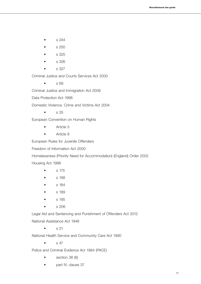- $\bullet$  s 244
- $\bullet$  s 250
- $\bullet$  s 325
- • s 326
- $\bullet$  s 327

Criminal Justice and Courts Services Act 2000

• s 69

Criminal Justice and Immigration Act 2008

Data Protection Act 1998

Domestic Violence, Crime and Victims Act 2004

 • s 35

European Convention on Human Rights

- Article 5
- Article 8

European Rules for Juvenile Offenders

Freedom of Information Act 2000

Homelessness (Priority Need for Accommodation) (England) Order 2002

Housing Act 1996

- $\bullet$  s 175
- • s 188
- • s 184
- • s 189
- s 195
- s 206

Legal Aid and Sentencing and Punishment of Offenders Act 2012

National Assistance Act 1948

 $\bullet$  s 21

National Health Service and Community Care Act 1990

 $\bullet$  s 47

Police and Criminal Evidence Act 1984 (PACE)

- section 38 (6)
- part IV, clause 37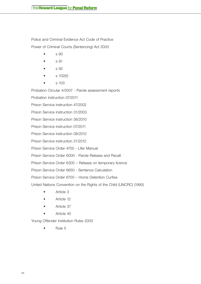Police and Criminal Evidence Act Code of Practice Power of Criminal Courts (Sentencing) Act 2000

- $\bullet$  s 90
- $\bullet$  s 91
- $\bullet$  s 92
- s 102(5)
- • s 103

Probation Circular 4/2007 - Parole assessment reports

Probation instruction 07/2011

Prison Service instruction 47/2002

Prison Service instruction 31/2003

Prison Service instruction 36/2010

Prison Service instruction 07/2011

Prison Service instruction 08/2012

Prison Service instruction 21/2012

Prison Service Order 4700 - Lifer Manual

Prison Service Order 6000 - Parole Release and Recall

Prison Service Order 6300 – Release on temporary licence

Prison Service Order 6650 - Sentence Calculation

Prison Service Order 6700 – Home Detention Curfew

United Nations Convention on the Rights of the Child (UNCRC) (1990)

- Article 3
- Article 12
- Article 37
- Article 40

Young Offender Institution Rules 2000

Rule 5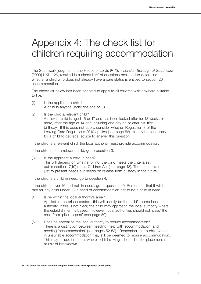# Appendix 4: The check list for children requiring accommodation

The Southwark judgment in the House of Lords (*R (G) v London Borough of Southwark*  $[2009]$  UKHL 26, resulted in a check list<sup>37</sup> of questions designed to determine whether a child who does not already have a care status is entitled to section 20 accommodation.

The check-list below has been adapted to apply to all children with nowhere suitable to live:

- (1) Is the applicant a child? A child is anyone under the age of 18.
- (2) Is the child a relevant child? A relevant child is aged 16 or 17 and has been looked after for 13 weeks or more, after the age of 14 and including one day on or after his 16th birthday. If this does not apply, consider whether Regulation 3 of the Leaving Care Regulations 2010 applies (see page 56). It may be necessary for a child to get legal advice to answer this question.

If the child is a relevant child, the local authority must provide accommodation.

If the child is not a relevant child, go to question 3.

(3) Is the applicant a child in need? This will depend on whether or not the child meets the criteria set out in section 17(10) of the Children Act (see page 48). The needs relate not just to present needs but needs on release from custody in the future.

If the child is a child in need, go to question 4.

If the child is over 16 and not 'in need'. go to question 10. Remember that it will be rare for any child under 18 in need of accommodation not to be a child in need.

- (4) Is he within the local authority's area? Applied to the prison context, this will usually be the child's home local authority. If this is not clear, the child may approach the local authority where the establishment is based. However, local authorities should not 'pass' the child from 'pillar to post' (see page 50).
- (5) Does he appear to the local authority to require accommodation? There is a distinction between needing 'help with accommodation' and needing 'accommodation' (see pages 52-53). Remember that a child who is in unsuitable accommodation may still be deemed to require accommodation. This may include instances where a child is living at home but the placement is at risk of breakdown.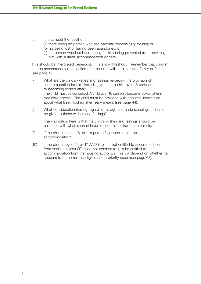- (6) Is that need the result of:
	- (a) there being no person who has parental responsibility for him; or
	- (b) his being lost or having been abandoned; or
	- (c) the person who has been caring for him being prevented from providing him with suitable accommodation or care.

This should be interpreted generously: it is a low threshold. Remember that children can be accommodated as looked after children with their parents, family or friends (see page 47).

- (7) What are the child's wishes and feelings regarding the provision of accommodation for him (including whether a child over 16 consents to becoming looked after)? The child must be consulted. A child over 16 can only become looked after if that child agrees. The child must be provided with accurate information about what being looked after really means (see page 44).
- (8) What consideration (having regard to his age and understanding) is duly to be given to those wishes and feelings?

The implication here is that the child's wishes and feelings should be balanced with what is considered to be in his or her best interests.

- (9) If the child is under 16, do his parents' consent to him being accommodated?
- (10) If the child is aged 16 or 17 AND is either not entitled to accommodation from social services OR does not consent to it, is he entitled to accommodation from the housing authority? This will depend on whether he appears to be homeless, eligible and a priority need (see page 63).